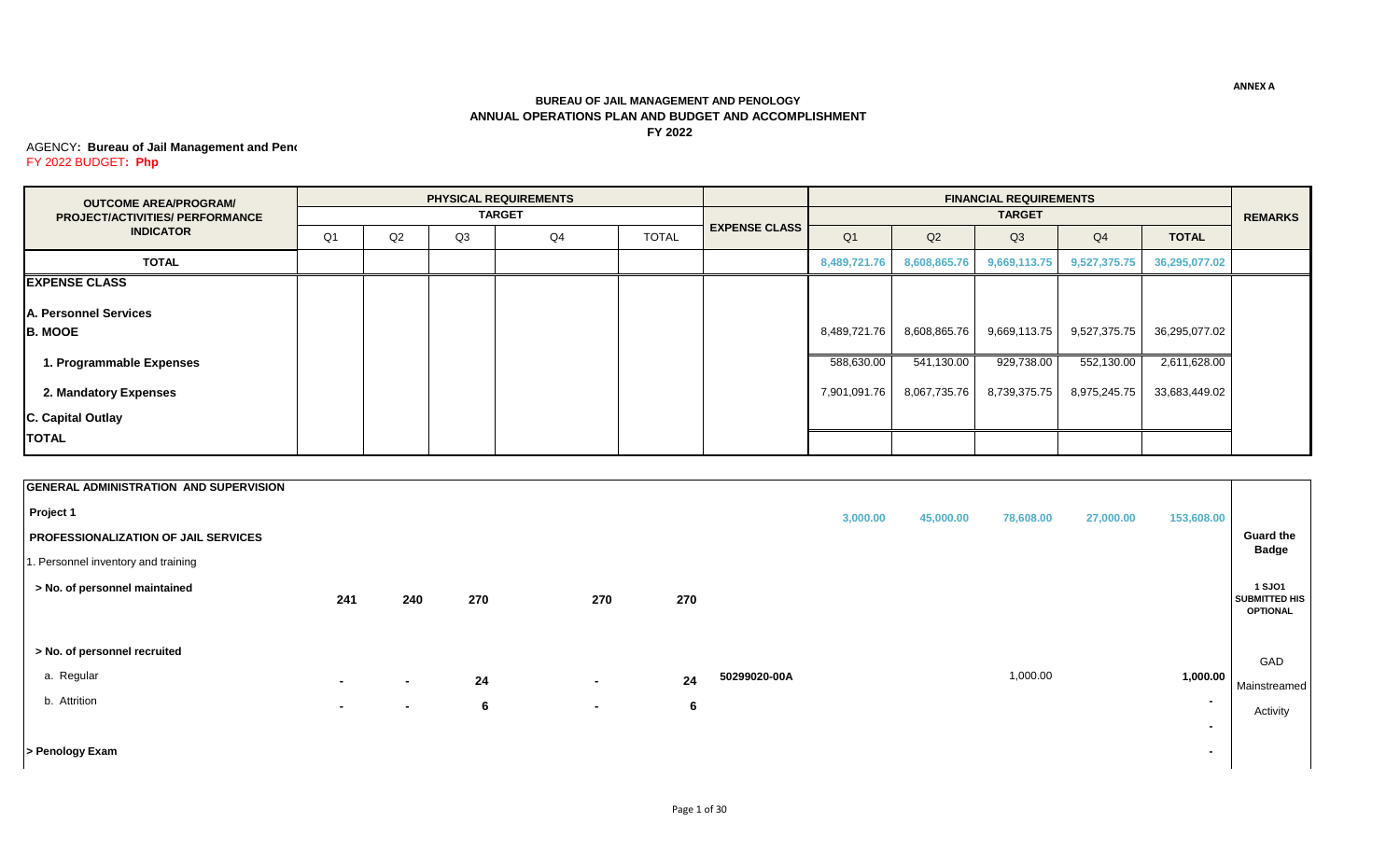## **BUREAU OF JAIL MANAGEMENT AND PENOLOGY ANNUAL OPERATIONS PLAN AND BUDGET AND ACCOMPLISHMENT FY 2022**

## **AGENCY: Bureau of Jail Management and Pend** FY 2022 BUDGET**: Php**

| <b>OUTCOME AREA/PROGRAM/</b>           |    |    |    | <b>PHYSICAL REQUIREMENTS</b> |              |                      |                |              | <b>FINANCIAL REQUIREMENTS</b> |              |               |                |
|----------------------------------------|----|----|----|------------------------------|--------------|----------------------|----------------|--------------|-------------------------------|--------------|---------------|----------------|
| <b>PROJECT/ACTIVITIES/ PERFORMANCE</b> |    |    |    | <b>TARGET</b>                |              |                      |                |              | <b>TARGET</b>                 |              |               | <b>REMARKS</b> |
| <b>INDICATOR</b>                       | Q1 | Q2 | Q3 | Q4                           | <b>TOTAL</b> | <b>EXPENSE CLASS</b> | Q <sub>1</sub> | Q2           | Q <sub>3</sub>                | Q4           | <b>TOTAL</b>  |                |
| <b>TOTAL</b>                           |    |    |    |                              |              |                      | 8,489,721.76   | 8,608,865.76 | 9,669,113.75                  | 9,527,375.75 | 36,295,077.02 |                |
| <b>EXPENSE CLASS</b>                   |    |    |    |                              |              |                      |                |              |                               |              |               |                |
| A. Personnel Services                  |    |    |    |                              |              |                      |                |              |                               |              |               |                |
| <b>B. MOOE</b>                         |    |    |    |                              |              |                      | 8,489,721.76   | 8,608,865.76 | 9,669,113.75                  | 9,527,375.75 | 36,295,077.02 |                |
| 1. Programmable Expenses               |    |    |    |                              |              |                      | 588,630.00     | 541,130.00   | 929,738.00                    | 552,130.00   | 2,611,628.00  |                |
| 2. Mandatory Expenses                  |    |    |    |                              |              |                      | 7,901,091.76   | 8,067,735.76 | 8,739,375.75                  | 8,975,245.75 | 33,683,449.02 |                |
| C. Capital Outlay                      |    |    |    |                              |              |                      |                |              |                               |              |               |                |
| <b>TOTAL</b>                           |    |    |    |                              |              |                      |                |              |                               |              |               |                |

| <b>GENERAL ADMINISTRATION AND SUPERVISION</b> |        |        |     |        |     |              |          |           |           |           |                          |                                       |
|-----------------------------------------------|--------|--------|-----|--------|-----|--------------|----------|-----------|-----------|-----------|--------------------------|---------------------------------------|
| Project 1                                     |        |        |     |        |     |              | 3,000.00 | 45,000.00 | 78,608.00 | 27,000.00 | 153,608.00               |                                       |
| PROFESSIONALIZATION OF JAIL SERVICES          |        |        |     |        |     |              |          |           |           |           |                          | <b>Guard the</b><br><b>Badge</b>      |
| 1. Personnel inventory and training           |        |        |     |        |     |              |          |           |           |           |                          |                                       |
| > No. of personnel maintained                 |        |        | 270 | 270    | 270 |              |          |           |           |           |                          | <b>1 SJO1</b><br><b>SUBMITTED HIS</b> |
|                                               | 241    | 240    |     |        |     |              |          |           |           |           |                          | <b>OPTIONAL</b>                       |
|                                               |        |        |     |        |     |              |          |           |           |           |                          |                                       |
| > No. of personnel recruited                  |        |        |     |        |     |              |          |           |           |           |                          | GAD                                   |
| a. Regular                                    | $\sim$ | $\sim$ | 24  | $\sim$ | 24  | 50299020-00A |          |           | 1,000.00  |           | 1,000.00                 | Mainstreamed                          |
| b. Attrition                                  | $\sim$ | $\sim$ | 6   | $\sim$ | 6   |              |          |           |           |           | $\overline{\phantom{0}}$ | Activity                              |
|                                               |        |        |     |        |     |              |          |           |           |           | $\overline{\phantom{a}}$ |                                       |
| > Penology Exam                               |        |        |     |        |     |              |          |           |           |           | $\blacksquare$           |                                       |

**ANNEX A**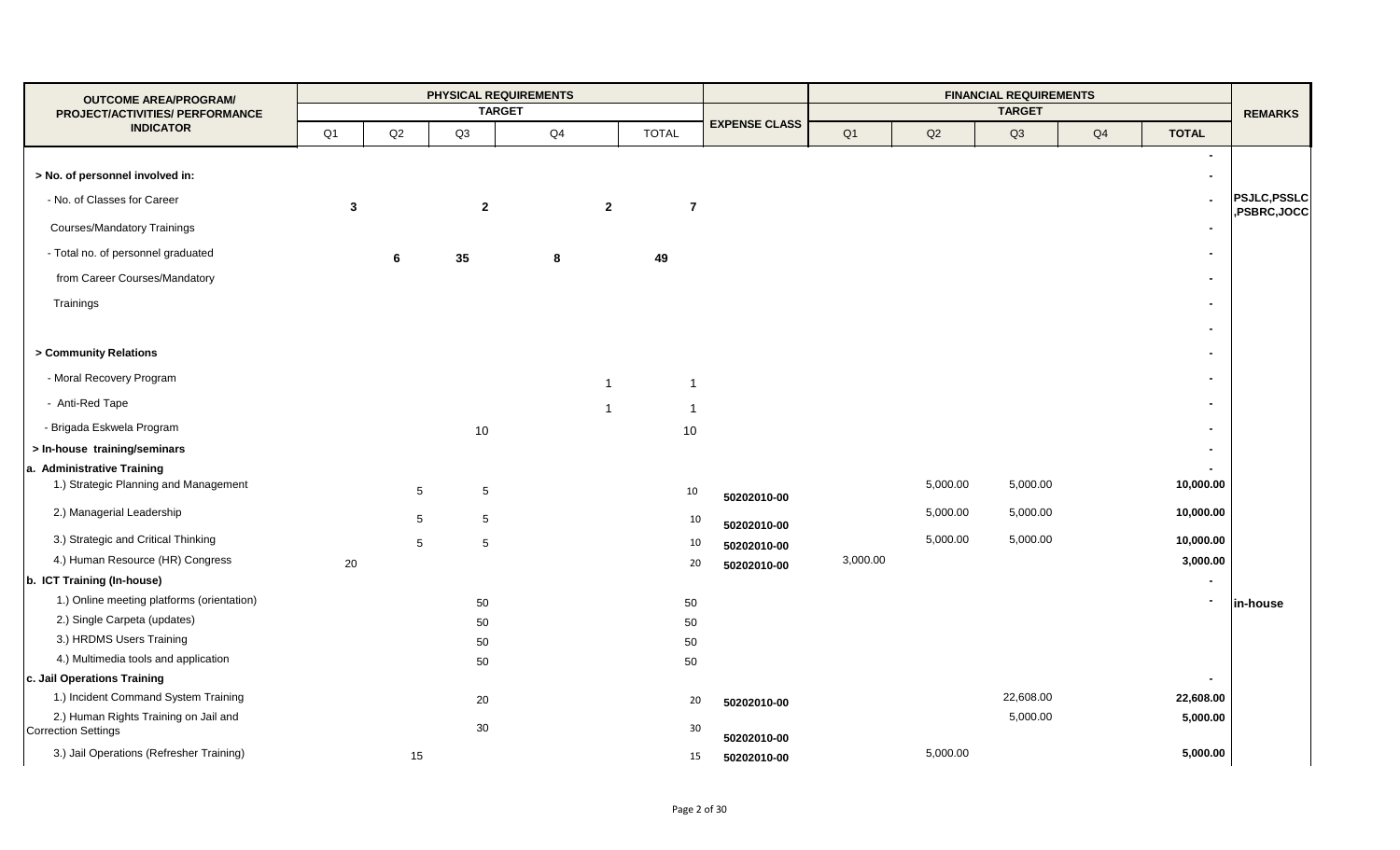| <b>OUTCOME AREA/PROGRAM/</b>                                        |                |    |                                    | PHYSICAL REQUIREMENTS |                |                |                      |          |               | <b>FINANCIAL REQUIREMENTS</b> |    |              |                    |
|---------------------------------------------------------------------|----------------|----|------------------------------------|-----------------------|----------------|----------------|----------------------|----------|---------------|-------------------------------|----|--------------|--------------------|
| PROJECT/ACTIVITIES/ PERFORMANCE                                     |                |    |                                    | <b>TARGET</b>         |                |                |                      |          |               | <b>TARGET</b>                 |    |              | <b>REMARKS</b>     |
| <b>INDICATOR</b>                                                    | Q <sub>1</sub> | Q2 | Q3                                 | Q <sub>4</sub>        |                | <b>TOTAL</b>   | <b>EXPENSE CLASS</b> | Q1       | $\mathsf{Q2}$ | Q3                            | Q4 | <b>TOTAL</b> |                    |
|                                                                     |                |    |                                    |                       |                |                |                      |          |               |                               |    |              |                    |
| > No. of personnel involved in:                                     |                |    |                                    |                       |                |                |                      |          |               |                               |    |              |                    |
| - No. of Classes for Career                                         | 3              |    | $\overline{2}$                     |                       | $\overline{2}$ | $\overline{7}$ |                      |          |               |                               |    |              | <b>PSJLC,PSSLC</b> |
| <b>Courses/Mandatory Trainings</b>                                  |                |    |                                    |                       |                |                |                      |          |               |                               |    |              | ,PSBRC,JOCC        |
| - Total no. of personnel graduated                                  |                | 6  | 35                                 | 8                     |                | 49             |                      |          |               |                               |    |              |                    |
| from Career Courses/Mandatory                                       |                |    |                                    |                       |                |                |                      |          |               |                               |    |              |                    |
|                                                                     |                |    |                                    |                       |                |                |                      |          |               |                               |    |              |                    |
| Trainings                                                           |                |    |                                    |                       |                |                |                      |          |               |                               |    |              |                    |
|                                                                     |                |    |                                    |                       |                |                |                      |          |               |                               |    |              |                    |
| > Community Relations                                               |                |    |                                    |                       |                |                |                      |          |               |                               |    |              |                    |
| - Moral Recovery Program                                            |                |    |                                    |                       | $\mathbf 1$    | $\overline{1}$ |                      |          |               |                               |    |              |                    |
| - Anti-Red Tape                                                     |                |    |                                    |                       | -1             | -1             |                      |          |               |                               |    |              |                    |
| - Brigada Eskwela Program                                           |                |    | 10                                 |                       |                | 10             |                      |          |               |                               |    |              |                    |
| > In-house training/seminars                                        |                |    |                                    |                       |                |                |                      |          |               |                               |    |              |                    |
| a. Administrative Training                                          |                |    |                                    |                       |                |                |                      |          |               |                               |    |              |                    |
| 1.) Strategic Planning and Management                               |                |    | $5\phantom{.0}$<br>$5\phantom{.0}$ |                       |                | 10             | 50202010-00          |          | 5,000.00      | 5,000.00                      |    | 10,000.00    |                    |
| 2.) Managerial Leadership                                           |                |    | 5                                  |                       |                |                |                      |          | 5,000.00      | 5,000.00                      |    | 10,000.00    |                    |
|                                                                     |                |    | $\sqrt{5}$                         |                       |                | 10             | 50202010-00          |          |               |                               |    |              |                    |
| 3.) Strategic and Critical Thinking                                 |                |    | 5<br>$\sqrt{5}$                    |                       |                | 10             | 50202010-00          |          | 5,000.00      | 5,000.00                      |    | 10,000.00    |                    |
| 4.) Human Resource (HR) Congress                                    | 20             |    |                                    |                       |                | 20             | 50202010-00          | 3,000.00 |               |                               |    | 3,000.00     |                    |
| b. ICT Training (In-house)                                          |                |    |                                    |                       |                |                |                      |          |               |                               |    |              |                    |
| 1.) Online meeting platforms (orientation)                          |                |    | 50                                 |                       |                | 50             |                      |          |               |                               |    |              | in-house           |
| 2.) Single Carpeta (updates)                                        |                |    | 50                                 |                       |                | 50             |                      |          |               |                               |    |              |                    |
| 3.) HRDMS Users Training                                            |                |    | 50                                 |                       |                | 50             |                      |          |               |                               |    |              |                    |
| 4.) Multimedia tools and application                                |                |    | 50                                 |                       |                | 50             |                      |          |               |                               |    |              |                    |
| c. Jail Operations Training                                         |                |    |                                    |                       |                |                |                      |          |               |                               |    |              |                    |
| 1.) Incident Command System Training                                |                |    | 20                                 |                       |                | 20             | 50202010-00          |          |               | 22,608.00                     |    | 22,608.00    |                    |
| 2.) Human Rights Training on Jail and<br><b>Correction Settings</b> |                |    | 30                                 |                       |                | 30             |                      |          |               | 5,000.00                      |    | 5,000.00     |                    |
| 3.) Jail Operations (Refresher Training)                            |                |    |                                    |                       |                |                | 50202010-00          |          | 5,000.00      |                               |    | 5,000.00     |                    |
|                                                                     |                | 15 |                                    |                       |                | 15             | 50202010-00          |          |               |                               |    |              |                    |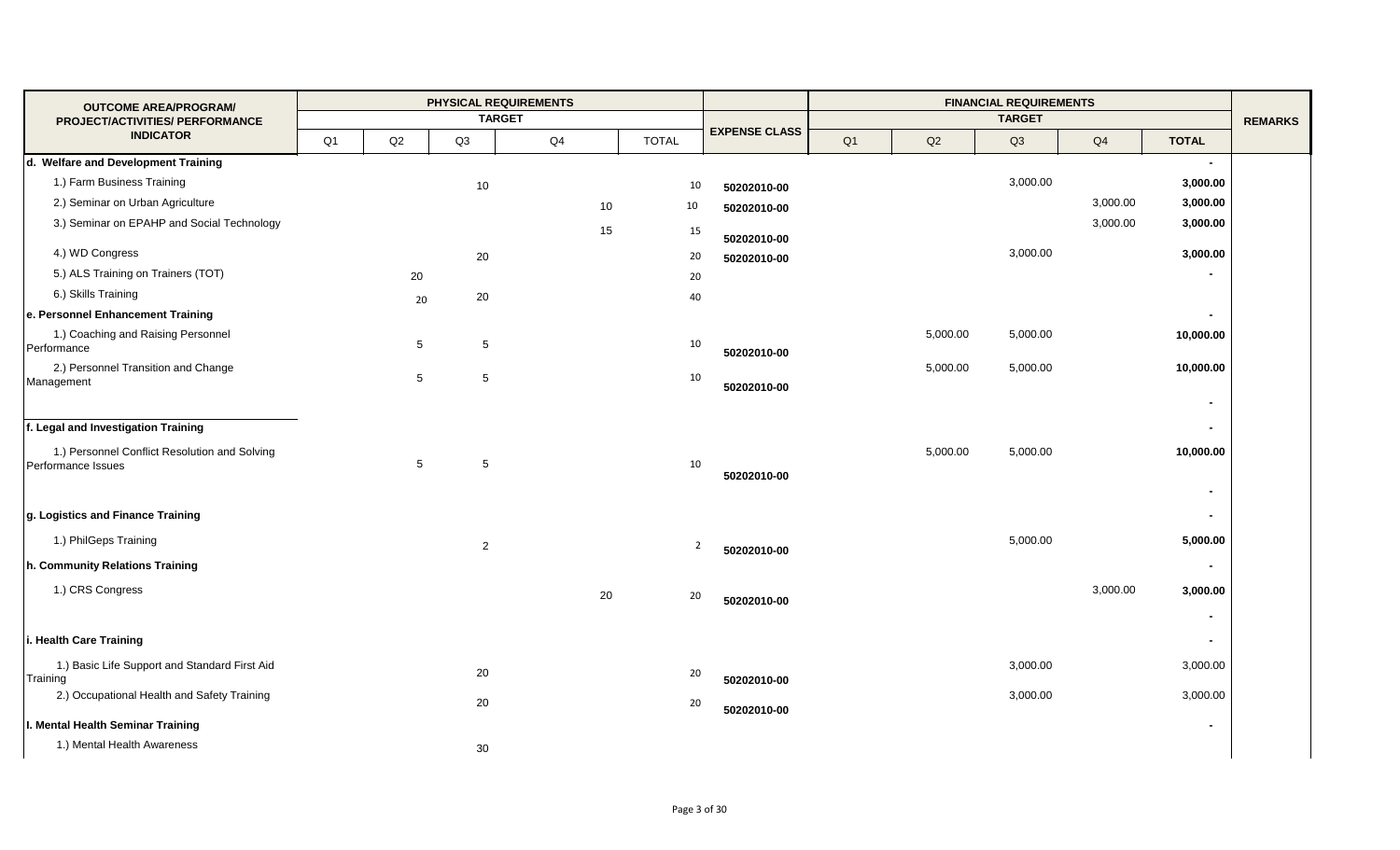| <b>OUTCOME AREA/PROGRAM/</b>                                        |    |                 | <b>PHYSICAL REQUIREMENTS</b> |    |                |                      |                |               | <b>FINANCIAL REQUIREMENTS</b> |          |                            |                |
|---------------------------------------------------------------------|----|-----------------|------------------------------|----|----------------|----------------------|----------------|---------------|-------------------------------|----------|----------------------------|----------------|
| PROJECT/ACTIVITIES/ PERFORMANCE                                     |    |                 | <b>TARGET</b>                |    |                |                      |                |               | <b>TARGET</b>                 |          |                            | <b>REMARKS</b> |
| <b>INDICATOR</b>                                                    | Q1 | $\mathsf{Q2}$   | Q3                           | Q4 | <b>TOTAL</b>   | <b>EXPENSE CLASS</b> | Q <sub>1</sub> | $\mathsf{Q2}$ | Q3                            | Q4       | <b>TOTAL</b>               |                |
| d. Welfare and Development Training                                 |    |                 |                              |    |                |                      |                |               |                               |          | $\blacksquare$             |                |
| 1.) Farm Business Training                                          |    |                 | 10                           |    | 10             | 50202010-00          |                |               | 3,000.00                      |          | 3,000.00                   |                |
| 2.) Seminar on Urban Agriculture                                    |    |                 |                              | 10 | 10             | 50202010-00          |                |               |                               | 3,000.00 | 3,000.00                   |                |
| 3.) Seminar on EPAHP and Social Technology                          |    |                 |                              | 15 | 15             | 50202010-00          |                |               |                               | 3,000.00 | 3,000.00                   |                |
| 4.) WD Congress                                                     |    |                 | 20                           |    | 20             | 50202010-00          |                |               | 3,000.00                      |          | 3,000.00                   |                |
| 5.) ALS Training on Trainers (TOT)                                  |    | 20              |                              |    | 20             |                      |                |               |                               |          | $\blacksquare$             |                |
| 6.) Skills Training                                                 |    | 20              | 20                           |    | 40             |                      |                |               |                               |          |                            |                |
| e. Personnel Enhancement Training                                   |    |                 |                              |    |                |                      |                |               |                               |          | $\blacksquare$             |                |
| 1.) Coaching and Raising Personnel<br>Performance                   |    | $5\phantom{.0}$ | 5                            |    | 10             | 50202010-00          |                | 5,000.00      | 5,000.00                      |          | 10,000.00                  |                |
| 2.) Personnel Transition and Change<br>Management                   |    | 5               | $5\phantom{.0}$              |    | 10             | 50202010-00          |                | 5,000.00      | 5,000.00                      |          | 10,000.00<br>$\sim$        |                |
| f. Legal and Investigation Training                                 |    |                 |                              |    |                |                      |                |               |                               |          | $\sim$                     |                |
| 1.) Personnel Conflict Resolution and Solving<br>Performance Issues |    | 5               | $5\phantom{.0}$              |    | 10             | 50202010-00          |                | 5,000.00      | 5,000.00                      |          | 10,000.00<br>$\sim$        |                |
| g. Logistics and Finance Training                                   |    |                 |                              |    |                |                      |                |               |                               |          | $\sim$                     |                |
| 1.) PhilGeps Training                                               |    |                 | $\overline{2}$               |    | $\overline{2}$ | 50202010-00          |                |               | 5,000.00                      |          | 5,000.00                   |                |
| h. Community Relations Training                                     |    |                 |                              |    |                |                      |                |               |                               |          | $\blacksquare$             |                |
| 1.) CRS Congress                                                    |    |                 |                              | 20 | 20             | 50202010-00          |                |               |                               | 3,000.00 | 3,000.00<br>$\blacksquare$ |                |
| i. Health Care Training                                             |    |                 |                              |    |                |                      |                |               |                               |          | $\sim$                     |                |
| 1.) Basic Life Support and Standard First Aid<br>Training           |    |                 | 20                           |    | 20             | 50202010-00          |                |               | 3,000.00                      |          | 3,000.00                   |                |
| 2.) Occupational Health and Safety Training                         |    |                 | 20                           |    | 20             | 50202010-00          |                |               | 3,000.00                      |          | 3,000.00                   |                |
| I. Mental Health Seminar Training                                   |    |                 |                              |    |                |                      |                |               |                               |          | $\sim$                     |                |
| 1.) Mental Health Awareness                                         |    |                 | 30                           |    |                |                      |                |               |                               |          |                            |                |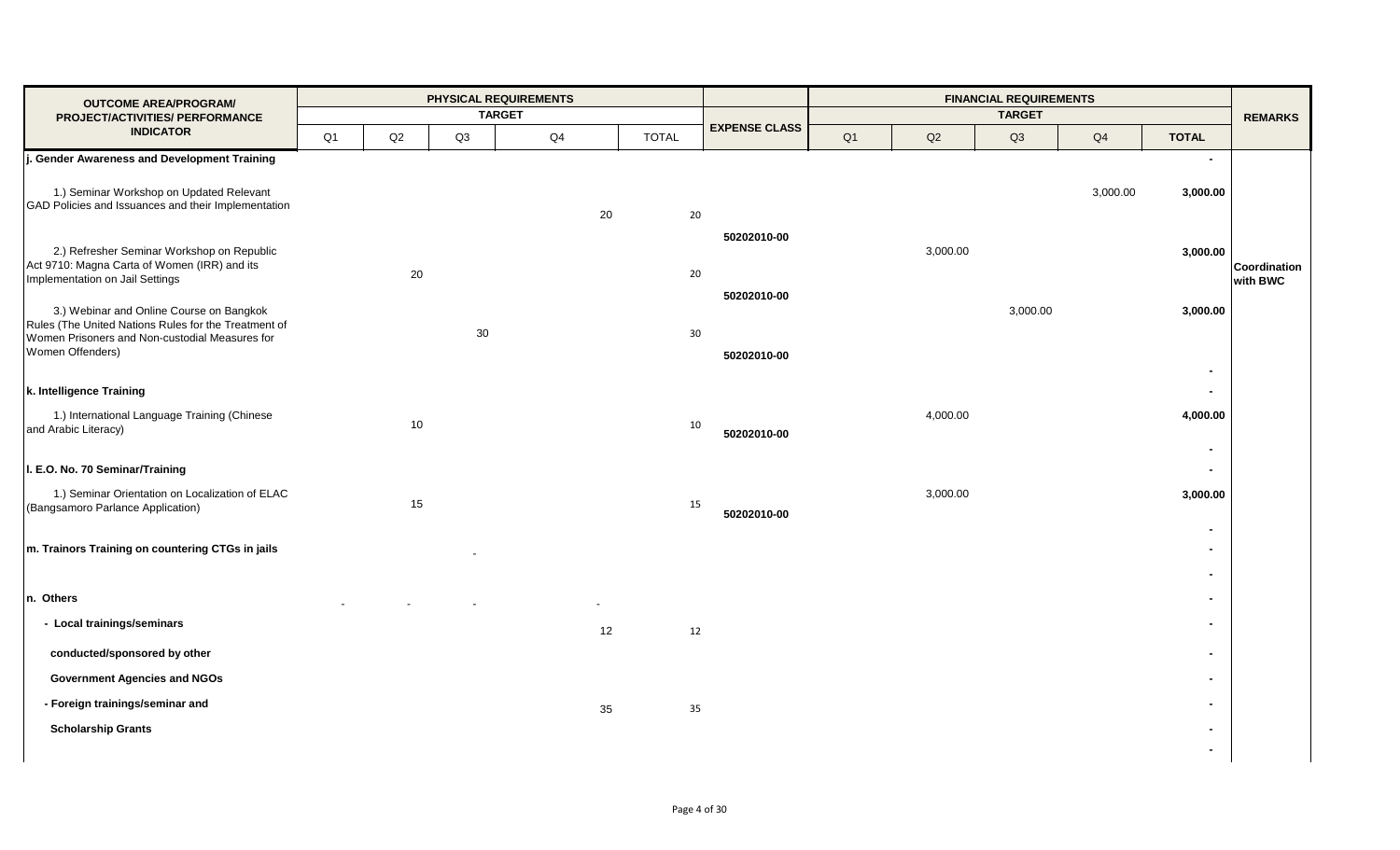| <b>OUTCOME AREA/PROGRAM/</b>                                                                                                                                           |    | PHYSICAL REQUIREMENTS<br><b>TARGET</b> |    |    |    |              |                            |    |          | <b>FINANCIAL REQUIREMENTS</b> |          |                                              |                          |
|------------------------------------------------------------------------------------------------------------------------------------------------------------------------|----|----------------------------------------|----|----|----|--------------|----------------------------|----|----------|-------------------------------|----------|----------------------------------------------|--------------------------|
| PROJECT/ACTIVITIES/ PERFORMANCE<br><b>INDICATOR</b>                                                                                                                    | Q1 | Q2                                     | Q3 | Q4 |    | <b>TOTAL</b> | <b>EXPENSE CLASS</b>       | Q1 | Q2       | <b>TARGET</b><br>Q3           | Q4       | <b>TOTAL</b>                                 | <b>REMARKS</b>           |
| J. Gender Awareness and Development Training                                                                                                                           |    |                                        |    |    |    |              |                            |    |          |                               |          | $\blacksquare$                               |                          |
| 1.) Seminar Workshop on Updated Relevant<br>GAD Policies and Issuances and their Implementation                                                                        |    |                                        |    |    | 20 | 20           |                            |    |          |                               | 3,000.00 | 3,000.00                                     |                          |
| 2.) Refresher Seminar Workshop on Republic<br>Act 9710: Magna Carta of Women (IRR) and its<br>Implementation on Jail Settings                                          |    | 20                                     |    |    |    | 20           | 50202010-00<br>50202010-00 |    | 3,000.00 |                               |          | 3,000.00                                     | Coordination<br>with BWC |
| 3.) Webinar and Online Course on Bangkok<br>Rules (The United Nations Rules for the Treatment of<br>Women Prisoners and Non-custodial Measures for<br>Women Offenders) |    |                                        | 30 |    |    | 30           | 50202010-00                |    |          | 3,000.00                      |          | 3,000.00<br>$\blacksquare$                   |                          |
| k. Intelligence Training<br>1.) International Language Training (Chinese                                                                                               |    | 10                                     |    |    |    | 10           |                            |    | 4,000.00 |                               |          | $\blacksquare$<br>4,000.00                   |                          |
| and Arabic Literacy)<br>I. E.O. No. 70 Seminar/Training<br>1.) Seminar Orientation on Localization of ELAC<br>(Bangsamoro Parlance Application)                        |    | 15                                     |    |    |    | 15           | 50202010-00<br>50202010-00 |    | 3,000.00 |                               |          | $\blacksquare$<br>$\blacksquare$<br>3,000.00 |                          |
| m. Trainors Training on countering CTGs in jails                                                                                                                       |    |                                        |    |    |    |              |                            |    |          |                               |          | $\blacksquare$<br>$\blacksquare$             |                          |
| n. Others                                                                                                                                                              |    |                                        |    |    |    |              |                            |    |          |                               |          | $\blacksquare$                               |                          |
| - Local trainings/seminars                                                                                                                                             |    |                                        |    |    | 12 | 12           |                            |    |          |                               |          | $\blacksquare$                               |                          |
| conducted/sponsored by other                                                                                                                                           |    |                                        |    |    |    |              |                            |    |          |                               |          | $\blacksquare$                               |                          |
| <b>Government Agencies and NGOs</b>                                                                                                                                    |    |                                        |    |    |    |              |                            |    |          |                               |          | $\blacksquare$                               |                          |
| - Foreign trainings/seminar and                                                                                                                                        |    |                                        |    |    | 35 | 35           |                            |    |          |                               |          | $\overline{\phantom{0}}$                     |                          |
| <b>Scholarship Grants</b>                                                                                                                                              |    |                                        |    |    |    |              |                            |    |          |                               |          | $\blacksquare$<br>$\blacksquare$             |                          |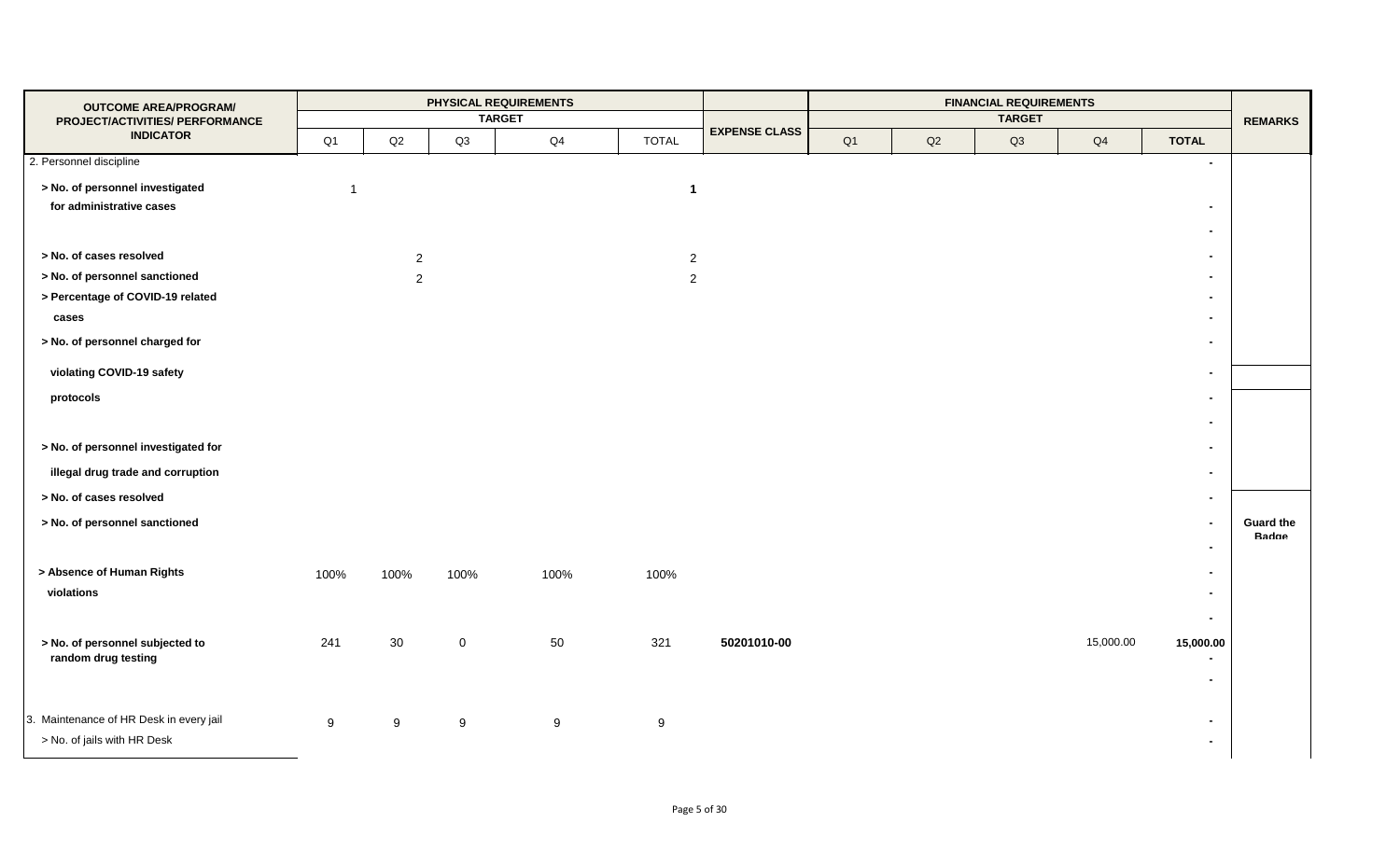|                |                |                              | PHYSICAL REQUIREMENTS |                             |                           |                |               | <b>FINANCIAL REQUIREMENTS</b> |               |                                  | <b>REMARKS</b>                                                                              |
|----------------|----------------|------------------------------|-----------------------|-----------------------------|---------------------------|----------------|---------------|-------------------------------|---------------|----------------------------------|---------------------------------------------------------------------------------------------|
| Q <sub>1</sub> | $\mathsf{Q2}$  | Q3                           | Q <sub>4</sub>        | <b>TOTAL</b>                | <b>EXPENSE CLASS</b>      | Q <sub>1</sub> | $\mathsf{Q2}$ | Q3                            | $\mathsf{Q}4$ | <b>TOTAL</b>                     |                                                                                             |
|                |                |                              |                       |                             |                           |                |               |                               |               |                                  |                                                                                             |
| $\overline{1}$ |                |                              |                       | $\mathbf{1}$                |                           |                |               |                               |               |                                  |                                                                                             |
|                |                |                              |                       |                             |                           |                |               |                               |               | $\overline{\phantom{0}}$         |                                                                                             |
|                |                |                              |                       |                             |                           |                |               |                               |               | $\blacksquare$                   |                                                                                             |
|                |                |                              |                       |                             |                           |                |               |                               |               | $\overline{\phantom{0}}$         |                                                                                             |
|                | $\overline{2}$ |                              |                       | $\sqrt{2}$                  |                           |                |               |                               |               | $\blacksquare$                   |                                                                                             |
|                |                |                              |                       |                             |                           |                |               |                               |               | $\blacksquare$                   |                                                                                             |
|                |                |                              |                       |                             |                           |                |               |                               |               | $\blacksquare$                   |                                                                                             |
|                |                |                              |                       |                             |                           |                |               |                               |               | $\blacksquare$                   |                                                                                             |
|                |                |                              |                       |                             |                           |                |               |                               |               | $\blacksquare$                   |                                                                                             |
|                |                |                              |                       |                             |                           |                |               |                               |               |                                  |                                                                                             |
|                |                |                              |                       |                             |                           |                |               |                               |               | $\blacksquare$                   |                                                                                             |
|                |                |                              |                       |                             |                           |                |               |                               |               |                                  |                                                                                             |
|                |                |                              |                       |                             |                           |                |               |                               |               | $\sim$                           |                                                                                             |
|                |                |                              |                       |                             |                           |                |               |                               |               |                                  |                                                                                             |
|                |                |                              |                       |                             |                           |                |               |                               |               |                                  | <b>Guard the</b>                                                                            |
|                |                |                              |                       |                             |                           |                |               |                               |               |                                  | Badge                                                                                       |
|                |                |                              |                       |                             |                           |                |               |                               |               |                                  |                                                                                             |
|                |                |                              |                       |                             |                           |                |               |                               |               | $\overline{\phantom{a}}$         |                                                                                             |
|                |                |                              |                       |                             |                           |                |               |                               |               |                                  |                                                                                             |
|                |                |                              |                       |                             |                           |                |               |                               |               |                                  |                                                                                             |
|                |                |                              |                       |                             |                           |                |               |                               |               |                                  |                                                                                             |
|                |                |                              |                       |                             |                           |                |               |                               |               | $\overline{\phantom{0}}$         |                                                                                             |
|                |                |                              |                       |                             |                           |                |               |                               |               |                                  |                                                                                             |
| 9              | 9              | 9                            | 9                     | 9                           |                           |                |               |                               |               | $\blacksquare$<br>$\blacksquare$ |                                                                                             |
|                | 100%<br>241    | $\overline{2}$<br>100%<br>30 | 100%<br>$\mathbf 0$   | <b>TARGET</b><br>100%<br>50 | $\sqrt{2}$<br>100%<br>321 | 50201010-00    |               |                               | <b>TARGET</b> | 15,000.00                        | $\overline{\phantom{a}}$<br>$\blacksquare$<br>$\blacksquare$<br>$\blacksquare$<br>15,000.00 |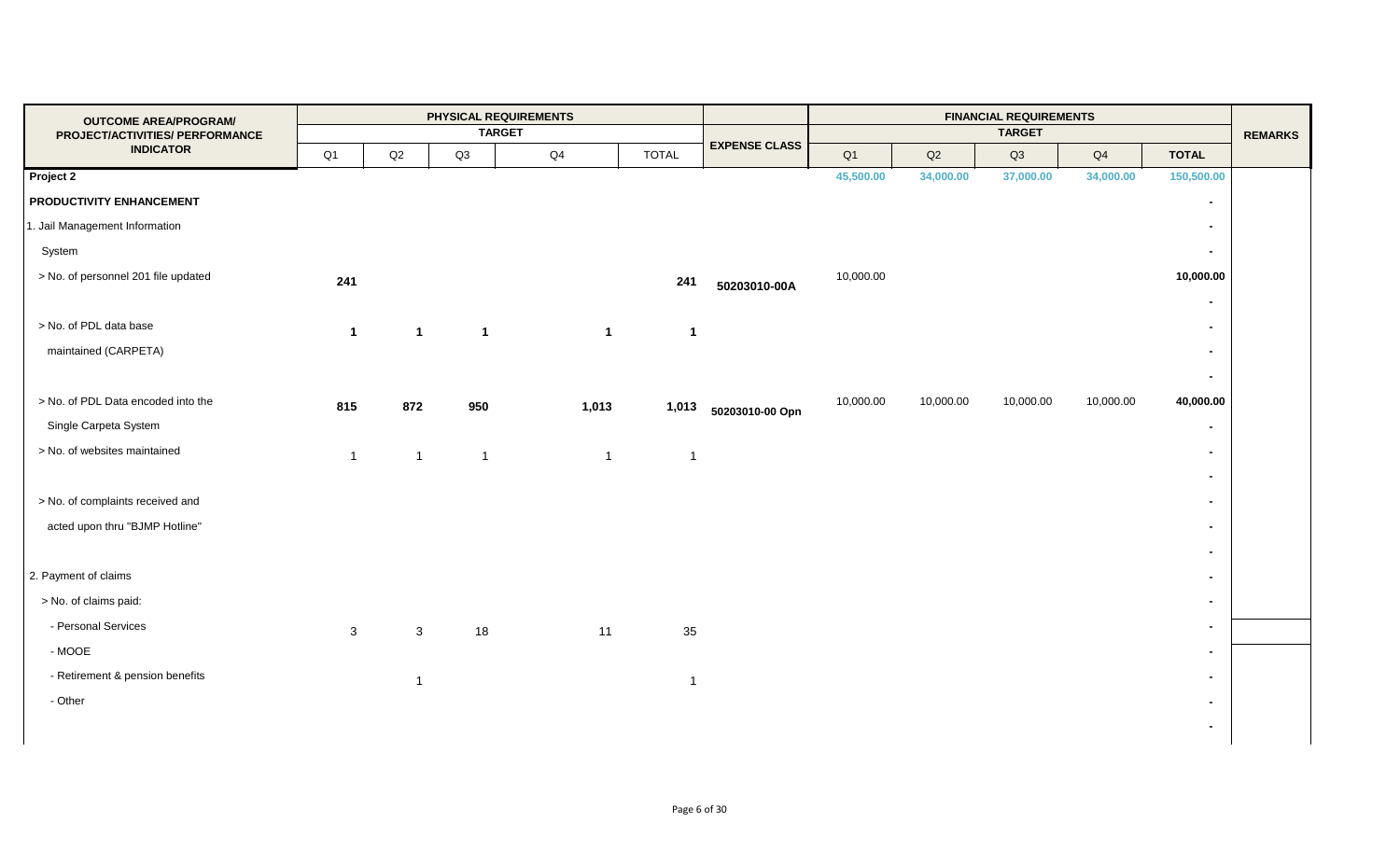| <b>OUTCOME AREA/PROGRAM/</b>        |              |                |                | PHYSICAL REQUIREMENTS |                |              |                      |                |           | <b>FINANCIAL REQUIREMENTS</b> |           |                          |                |
|-------------------------------------|--------------|----------------|----------------|-----------------------|----------------|--------------|----------------------|----------------|-----------|-------------------------------|-----------|--------------------------|----------------|
| PROJECT/ACTIVITIES/ PERFORMANCE     |              |                |                | <b>TARGET</b>         |                |              | <b>EXPENSE CLASS</b> |                |           | <b>TARGET</b>                 |           |                          | <b>REMARKS</b> |
| <b>INDICATOR</b>                    | Q1           | Q2             | Q3             | Q4                    |                | <b>TOTAL</b> |                      | Q <sub>1</sub> | Q2        | Q3                            | Q4        | <b>TOTAL</b>             |                |
| Project 2                           |              |                |                |                       |                |              |                      | 45,500.00      | 34,000.00 | 37,000.00                     | 34,000.00 | 150,500.00               |                |
| PRODUCTIVITY ENHANCEMENT            |              |                |                |                       |                |              |                      |                |           |                               |           | $\blacksquare$           |                |
| 1. Jail Management Information      |              |                |                |                       |                |              |                      |                |           |                               |           | $\blacksquare$           |                |
| System                              |              |                |                |                       |                |              |                      |                |           |                               |           | $\sim$                   |                |
| > No. of personnel 201 file updated | 241          |                |                |                       |                | 241          | 50203010-00A         | 10,000.00      |           |                               |           | 10,000.00                |                |
|                                     |              |                |                |                       |                |              |                      |                |           |                               |           |                          |                |
| > No. of PDL data base              | $\mathbf{1}$ | $\mathbf{1}$   | $\overline{1}$ |                       | $\mathbf{1}$   | $\mathbf{1}$ |                      |                |           |                               |           | $\overline{\phantom{0}}$ |                |
| maintained (CARPETA)                |              |                |                |                       |                |              |                      |                |           |                               |           | $\sim$                   |                |
|                                     |              |                |                |                       |                |              |                      |                |           |                               |           | $\sim$                   |                |
| > No. of PDL Data encoded into the  | 815          | 872            | 950            |                       | 1,013          | 1,013        | 50203010-00 Opn      | 10,000.00      | 10,000.00 | 10,000.00                     | 10,000.00 | 40,000.00                |                |
| Single Carpeta System               |              |                |                |                       |                |              |                      |                |           |                               |           | $\overline{\phantom{a}}$ |                |
| > No. of websites maintained        | $\mathbf{1}$ | $\overline{1}$ | $\overline{1}$ |                       | $\overline{1}$ | $\mathbf{1}$ |                      |                |           |                               |           |                          |                |
|                                     |              |                |                |                       |                |              |                      |                |           |                               |           | $\blacksquare$           |                |
| > No. of complaints received and    |              |                |                |                       |                |              |                      |                |           |                               |           |                          |                |
| acted upon thru "BJMP Hotline"      |              |                |                |                       |                |              |                      |                |           |                               |           | $\blacksquare$           |                |
|                                     |              |                |                |                       |                |              |                      |                |           |                               |           | $\overline{\phantom{a}}$ |                |
| 2. Payment of claims                |              |                |                |                       |                |              |                      |                |           |                               |           | $\blacksquare$           |                |
| > No. of claims paid:               |              |                |                |                       |                |              |                      |                |           |                               |           | $\blacksquare$           |                |
| - Personal Services                 | 3            | $\mathbf{3}$   | 18             |                       | 11             | 35           |                      |                |           |                               |           | $\blacksquare$           |                |
| $-MOOE$                             |              |                |                |                       |                |              |                      |                |           |                               |           | $\blacksquare$           |                |
| - Retirement & pension benefits     |              | $\overline{1}$ |                |                       |                | $\mathbf{1}$ |                      |                |           |                               |           | $\blacksquare$           |                |
| - Other                             |              |                |                |                       |                |              |                      |                |           |                               |           |                          |                |
|                                     |              |                |                |                       |                |              |                      |                |           |                               |           | $\overline{\phantom{0}}$ |                |
|                                     |              |                |                |                       |                |              |                      |                |           |                               |           |                          |                |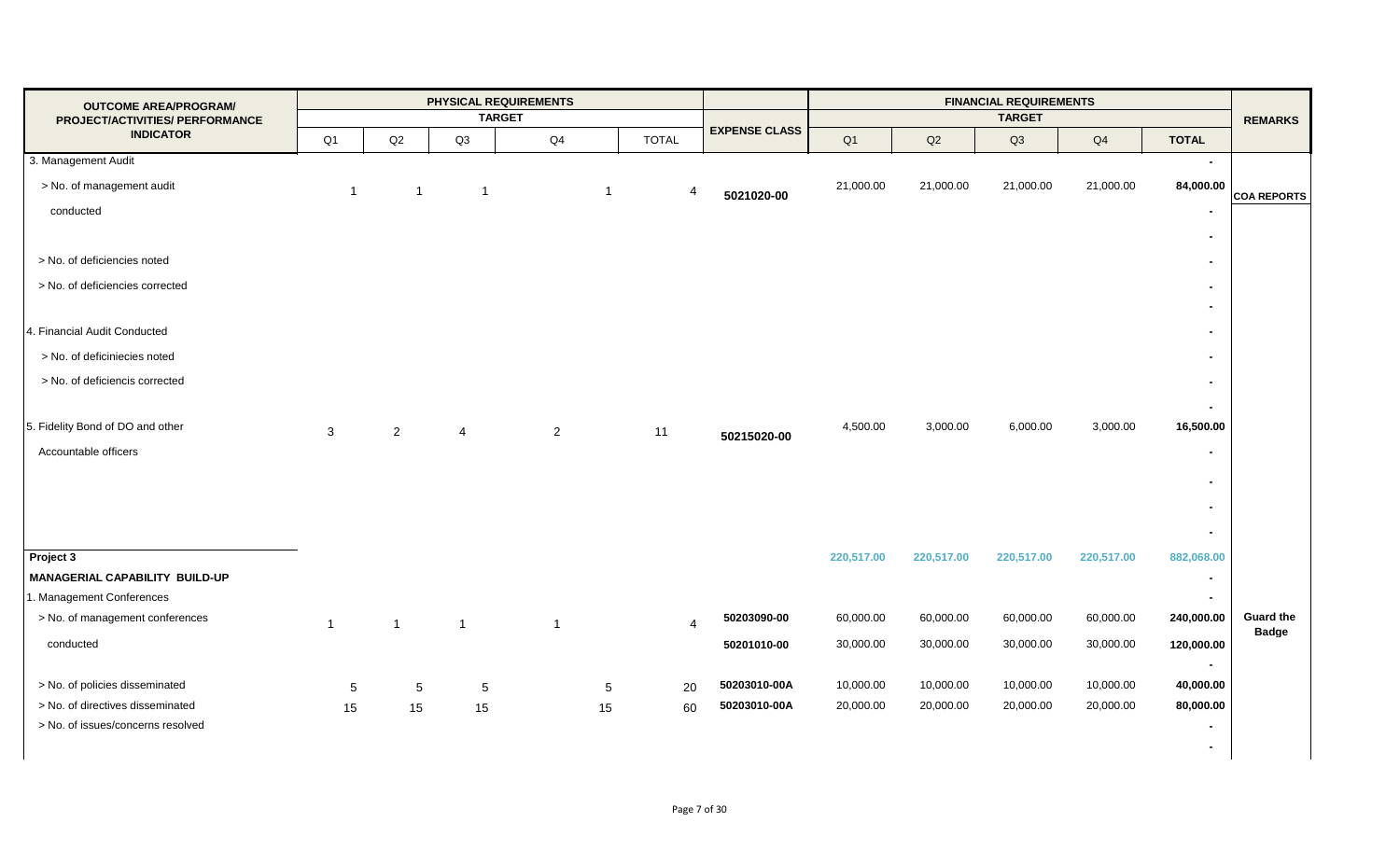| <b>OUTCOME AREA/PROGRAM/</b><br>PROJECT/ACTIVITIES/ PERFORMANCE |                |                 |                | PHYSICAL REQUIREMENTS<br><b>TARGET</b> |                |                      |            |            | <b>FINANCIAL REQUIREMENTS</b><br><b>TARGET</b> |            |                          | <b>REMARKS</b>                   |
|-----------------------------------------------------------------|----------------|-----------------|----------------|----------------------------------------|----------------|----------------------|------------|------------|------------------------------------------------|------------|--------------------------|----------------------------------|
| <b>INDICATOR</b>                                                | Q <sub>1</sub> | Q2              | Q3             | Q4                                     | <b>TOTAL</b>   | <b>EXPENSE CLASS</b> | Q1         | Q2         | Q3                                             | Q4         | <b>TOTAL</b>             |                                  |
| 3. Management Audit                                             |                |                 |                |                                        |                |                      |            |            |                                                |            | $\overline{a}$           |                                  |
| > No. of management audit                                       | $\overline{1}$ | $\mathbf 1$     | $\overline{1}$ | $\overline{1}$                         | 4              | 5021020-00           | 21,000.00  | 21,000.00  | 21,000.00                                      | 21,000.00  | 84,000.00                |                                  |
| conducted                                                       |                |                 |                |                                        |                |                      |            |            |                                                |            |                          | <b>COA REPORTS</b>               |
|                                                                 |                |                 |                |                                        |                |                      |            |            |                                                |            | $\blacksquare$           |                                  |
| > No. of deficiencies noted                                     |                |                 |                |                                        |                |                      |            |            |                                                |            | $\blacksquare$           |                                  |
| > No. of deficiencies corrected                                 |                |                 |                |                                        |                |                      |            |            |                                                |            | $\blacksquare$           |                                  |
|                                                                 |                |                 |                |                                        |                |                      |            |            |                                                |            |                          |                                  |
| 4. Financial Audit Conducted                                    |                |                 |                |                                        |                |                      |            |            |                                                |            | $\blacksquare$           |                                  |
| > No. of deficiniecies noted                                    |                |                 |                |                                        |                |                      |            |            |                                                |            |                          |                                  |
|                                                                 |                |                 |                |                                        |                |                      |            |            |                                                |            |                          |                                  |
| > No. of deficiencis corrected                                  |                |                 |                |                                        |                |                      |            |            |                                                |            | $\blacksquare$           |                                  |
|                                                                 |                |                 |                |                                        |                |                      | 4,500.00   |            | 6,000.00                                       |            |                          |                                  |
| 5. Fidelity Bond of DO and other                                | 3              | $\overline{2}$  | $\overline{4}$ | $\overline{2}$                         | 11             | 50215020-00          |            | 3,000.00   |                                                | 3,000.00   | 16,500.00                |                                  |
| Accountable officers                                            |                |                 |                |                                        |                |                      |            |            |                                                |            | $\blacksquare$           |                                  |
|                                                                 |                |                 |                |                                        |                |                      |            |            |                                                |            | $\blacksquare$           |                                  |
|                                                                 |                |                 |                |                                        |                |                      |            |            |                                                |            | $\blacksquare$           |                                  |
|                                                                 |                |                 |                |                                        |                |                      |            |            |                                                |            | $\blacksquare$           |                                  |
| Project 3                                                       |                |                 |                |                                        |                |                      | 220,517.00 | 220,517.00 | 220,517.00                                     | 220,517.00 | 882,068.00               |                                  |
| MANAGERIAL CAPABILITY BUILD-UP                                  |                |                 |                |                                        |                |                      |            |            |                                                |            | $\blacksquare$           |                                  |
| 1. Management Conferences                                       |                |                 |                |                                        |                |                      |            |            |                                                |            | $\overline{\phantom{0}}$ |                                  |
| > No. of management conferences                                 | $\overline{1}$ | $\overline{1}$  | $\mathbf{1}$   | $\overline{1}$                         | $\overline{4}$ | 50203090-00          | 60,000.00  | 60,000.00  | 60,000.00                                      | 60,000.00  | 240,000.00               | <b>Guard the</b><br><b>Badge</b> |
| conducted                                                       |                |                 |                |                                        |                | 50201010-00          | 30,000.00  | 30,000.00  | 30,000.00                                      | 30,000.00  | 120,000.00               |                                  |
|                                                                 |                |                 |                |                                        |                |                      |            |            |                                                |            | $\blacksquare$           |                                  |
| > No. of policies disseminated                                  | 5              | $5\phantom{.0}$ | 5              | 5                                      | 20             | 50203010-00A         | 10,000.00  | 10,000.00  | 10,000.00                                      | 10,000.00  | 40,000.00                |                                  |
| > No. of directives disseminated                                | 15             | 15              | 15             | 15                                     | 60             | 50203010-00A         | 20,000.00  | 20,000.00  | 20,000.00                                      | 20,000.00  | 80,000.00                |                                  |
| > No. of issues/concerns resolved                               |                |                 |                |                                        |                |                      |            |            |                                                |            |                          |                                  |
|                                                                 |                |                 |                |                                        |                |                      |            |            |                                                |            |                          |                                  |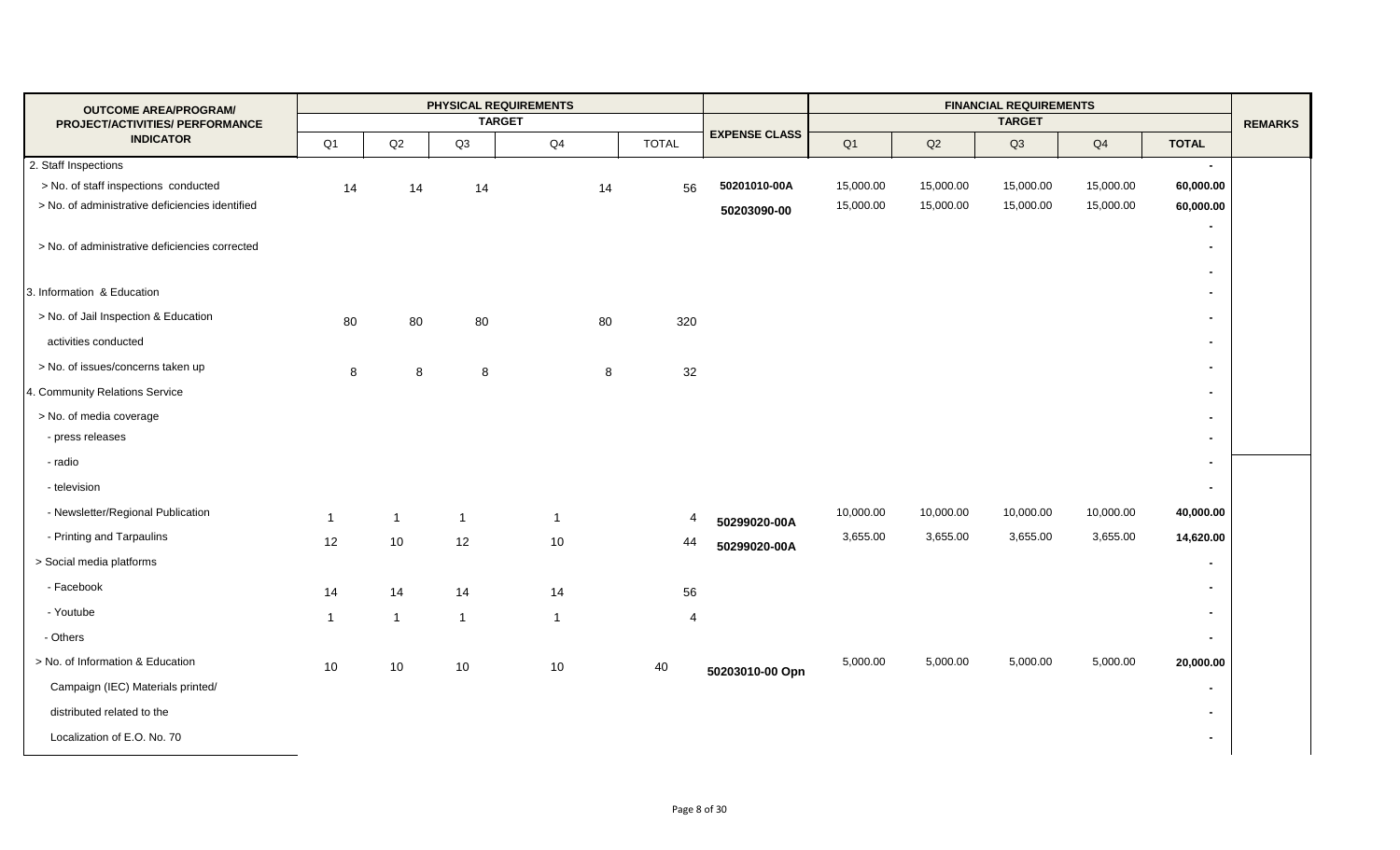| <b>OUTCOME AREA/PROGRAM/</b>                        |                      |                | PHYSICAL REQUIREMENTS |                |              |                      |           |           | <b>FINANCIAL REQUIREMENTS</b> |                |                                    |                |
|-----------------------------------------------------|----------------------|----------------|-----------------------|----------------|--------------|----------------------|-----------|-----------|-------------------------------|----------------|------------------------------------|----------------|
| PROJECT/ACTIVITIES/ PERFORMANCE<br><b>INDICATOR</b> |                      |                | <b>TARGET</b>         |                |              | <b>EXPENSE CLASS</b> |           |           | <b>TARGET</b>                 |                |                                    | <b>REMARKS</b> |
|                                                     | Q <sub>1</sub>       | $\mathsf{Q2}$  | Q3                    | Q4             | <b>TOTAL</b> |                      | Q1        | Q2        | Q3                            | Q <sub>4</sub> | <b>TOTAL</b>                       |                |
| 2. Staff Inspections                                |                      |                |                       |                |              |                      |           |           |                               |                | $\sim$                             |                |
| > No. of staff inspections conducted                | 14                   | 14             | 14                    | 14             | 56           | 50201010-00A         | 15,000.00 | 15,000.00 | 15,000.00                     | 15,000.00      | 60,000.00                          |                |
| > No. of administrative deficiencies identified     |                      |                |                       |                |              | 50203090-00          | 15,000.00 | 15,000.00 | 15,000.00                     | 15,000.00      | 60,000.00                          |                |
| > No. of administrative deficiencies corrected      |                      |                |                       |                |              |                      |           |           |                               |                | $\blacksquare$<br>$\sim$<br>$\sim$ |                |
| 3. Information & Education                          |                      |                |                       |                |              |                      |           |           |                               |                | $\blacksquare$                     |                |
| > No. of Jail Inspection & Education                | 80                   | 80             | 80                    | 80             | 320          |                      |           |           |                               |                | $\sim$                             |                |
| activities conducted                                |                      |                |                       |                |              |                      |           |           |                               |                | $\sim$                             |                |
| > No. of issues/concerns taken up                   | 8                    | $\,8\,$        | 8                     | $\bf8$         | 32           |                      |           |           |                               |                | $\sim$                             |                |
| 4. Community Relations Service                      |                      |                |                       |                |              |                      |           |           |                               |                | $\sim$                             |                |
| > No. of media coverage                             |                      |                |                       |                |              |                      |           |           |                               |                | $\sim$                             |                |
| - press releases                                    |                      |                |                       |                |              |                      |           |           |                               |                | $\overline{a}$                     |                |
| - radio                                             |                      |                |                       |                |              |                      |           |           |                               |                | $\blacksquare$                     |                |
| - television                                        |                      |                |                       |                |              |                      |           |           |                               |                | $\sim$                             |                |
| - Newsletter/Regional Publication                   | $\mathbf{1}$         | $\overline{1}$ | $\overline{1}$        | $\overline{1}$ | 4            | 50299020-00A         | 10,000.00 | 10,000.00 | 10,000.00                     | 10,000.00      | 40,000.00                          |                |
| - Printing and Tarpaulins                           | 12                   | 10             | 12                    | 10             | 44           | 50299020-00A         | 3,655.00  | 3,655.00  | 3,655.00                      | 3,655.00       | 14,620.00                          |                |
| > Social media platforms                            |                      |                |                       |                |              |                      |           |           |                               |                | $\blacksquare$                     |                |
| - Facebook                                          | 14                   | 14             | 14                    | 14             | 56           |                      |           |           |                               |                | $\sim$                             |                |
| - Youtube                                           | $\blacktriangleleft$ | $\overline{1}$ | $\mathbf{1}$          | $\overline{1}$ | 4            |                      |           |           |                               |                | $\sim$                             |                |
| - Others                                            |                      |                |                       |                |              |                      |           |           |                               |                | $\sim$                             |                |
| > No. of Information & Education                    | 10                   | 10             | 10                    | $10\,$         | 40           | 50203010-00 Opn      | 5,000.00  | 5,000.00  | 5,000.00                      | 5,000.00       | 20,000.00                          |                |
| Campaign (IEC) Materials printed/                   |                      |                |                       |                |              |                      |           |           |                               |                | $\blacksquare$                     |                |
| distributed related to the                          |                      |                |                       |                |              |                      |           |           |                               |                | $\blacksquare$                     |                |
| Localization of E.O. No. 70                         |                      |                |                       |                |              |                      |           |           |                               |                | $\sim$                             |                |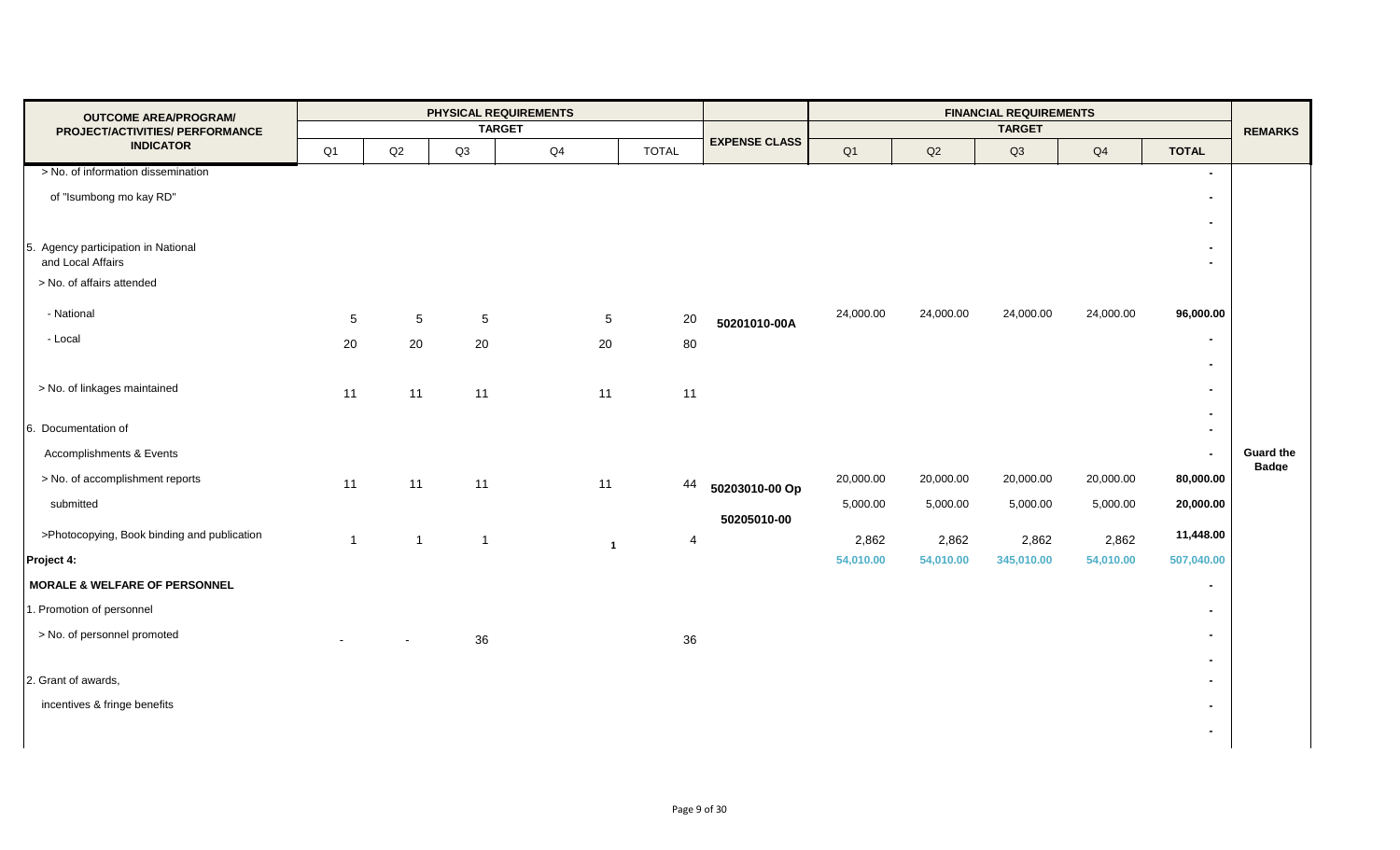| <b>OUTCOME AREA/PROGRAM/</b>                |                          |                 |                | PHYSICAL REQUIREMENTS |                         |                      |           |           | <b>FINANCIAL REQUIREMENTS</b> |           |                          |                                  |
|---------------------------------------------|--------------------------|-----------------|----------------|-----------------------|-------------------------|----------------------|-----------|-----------|-------------------------------|-----------|--------------------------|----------------------------------|
| PROJECT/ACTIVITIES/ PERFORMANCE             |                          |                 |                | <b>TARGET</b>         |                         | <b>EXPENSE CLASS</b> |           |           | <b>TARGET</b>                 |           |                          | <b>REMARKS</b>                   |
| <b>INDICATOR</b>                            | Q1                       | Q2              | Q3             | $\mathsf{Q}4$         | <b>TOTAL</b>            |                      | Q1        | Q2        | Q3                            | Q4        | <b>TOTAL</b>             |                                  |
| > No. of information dissemination          |                          |                 |                |                       |                         |                      |           |           |                               |           | $\blacksquare$           |                                  |
| of "Isumbong mo kay RD"                     |                          |                 |                |                       |                         |                      |           |           |                               |           | $\blacksquare$           |                                  |
|                                             |                          |                 |                |                       |                         |                      |           |           |                               |           | $\blacksquare$           |                                  |
| 5. Agency participation in National         |                          |                 |                |                       |                         |                      |           |           |                               |           | $\blacksquare$           |                                  |
| and Local Affairs                           |                          |                 |                |                       |                         |                      |           |           |                               |           | $\overline{\phantom{0}}$ |                                  |
| > No. of affairs attended                   |                          |                 |                |                       |                         |                      |           |           |                               |           |                          |                                  |
| - National                                  |                          |                 |                |                       |                         |                      | 24,000.00 | 24,000.00 | 24,000.00                     | 24,000.00 | 96,000.00                |                                  |
| - Local                                     | $5\overline{)}$          | $5\phantom{.0}$ | 5              | $5\phantom{.0}$       | 20                      | 50201010-00A         |           |           |                               |           | $\blacksquare$           |                                  |
|                                             | 20                       | 20              | 20             | 20                    | 80                      |                      |           |           |                               |           |                          |                                  |
|                                             |                          |                 |                |                       |                         |                      |           |           |                               |           | $\blacksquare$           |                                  |
| > No. of linkages maintained                | 11                       | 11              | 11             | 11                    | 11                      |                      |           |           |                               |           | $\sim$                   |                                  |
|                                             |                          |                 |                |                       |                         |                      |           |           |                               |           | $\blacksquare$           |                                  |
| 6. Documentation of                         |                          |                 |                |                       |                         |                      |           |           |                               |           | $\blacksquare$           |                                  |
| Accomplishments & Events                    |                          |                 |                |                       |                         |                      |           |           |                               |           | $\blacksquare$           | <b>Guard the</b><br><b>Badge</b> |
| > No. of accomplishment reports             | 11                       | 11              | 11             | 11                    | 44                      | 50203010-00 Op       | 20,000.00 | 20,000.00 | 20,000.00                     | 20,000.00 | 80,000.00                |                                  |
| submitted                                   |                          |                 |                |                       |                         |                      | 5,000.00  | 5,000.00  | 5,000.00                      | 5,000.00  | 20,000.00                |                                  |
| >Photocopying, Book binding and publication |                          |                 |                |                       |                         | 50205010-00          |           |           |                               |           | 11,448.00                |                                  |
|                                             | $\overline{1}$           | $\overline{1}$  | $\overline{1}$ | $\mathbf{1}$          | $\overline{\mathbf{4}}$ |                      | 2,862     | 2,862     | 2,862                         | 2,862     |                          |                                  |
| Project 4:                                  |                          |                 |                |                       |                         |                      | 54,010.00 | 54,010.00 | 345,010.00                    | 54,010.00 | 507,040.00               |                                  |
| <b>MORALE &amp; WELFARE OF PERSONNEL</b>    |                          |                 |                |                       |                         |                      |           |           |                               |           | $\blacksquare$           |                                  |
| 1. Promotion of personnel                   |                          |                 |                |                       |                         |                      |           |           |                               |           | $\blacksquare$           |                                  |
| > No. of personnel promoted                 | $\overline{\phantom{a}}$ | $\sim$          | 36             |                       | 36                      |                      |           |           |                               |           | $\blacksquare$           |                                  |
|                                             |                          |                 |                |                       |                         |                      |           |           |                               |           | $\sim$                   |                                  |
| 2. Grant of awards,                         |                          |                 |                |                       |                         |                      |           |           |                               |           | $\blacksquare$           |                                  |
| incentives & fringe benefits                |                          |                 |                |                       |                         |                      |           |           |                               |           | $\blacksquare$           |                                  |
|                                             |                          |                 |                |                       |                         |                      |           |           |                               |           | $\blacksquare$           |                                  |
|                                             |                          |                 |                |                       |                         |                      |           |           |                               |           |                          |                                  |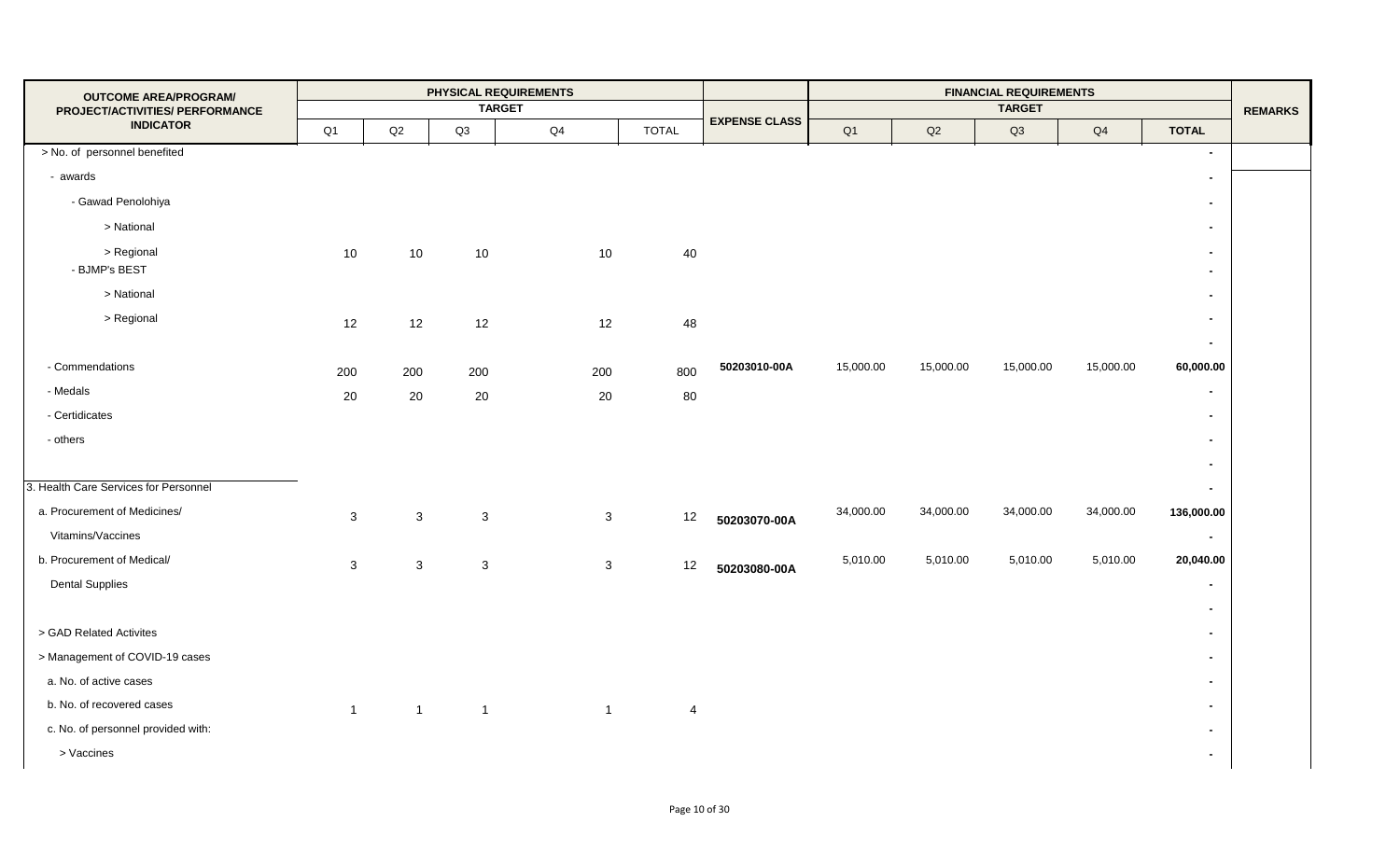| <b>OUTCOME AREA/PROGRAM/</b>          |              |                |                | PHYSICAL REQUIREMENTS |                |                      |           |           | <b>FINANCIAL REQUIREMENTS</b> |           |                                  |                |
|---------------------------------------|--------------|----------------|----------------|-----------------------|----------------|----------------------|-----------|-----------|-------------------------------|-----------|----------------------------------|----------------|
| PROJECT/ACTIVITIES/ PERFORMANCE       |              |                |                | <b>TARGET</b>         |                | <b>EXPENSE CLASS</b> |           |           | <b>TARGET</b>                 |           |                                  | <b>REMARKS</b> |
| <b>INDICATOR</b>                      | Q1           | $\mathsf{Q2}$  | Q3             | $\mathsf{Q}4$         | <b>TOTAL</b>   |                      | Q1        | Q2        | Q3                            | Q4        | <b>TOTAL</b>                     |                |
| > No. of personnel benefited          |              |                |                |                       |                |                      |           |           |                               |           | $\sim$                           |                |
| - awards                              |              |                |                |                       |                |                      |           |           |                               |           | $\blacksquare$                   |                |
| - Gawad Penolohiya                    |              |                |                |                       |                |                      |           |           |                               |           | $\blacksquare$                   |                |
| > National                            |              |                |                |                       |                |                      |           |           |                               |           | $\blacksquare$                   |                |
| > Regional<br>- BJMP's BEST           | 10           | 10             | 10             | 10                    | 40             |                      |           |           |                               |           | $\blacksquare$<br>$\blacksquare$ |                |
| > National                            |              |                |                |                       |                |                      |           |           |                               |           | $\blacksquare$                   |                |
| > Regional                            | 12           | 12             | 12             | 12                    | 48             |                      |           |           |                               |           | $\blacksquare$<br>$\blacksquare$ |                |
| - Commendations                       | 200          | 200            | 200            | 200                   | 800            | 50203010-00A         | 15,000.00 | 15,000.00 | 15,000.00                     | 15,000.00 | 60,000.00                        |                |
| - Medals                              | 20           | 20             | 20             | 20                    | 80             |                      |           |           |                               |           | $\sim$                           |                |
| - Certidicates                        |              |                |                |                       |                |                      |           |           |                               |           | $\blacksquare$                   |                |
| - others                              |              |                |                |                       |                |                      |           |           |                               |           | $\blacksquare$                   |                |
|                                       |              |                |                |                       |                |                      |           |           |                               |           | $\sim$                           |                |
| 3. Health Care Services for Personnel |              |                |                |                       |                |                      |           |           |                               |           | $\sim$                           |                |
| a. Procurement of Medicines/          | $\mathbf{3}$ | $\mathbf{3}$   | $\mathbf{3}$   | 3                     | 12             | 50203070-00A         | 34,000.00 | 34,000.00 | 34,000.00                     | 34,000.00 | 136,000.00                       |                |
| Vitamins/Vaccines                     |              |                |                |                       |                |                      |           |           |                               |           | $\sim$                           |                |
| b. Procurement of Medical/            | $\mathbf{3}$ | $\mathbf{3}$   | $\mathbf{3}$   | $\mathbf{3}$          | 12             | 50203080-00A         | 5,010.00  | 5,010.00  | 5,010.00                      | 5,010.00  | 20,040.00                        |                |
| <b>Dental Supplies</b>                |              |                |                |                       |                |                      |           |           |                               |           | $\blacksquare$                   |                |
|                                       |              |                |                |                       |                |                      |           |           |                               |           | $\blacksquare$                   |                |
| > GAD Related Activites               |              |                |                |                       |                |                      |           |           |                               |           | $\blacksquare$                   |                |
| > Management of COVID-19 cases        |              |                |                |                       |                |                      |           |           |                               |           | $\blacksquare$                   |                |
| a. No. of active cases                |              |                |                |                       |                |                      |           |           |                               |           | $\blacksquare$                   |                |
| b. No. of recovered cases             | $\mathbf{1}$ | $\overline{1}$ | $\overline{1}$ | $\overline{1}$        | $\overline{4}$ |                      |           |           |                               |           | $\blacksquare$                   |                |
| c. No. of personnel provided with:    |              |                |                |                       |                |                      |           |           |                               |           | $\blacksquare$                   |                |
| > Vaccines                            |              |                |                |                       |                |                      |           |           |                               |           | $\sim$                           |                |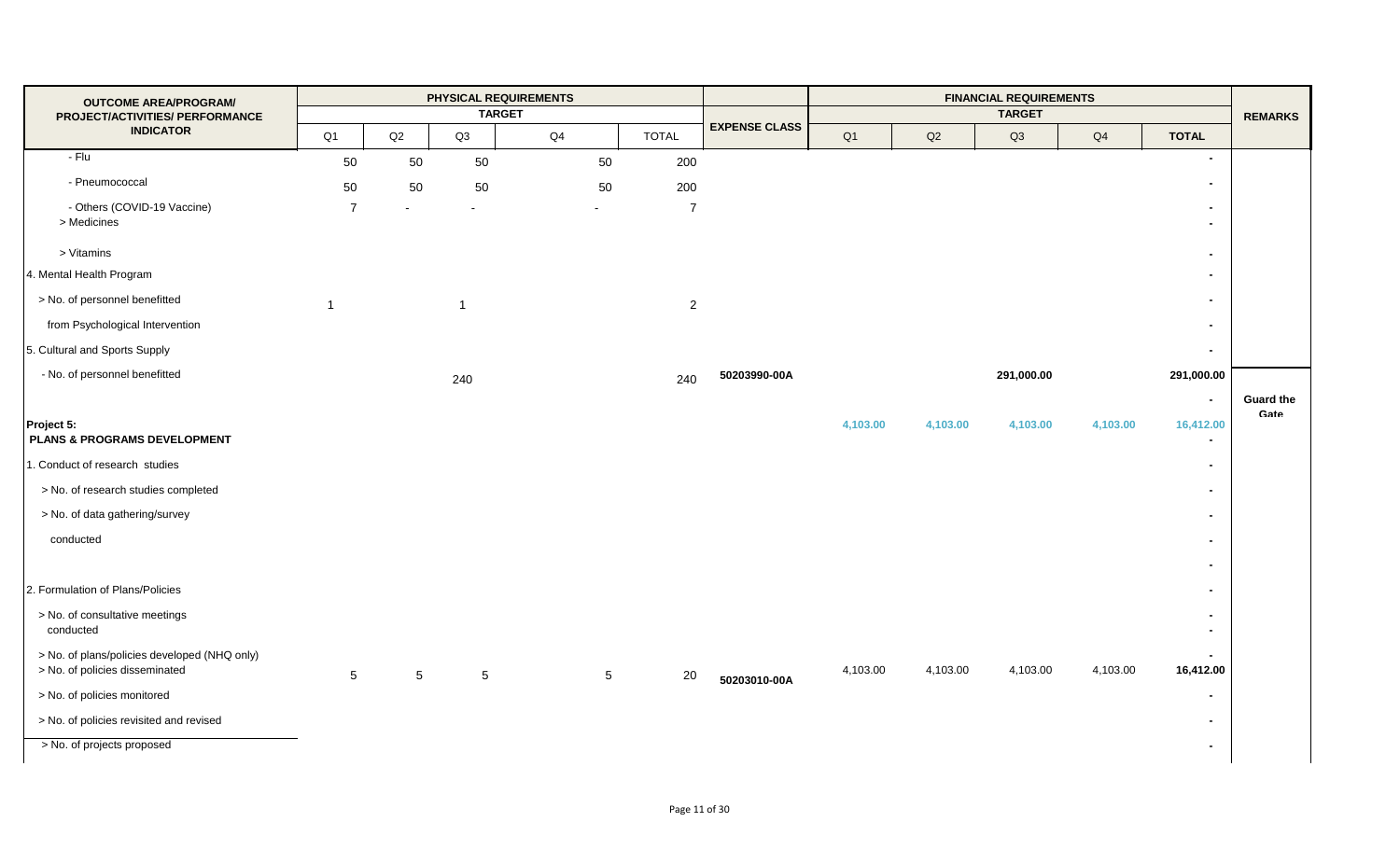| <b>OUTCOME AREA/PROGRAM/</b>                                                   |                 |                 |                | PHYSICAL REQUIREMENTS |                 |                |                      |                |          | <b>FINANCIAL REQUIREMENTS</b> |                |                                            |                  |
|--------------------------------------------------------------------------------|-----------------|-----------------|----------------|-----------------------|-----------------|----------------|----------------------|----------------|----------|-------------------------------|----------------|--------------------------------------------|------------------|
| PROJECT/ACTIVITIES/ PERFORMANCE                                                |                 |                 |                | <b>TARGET</b>         |                 |                | <b>EXPENSE CLASS</b> |                |          | <b>TARGET</b>                 |                |                                            | <b>REMARKS</b>   |
| <b>INDICATOR</b>                                                               | Q1              | Q2              | Q3             | Q4                    |                 | <b>TOTAL</b>   |                      | Q <sub>1</sub> | Q2       | Q3                            | Q <sub>4</sub> | <b>TOTAL</b>                               |                  |
| - Flu                                                                          | 50              | 50              | 50             |                       | 50              | 200            |                      |                |          |                               |                | $\blacksquare$                             |                  |
| - Pneumococcal                                                                 | 50              | 50              | 50             |                       | 50              | 200            |                      |                |          |                               |                | $\blacksquare$                             |                  |
| - Others (COVID-19 Vaccine)<br>> Medicines                                     | $\overline{7}$  |                 |                |                       |                 | $\overline{7}$ |                      |                |          |                               |                | $\blacksquare$<br>$\overline{\phantom{0}}$ |                  |
| > Vitamins                                                                     |                 |                 |                |                       |                 |                |                      |                |          |                               |                | $\blacksquare$                             |                  |
| 4. Mental Health Program                                                       |                 |                 |                |                       |                 |                |                      |                |          |                               |                | $\blacksquare$                             |                  |
| > No. of personnel benefitted                                                  | $\overline{1}$  |                 | $\overline{1}$ |                       |                 | $\overline{2}$ |                      |                |          |                               |                | $\blacksquare$                             |                  |
| from Psychological Intervention                                                |                 |                 |                |                       |                 |                |                      |                |          |                               |                | $\blacksquare$                             |                  |
| 5. Cultural and Sports Supply                                                  |                 |                 |                |                       |                 |                |                      |                |          |                               |                | $\blacksquare$                             |                  |
| - No. of personnel benefitted                                                  |                 |                 | 240            |                       |                 | 240            | 50203990-00A         |                |          | 291,000.00                    |                | 291,000.00                                 |                  |
|                                                                                |                 |                 |                |                       |                 |                |                      |                |          |                               |                | $\overline{\phantom{a}}$                   | <b>Guard the</b> |
| Project 5:<br>PLANS & PROGRAMS DEVELOPMENT                                     |                 |                 |                |                       |                 |                |                      | 4,103.00       | 4,103.00 | 4,103.00                      | 4,103.00       | 16,412.00<br>$\blacksquare$                | Gate             |
| 1. Conduct of research studies                                                 |                 |                 |                |                       |                 |                |                      |                |          |                               |                | $\blacksquare$                             |                  |
| > No. of research studies completed                                            |                 |                 |                |                       |                 |                |                      |                |          |                               |                | $\blacksquare$                             |                  |
| > No. of data gathering/survey                                                 |                 |                 |                |                       |                 |                |                      |                |          |                               |                | $\blacksquare$                             |                  |
| conducted                                                                      |                 |                 |                |                       |                 |                |                      |                |          |                               |                | $\blacksquare$                             |                  |
|                                                                                |                 |                 |                |                       |                 |                |                      |                |          |                               |                | $\blacksquare$                             |                  |
| 2. Formulation of Plans/Policies                                               |                 |                 |                |                       |                 |                |                      |                |          |                               |                | $\blacksquare$                             |                  |
| > No. of consultative meetings<br>conducted                                    |                 |                 |                |                       |                 |                |                      |                |          |                               |                | $\blacksquare$<br>$\blacksquare$           |                  |
| > No. of plans/policies developed (NHQ only)<br>> No. of policies disseminated | $5\phantom{.0}$ | $5\phantom{.0}$ | $\,$ 5 $\,$    |                       | $5\phantom{.0}$ | 20             | 50203010-00A         | 4,103.00       | 4,103.00 | 4,103.00                      | 4,103.00       | $\blacksquare$<br>16,412.00                |                  |
| > No. of policies monitored                                                    |                 |                 |                |                       |                 |                |                      |                |          |                               |                | $\blacksquare$                             |                  |
| > No. of policies revisited and revised                                        |                 |                 |                |                       |                 |                |                      |                |          |                               |                | $\blacksquare$                             |                  |
| > No. of projects proposed                                                     |                 |                 |                |                       |                 |                |                      |                |          |                               |                | $\blacksquare$                             |                  |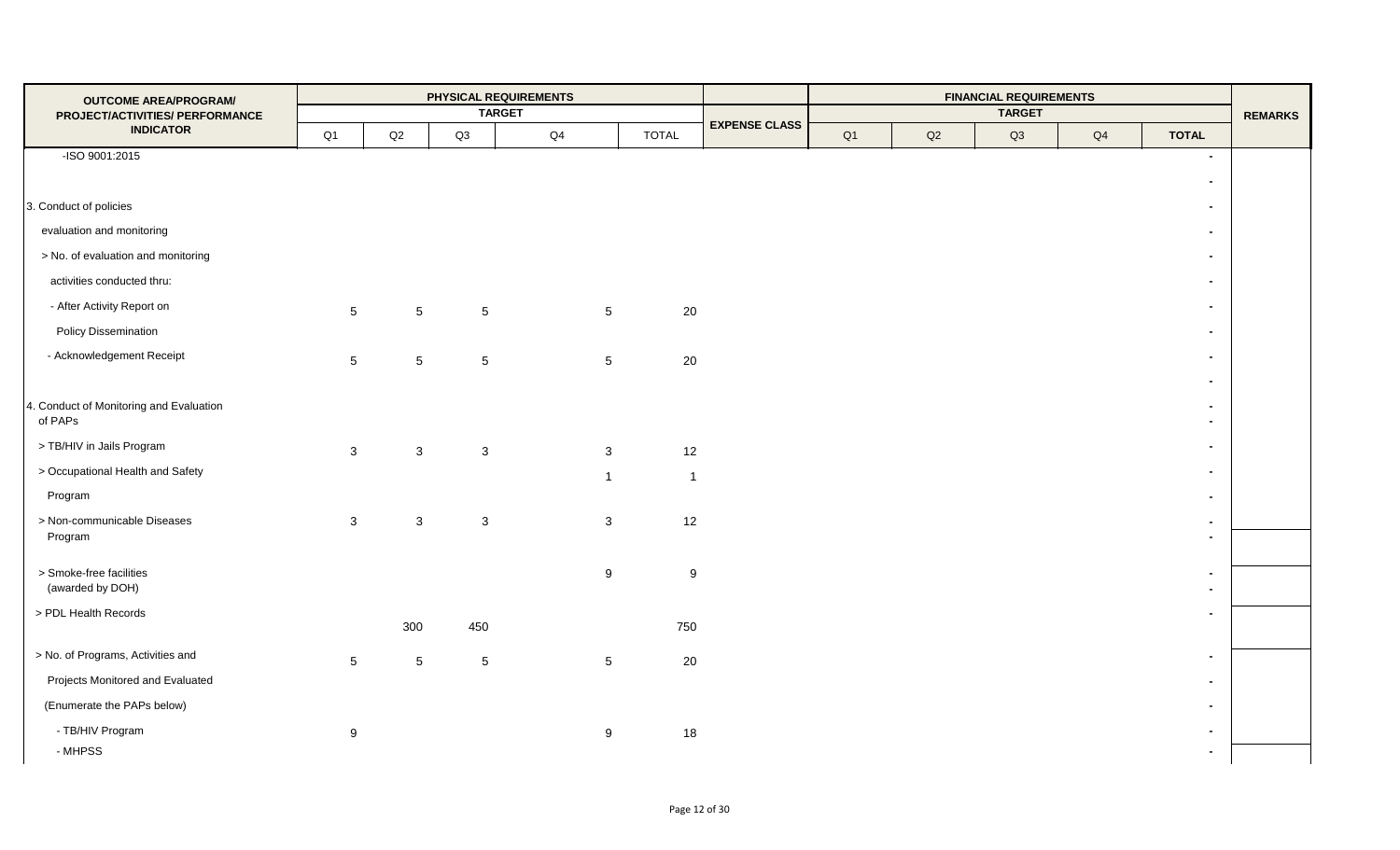| <b>OUTCOME AREA/PROGRAM/</b>                        |                 |                 |                 | PHYSICAL REQUIREMENTS |                |                      |    |    | <b>FINANCIAL REQUIREMENTS</b> |    |                                  |                |
|-----------------------------------------------------|-----------------|-----------------|-----------------|-----------------------|----------------|----------------------|----|----|-------------------------------|----|----------------------------------|----------------|
| PROJECT/ACTIVITIES/ PERFORMANCE<br><b>INDICATOR</b> |                 |                 |                 | <b>TARGET</b>         |                | <b>EXPENSE CLASS</b> |    |    | <b>TARGET</b>                 |    |                                  | <b>REMARKS</b> |
|                                                     | Q1              | Q2              | Q3              | Q4                    | <b>TOTAL</b>   |                      | Q1 | Q2 | Q3                            | Q4 | <b>TOTAL</b>                     |                |
| -ISO 9001:2015                                      |                 |                 |                 |                       |                |                      |    |    |                               |    | $\sim$                           |                |
|                                                     |                 |                 |                 |                       |                |                      |    |    |                               |    | $\blacksquare$                   |                |
| 3. Conduct of policies                              |                 |                 |                 |                       |                |                      |    |    |                               |    | $\blacksquare$                   |                |
| evaluation and monitoring                           |                 |                 |                 |                       |                |                      |    |    |                               |    | $\sim$                           |                |
| > No. of evaluation and monitoring                  |                 |                 |                 |                       |                |                      |    |    |                               |    | $\blacksquare$                   |                |
| activities conducted thru:                          |                 |                 |                 |                       |                |                      |    |    |                               |    | $\blacksquare$                   |                |
| - After Activity Report on                          | $5\phantom{.0}$ | $5\phantom{.0}$ | $5\phantom{.0}$ | $\overline{5}$        | $20\,$         |                      |    |    |                               |    | $\blacksquare$                   |                |
| <b>Policy Dissemination</b>                         |                 |                 |                 |                       |                |                      |    |    |                               |    | $\sim$                           |                |
| - Acknowledgement Receipt                           | $5\overline{)}$ | $5\phantom{.0}$ | $5\phantom{.0}$ | $\overline{5}$        | 20             |                      |    |    |                               |    | $\blacksquare$                   |                |
|                                                     |                 |                 |                 |                       |                |                      |    |    |                               |    | $\sim$                           |                |
| . Conduct of Monitoring and Evaluation<br>of PAPs   |                 |                 |                 |                       |                |                      |    |    |                               |    | $\blacksquare$<br>$\blacksquare$ |                |
| > TB/HIV in Jails Program                           | $\mathbf{3}$    | $\mathbf{3}$    | $\mathbf{3}$    | $\mathbf{3}$          | 12             |                      |    |    |                               |    | $\blacksquare$                   |                |
| > Occupational Health and Safety                    |                 |                 |                 | $\mathbf{1}$          | $\overline{1}$ |                      |    |    |                               |    | $\blacksquare$                   |                |
| Program                                             |                 |                 |                 |                       |                |                      |    |    |                               |    | $\blacksquare$                   |                |
| > Non-communicable Diseases                         | $\mathbf{3}$    | $\mathbf{3}$    | $\mathbf{3}$    | $\mathbf{3}$          | 12             |                      |    |    |                               |    | $\blacksquare$                   |                |
| Program                                             |                 |                 |                 |                       |                |                      |    |    |                               |    | $\blacksquare$                   |                |
| > Smoke-free facilities                             |                 |                 |                 | $\boldsymbol{9}$      | $9\,$          |                      |    |    |                               |    | $\blacksquare$                   |                |
| (awarded by DOH)                                    |                 |                 |                 |                       |                |                      |    |    |                               |    | $\blacksquare$                   |                |
| > PDL Health Records                                |                 |                 |                 |                       |                |                      |    |    |                               |    | $\overline{\phantom{a}}$         |                |
|                                                     |                 | 300             | 450             |                       | 750            |                      |    |    |                               |    |                                  |                |
| > No. of Programs, Activities and                   | 5               | $5\phantom{.0}$ | $5\phantom{.0}$ | $\sqrt{5}$            | $20\,$         |                      |    |    |                               |    | $\blacksquare$                   |                |
| Projects Monitored and Evaluated                    |                 |                 |                 |                       |                |                      |    |    |                               |    | $\sim$                           |                |
| (Enumerate the PAPs below)                          |                 |                 |                 |                       |                |                      |    |    |                               |    | $\blacksquare$                   |                |
| - TB/HIV Program                                    | 9               |                 |                 | 9                     | 18             |                      |    |    |                               |    | $\sim$                           |                |
| - MHPSS                                             |                 |                 |                 |                       |                |                      |    |    |                               |    | $\blacksquare$                   |                |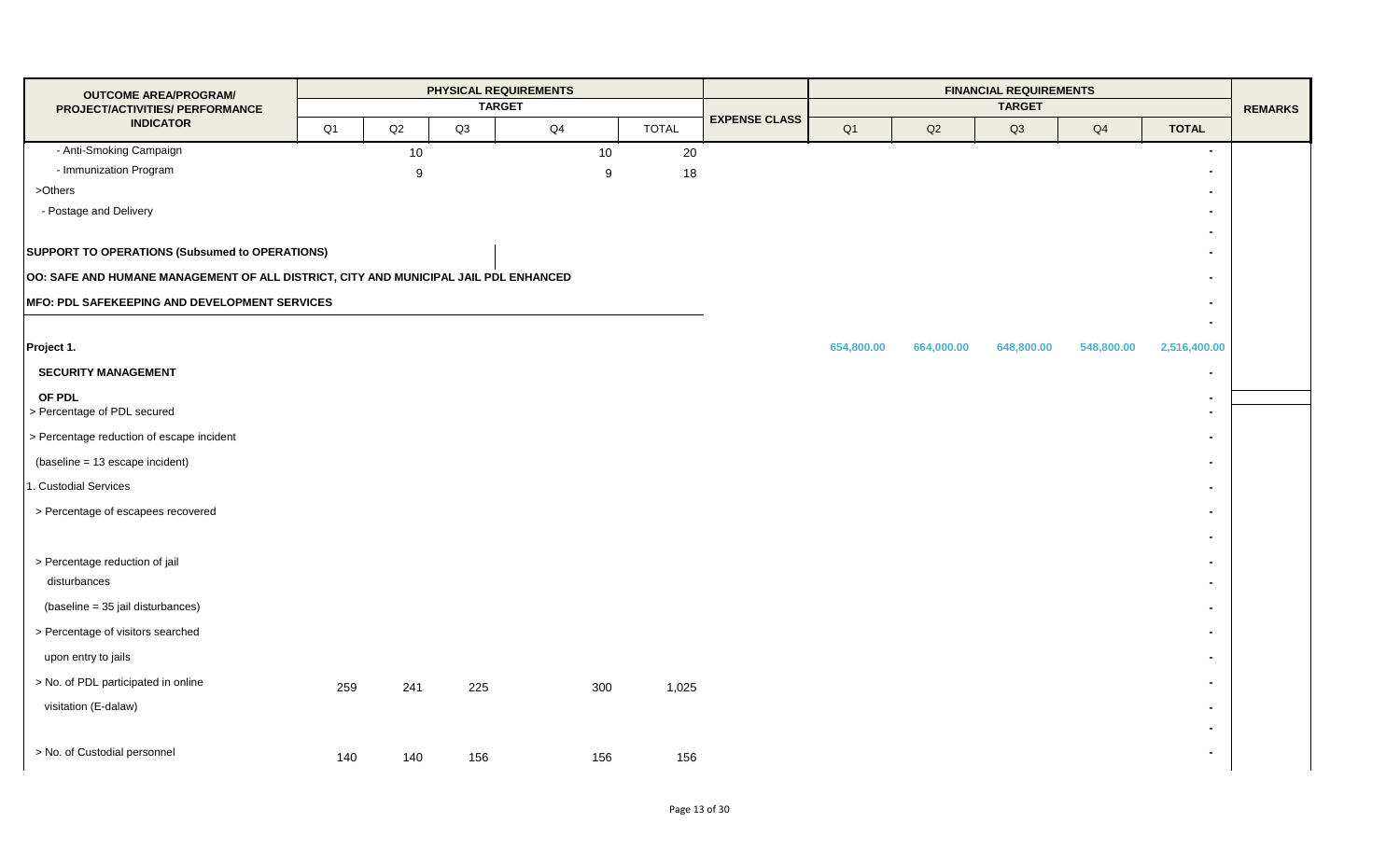| <b>OUTCOME AREA/PROGRAM/</b>                                                         |     |                  |     | PHYSICAL REQUIREMENTS<br><b>TARGET</b> |     |              |                      |            |               | <b>FINANCIAL REQUIREMENTS</b><br><b>TARGET</b> |                |                                  |                |
|--------------------------------------------------------------------------------------|-----|------------------|-----|----------------------------------------|-----|--------------|----------------------|------------|---------------|------------------------------------------------|----------------|----------------------------------|----------------|
| PROJECT/ACTIVITIES/ PERFORMANCE<br><b>INDICATOR</b>                                  | Q1  | $\mathsf{Q2}$    | Q3  | Q4                                     |     | <b>TOTAL</b> | <b>EXPENSE CLASS</b> | Q1         | $\mathsf{Q2}$ | Q3                                             | Q <sub>4</sub> | <b>TOTAL</b>                     | <b>REMARKS</b> |
| - Anti-Smoking Campaign                                                              |     | $10\,$           |     |                                        | 10  | 20           |                      |            |               |                                                |                | $\overline{\phantom{a}}$         |                |
| - Immunization Program                                                               |     | $\boldsymbol{9}$ |     |                                        | 9   | 18           |                      |            |               |                                                |                |                                  |                |
| >Others                                                                              |     |                  |     |                                        |     |              |                      |            |               |                                                |                | $\blacksquare$                   |                |
| - Postage and Delivery                                                               |     |                  |     |                                        |     |              |                      |            |               |                                                |                | $\blacksquare$                   |                |
|                                                                                      |     |                  |     |                                        |     |              |                      |            |               |                                                |                |                                  |                |
| SUPPORT TO OPERATIONS (Subsumed to OPERATIONS)                                       |     |                  |     |                                        |     |              |                      |            |               |                                                |                | $\blacksquare$                   |                |
| OO: SAFE AND HUMANE MANAGEMENT OF ALL DISTRICT, CITY AND MUNICIPAL JAIL PDL ENHANCED |     |                  |     |                                        |     |              |                      |            |               |                                                |                | $\blacksquare$                   |                |
| MFO: PDL SAFEKEEPING AND DEVELOPMENT SERVICES                                        |     |                  |     |                                        |     |              |                      |            |               |                                                |                | $\overline{\phantom{0}}$         |                |
|                                                                                      |     |                  |     |                                        |     |              |                      |            |               |                                                |                | $\blacksquare$                   |                |
| Project 1.                                                                           |     |                  |     |                                        |     |              |                      | 654,800.00 | 664,000.00    | 648,800.00                                     | 548,800.00     | 2,516,400.00                     |                |
| <b>SECURITY MANAGEMENT</b>                                                           |     |                  |     |                                        |     |              |                      |            |               |                                                |                |                                  |                |
| OF PDL<br>> Percentage of PDL secured                                                |     |                  |     |                                        |     |              |                      |            |               |                                                |                | $\blacksquare$<br>$\blacksquare$ |                |
| > Percentage reduction of escape incident                                            |     |                  |     |                                        |     |              |                      |            |               |                                                |                | $\blacksquare$                   |                |
| (baseline = 13 escape incident)                                                      |     |                  |     |                                        |     |              |                      |            |               |                                                |                | $\blacksquare$                   |                |
| 1. Custodial Services                                                                |     |                  |     |                                        |     |              |                      |            |               |                                                |                | $\blacksquare$                   |                |
| > Percentage of escapees recovered                                                   |     |                  |     |                                        |     |              |                      |            |               |                                                |                | $\blacksquare$                   |                |
|                                                                                      |     |                  |     |                                        |     |              |                      |            |               |                                                |                | $\blacksquare$                   |                |
| > Percentage reduction of jail                                                       |     |                  |     |                                        |     |              |                      |            |               |                                                |                | $\blacksquare$                   |                |
| disturbances                                                                         |     |                  |     |                                        |     |              |                      |            |               |                                                |                | $\blacksquare$                   |                |
| (baseline = 35 jail disturbances)                                                    |     |                  |     |                                        |     |              |                      |            |               |                                                |                | $\blacksquare$                   |                |
| > Percentage of visitors searched                                                    |     |                  |     |                                        |     |              |                      |            |               |                                                |                | $\blacksquare$                   |                |
| upon entry to jails                                                                  |     |                  |     |                                        |     |              |                      |            |               |                                                |                | $\overline{\phantom{0}}$         |                |
| > No. of PDL participated in online                                                  | 259 | 241              | 225 |                                        | 300 | 1,025        |                      |            |               |                                                |                | $\blacksquare$                   |                |
| visitation (E-dalaw)                                                                 |     |                  |     |                                        |     |              |                      |            |               |                                                |                | $\blacksquare$                   |                |
|                                                                                      |     |                  |     |                                        |     |              |                      |            |               |                                                |                | $\overline{\phantom{0}}$         |                |
| > No. of Custodial personnel                                                         | 140 | 140              | 156 |                                        | 156 | 156          |                      |            |               |                                                |                | $\blacksquare$                   |                |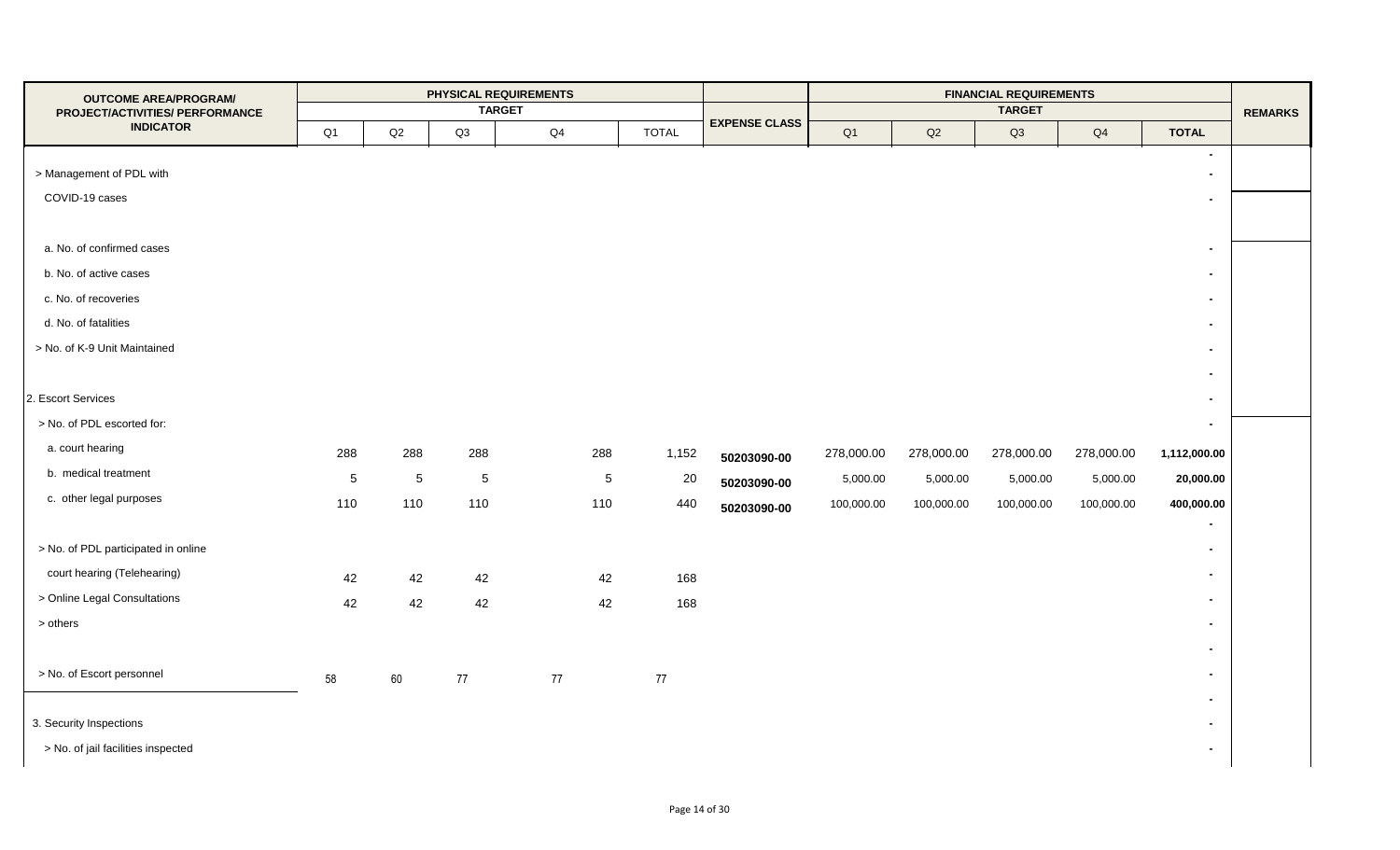| <b>OUTCOME AREA/PROGRAM/</b>        |            |            |             | PHYSICAL REQUIREMENTS |     |              |                      |            |            | <b>FINANCIAL REQUIREMENTS</b> |            |                          |                |
|-------------------------------------|------------|------------|-------------|-----------------------|-----|--------------|----------------------|------------|------------|-------------------------------|------------|--------------------------|----------------|
| PROJECT/ACTIVITIES/ PERFORMANCE     |            |            |             | <b>TARGET</b>         |     |              | <b>EXPENSE CLASS</b> |            |            | <b>TARGET</b>                 |            |                          | <b>REMARKS</b> |
| <b>INDICATOR</b>                    | Q1         | Q2         | Q3          | $\mathsf{Q}4$         |     | <b>TOTAL</b> |                      | Q1         | Q2         | Q3                            | Q4         | <b>TOTAL</b>             |                |
|                                     |            |            |             |                       |     |              |                      |            |            |                               |            | $\sim$                   |                |
| > Management of PDL with            |            |            |             |                       |     |              |                      |            |            |                               |            | $\blacksquare$           |                |
| COVID-19 cases                      |            |            |             |                       |     |              |                      |            |            |                               |            | $\sim$                   |                |
|                                     |            |            |             |                       |     |              |                      |            |            |                               |            |                          |                |
| a. No. of confirmed cases           |            |            |             |                       |     |              |                      |            |            |                               |            | $\blacksquare$           |                |
| b. No. of active cases              |            |            |             |                       |     |              |                      |            |            |                               |            | $\sim$                   |                |
| c. No. of recoveries                |            |            |             |                       |     |              |                      |            |            |                               |            | $\blacksquare$           |                |
| d. No. of fatalities                |            |            |             |                       |     |              |                      |            |            |                               |            | $\sim$                   |                |
| > No. of K-9 Unit Maintained        |            |            |             |                       |     |              |                      |            |            |                               |            | $\blacksquare$           |                |
|                                     |            |            |             |                       |     |              |                      |            |            |                               |            | $\blacksquare$           |                |
| 2. Escort Services                  |            |            |             |                       |     |              |                      |            |            |                               |            | $\blacksquare$           |                |
| > No. of PDL escorted for:          |            |            |             |                       |     |              |                      |            |            |                               |            | $\sim$                   |                |
| a. court hearing                    | 288        | 288        | 288         |                       | 288 | 1,152        | 50203090-00          | 278,000.00 | 278,000.00 | 278,000.00                    | 278,000.00 | 1,112,000.00             |                |
| b. medical treatment                | $\sqrt{5}$ | $\sqrt{5}$ | $\,$ 5 $\,$ |                       | 5   | 20           |                      | 5,000.00   | 5,000.00   | 5,000.00                      | 5,000.00   | 20,000.00                |                |
| c. other legal purposes             | 110        | 110        | 110         |                       | 110 | 440          | 50203090-00          | 100,000.00 | 100,000.00 | 100,000.00                    | 100,000.00 | 400,000.00               |                |
|                                     |            |            |             |                       |     |              | 50203090-00          |            |            |                               |            | $\blacksquare$           |                |
| > No. of PDL participated in online |            |            |             |                       |     |              |                      |            |            |                               |            | $\blacksquare$           |                |
| court hearing (Telehearing)         | 42         | 42         | 42          |                       | 42  | 168          |                      |            |            |                               |            | $\blacksquare$           |                |
| > Online Legal Consultations        | 42         | 42         |             |                       | 42  | 168          |                      |            |            |                               |            | $\blacksquare$           |                |
| $>$ others                          |            |            | 42          |                       |     |              |                      |            |            |                               |            | $\blacksquare$           |                |
|                                     |            |            |             |                       |     |              |                      |            |            |                               |            | $\sim$                   |                |
| > No. of Escort personnel           |            |            |             |                       |     |              |                      |            |            |                               |            | $\blacksquare$           |                |
|                                     | 58         | 60         | 77          | 77                    |     | 77           |                      |            |            |                               |            |                          |                |
|                                     |            |            |             |                       |     |              |                      |            |            |                               |            | $\blacksquare$           |                |
| 3. Security Inspections             |            |            |             |                       |     |              |                      |            |            |                               |            | $\overline{\phantom{0}}$ |                |
| > No. of jail facilities inspected  |            |            |             |                       |     |              |                      |            |            |                               |            | $\sim$                   |                |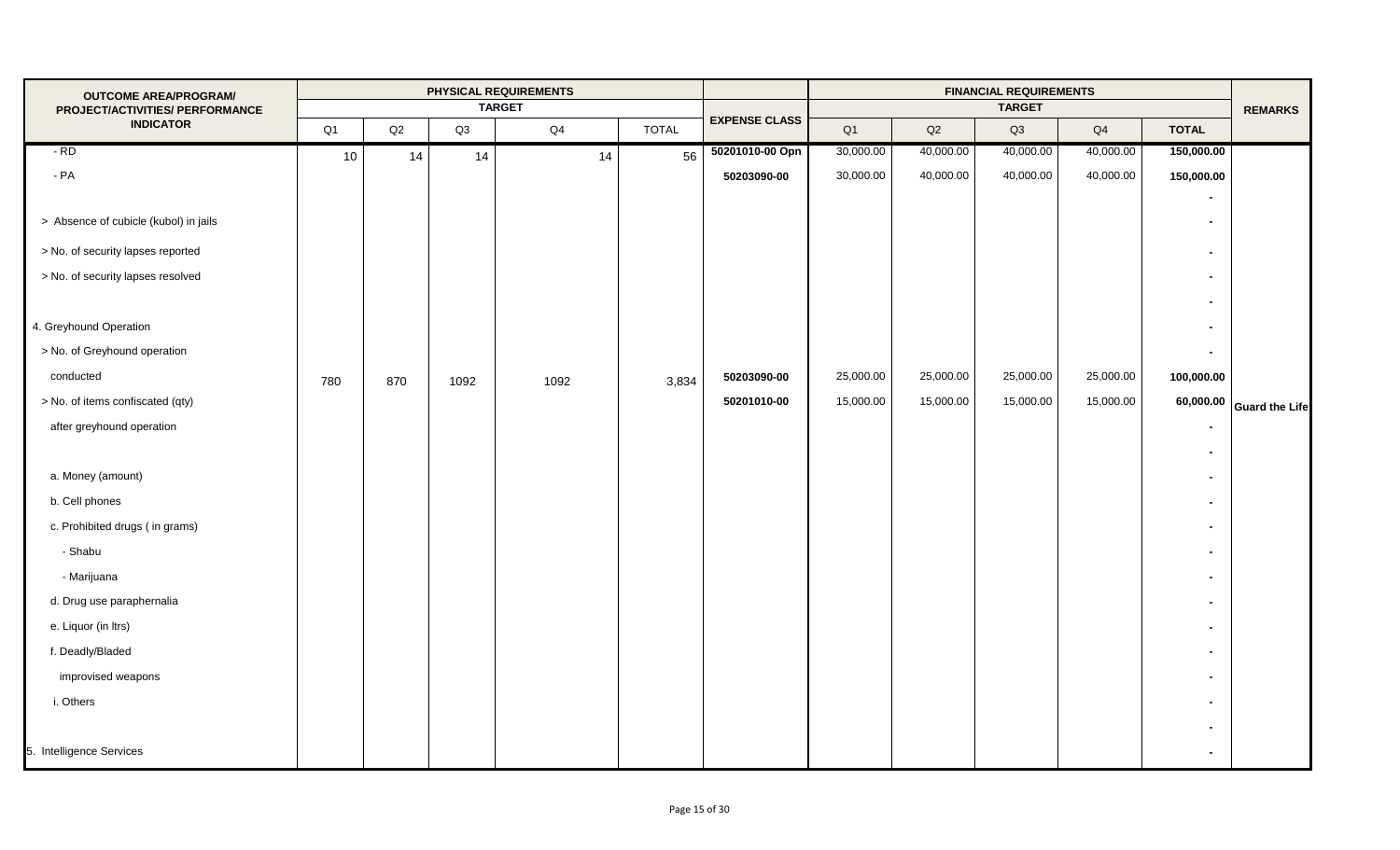| <b>OUTCOME AREA/PROGRAM/</b><br>PROJECT/ACTIVITIES/ PERFORMANCE            |     |     |      | PHYSICAL REQUIREMENTS<br><b>TARGET</b> |    |              |                      |           |           | <b>FINANCIAL REQUIREMENTS</b><br><b>TARGET</b> |           |                | <b>REMARKS</b>           |
|----------------------------------------------------------------------------|-----|-----|------|----------------------------------------|----|--------------|----------------------|-----------|-----------|------------------------------------------------|-----------|----------------|--------------------------|
| <b>INDICATOR</b>                                                           | Q1  | Q2  | Q3   | Q4                                     |    | <b>TOTAL</b> | <b>EXPENSE CLASS</b> | Q1        | Q2        | Q3                                             | Q4        | <b>TOTAL</b>   |                          |
| $-RD$                                                                      | 10  | 14  | 14   |                                        | 14 | 56           | 50201010-00 Opn      | 30,000.00 | 40,000.00 | 40,000.00                                      | 40,000.00 | 150,000.00     |                          |
| $-PA$                                                                      |     |     |      |                                        |    |              | 50203090-00          | 30,000.00 | 40,000.00 | 40,000.00                                      | 40,000.00 | 150,000.00     |                          |
| > Absence of cubicle (kubol) in jails<br>> No. of security lapses reported |     |     |      |                                        |    |              |                      |           |           |                                                |           | $\blacksquare$ |                          |
| > No. of security lapses resolved                                          |     |     |      |                                        |    |              |                      |           |           |                                                |           |                |                          |
|                                                                            |     |     |      |                                        |    |              |                      |           |           |                                                |           |                |                          |
| 4. Greyhound Operation                                                     |     |     |      |                                        |    |              |                      |           |           |                                                |           |                |                          |
| > No. of Greyhound operation                                               |     |     |      |                                        |    |              |                      |           |           |                                                |           |                |                          |
| conducted                                                                  | 780 | 870 | 1092 | 1092                                   |    | 3,834        | 50203090-00          | 25,000.00 | 25,000.00 | 25,000.00                                      | 25,000.00 | 100,000.00     |                          |
| > No. of items confiscated (qty)                                           |     |     |      |                                        |    |              | 50201010-00          | 15,000.00 | 15,000.00 | 15,000.00                                      | 15,000.00 |                | 60,000.00 Guard the Life |
| after greyhound operation                                                  |     |     |      |                                        |    |              |                      |           |           |                                                |           |                |                          |
|                                                                            |     |     |      |                                        |    |              |                      |           |           |                                                |           |                |                          |
| a. Money (amount)                                                          |     |     |      |                                        |    |              |                      |           |           |                                                |           |                |                          |
| b. Cell phones                                                             |     |     |      |                                        |    |              |                      |           |           |                                                |           |                |                          |
| c. Prohibited drugs (in grams)                                             |     |     |      |                                        |    |              |                      |           |           |                                                |           |                |                          |
| - Shabu                                                                    |     |     |      |                                        |    |              |                      |           |           |                                                |           |                |                          |
| - Marijuana                                                                |     |     |      |                                        |    |              |                      |           |           |                                                |           |                |                          |
| d. Drug use paraphernalia                                                  |     |     |      |                                        |    |              |                      |           |           |                                                |           |                |                          |
| e. Liquor (in Itrs)                                                        |     |     |      |                                        |    |              |                      |           |           |                                                |           |                |                          |
| f. Deadly/Bladed                                                           |     |     |      |                                        |    |              |                      |           |           |                                                |           |                |                          |
| improvised weapons                                                         |     |     |      |                                        |    |              |                      |           |           |                                                |           |                |                          |
| i. Others                                                                  |     |     |      |                                        |    |              |                      |           |           |                                                |           |                |                          |
|                                                                            |     |     |      |                                        |    |              |                      |           |           |                                                |           |                |                          |
| 5. Intelligence Services                                                   |     |     |      |                                        |    |              |                      |           |           |                                                |           |                |                          |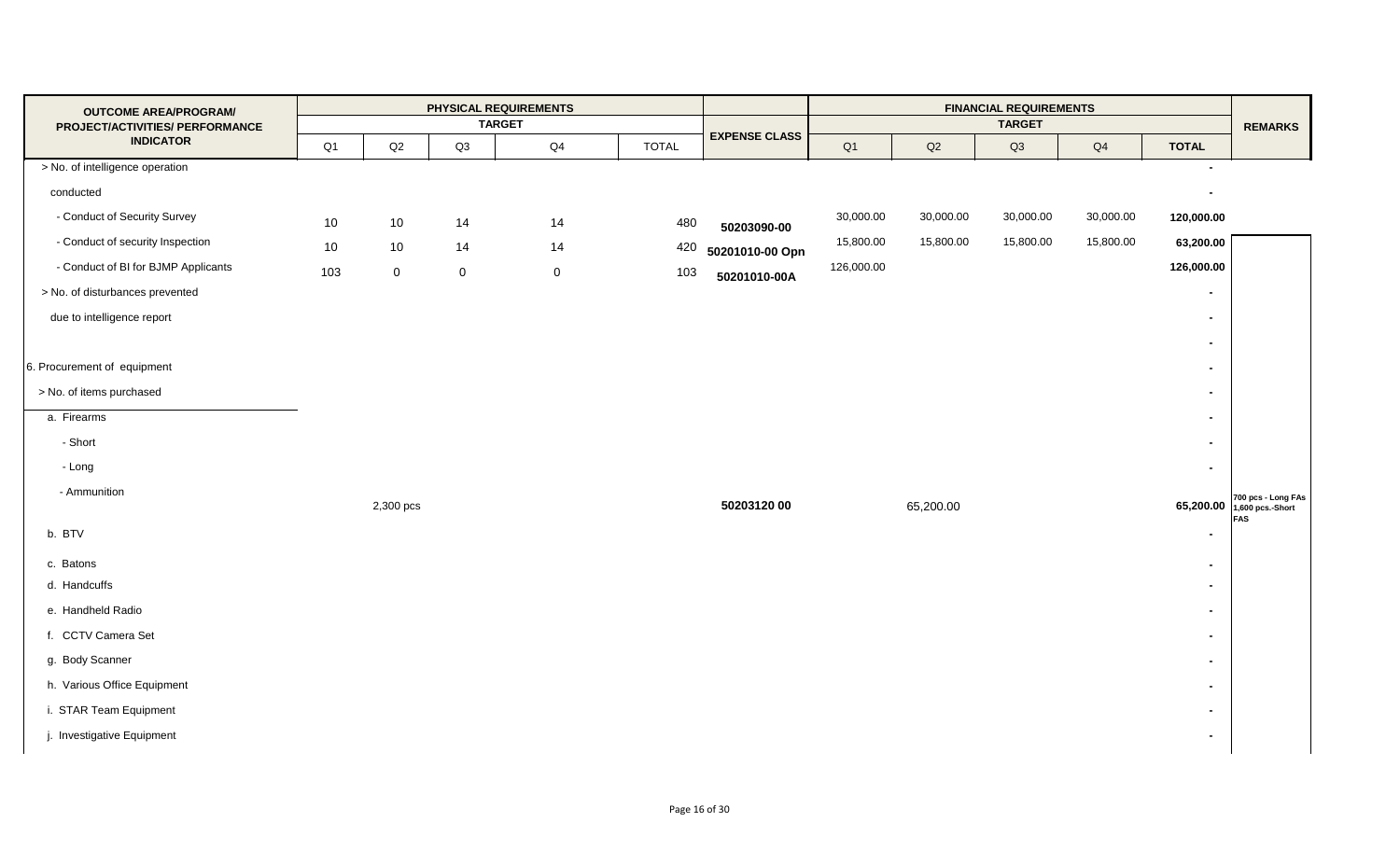| <b>OUTCOME AREA/PROGRAM/</b><br>PROJECT/ACTIVITIES/ PERFORMANCE |     |             |             | PHYSICAL REQUIREMENTS<br><b>TARGET</b> |              |                      |            |           | <b>FINANCIAL REQUIREMENTS</b><br><b>TARGET</b> |           |                | <b>REMARKS</b>               |
|-----------------------------------------------------------------|-----|-------------|-------------|----------------------------------------|--------------|----------------------|------------|-----------|------------------------------------------------|-----------|----------------|------------------------------|
| <b>INDICATOR</b>                                                | Q1  | Q2          | Q3          | Q4                                     | <b>TOTAL</b> | <b>EXPENSE CLASS</b> | Q1         | Q2        | Q3                                             | Q4        | <b>TOTAL</b>   |                              |
| > No. of intelligence operation                                 |     |             |             |                                        |              |                      |            |           |                                                |           | $\sim$         |                              |
| conducted                                                       |     |             |             |                                        |              |                      |            |           |                                                |           |                |                              |
| - Conduct of Security Survey                                    | 10  | 10          | 14          | 14                                     | 480          | 50203090-00          | 30,000.00  | 30,000.00 | 30,000.00                                      | 30,000.00 | 120,000.00     |                              |
| - Conduct of security Inspection                                | 10  | 10          | 14          | 14                                     | 420          | 50201010-00 Opn      | 15,800.00  | 15,800.00 | 15,800.00                                      | 15,800.00 | 63,200.00      |                              |
| - Conduct of BI for BJMP Applicants                             | 103 | $\mathbf 0$ | $\mathbf 0$ | $\mathsf{O}\xspace$                    | 103          | 50201010-00A         | 126,000.00 |           |                                                |           | 126,000.00     |                              |
| > No. of disturbances prevented                                 |     |             |             |                                        |              |                      |            |           |                                                |           | $\blacksquare$ |                              |
| due to intelligence report                                      |     |             |             |                                        |              |                      |            |           |                                                |           | $\blacksquare$ |                              |
|                                                                 |     |             |             |                                        |              |                      |            |           |                                                |           | $\blacksquare$ |                              |
| 6. Procurement of equipment                                     |     |             |             |                                        |              |                      |            |           |                                                |           | $\blacksquare$ |                              |
| > No. of items purchased                                        |     |             |             |                                        |              |                      |            |           |                                                |           | $\blacksquare$ |                              |
| a. Firearms                                                     |     |             |             |                                        |              |                      |            |           |                                                |           | $\blacksquare$ |                              |
| - Short                                                         |     |             |             |                                        |              |                      |            |           |                                                |           | $\blacksquare$ |                              |
| - Long                                                          |     |             |             |                                        |              |                      |            |           |                                                |           | $\blacksquare$ |                              |
| - Ammunition                                                    |     | 2,300 pcs   |             |                                        |              | 50203120 00          |            | 65,200.00 |                                                |           |                | 65,200.00 700 pcs - Long FAs |
| b. BTV                                                          |     |             |             |                                        |              |                      |            |           |                                                |           |                | <b>FAS</b>                   |
| c. Batons                                                       |     |             |             |                                        |              |                      |            |           |                                                |           | $\blacksquare$ |                              |
| d. Handcuffs                                                    |     |             |             |                                        |              |                      |            |           |                                                |           | $\blacksquare$ |                              |
| e. Handheld Radio                                               |     |             |             |                                        |              |                      |            |           |                                                |           | $\blacksquare$ |                              |
| f. CCTV Camera Set                                              |     |             |             |                                        |              |                      |            |           |                                                |           | $\blacksquare$ |                              |
| g. Body Scanner                                                 |     |             |             |                                        |              |                      |            |           |                                                |           | $\blacksquare$ |                              |
| h. Various Office Equipment                                     |     |             |             |                                        |              |                      |            |           |                                                |           | $\blacksquare$ |                              |
| i. STAR Team Equipment                                          |     |             |             |                                        |              |                      |            |           |                                                |           | $\blacksquare$ |                              |
| j. Investigative Equipment                                      |     |             |             |                                        |              |                      |            |           |                                                |           | $\blacksquare$ |                              |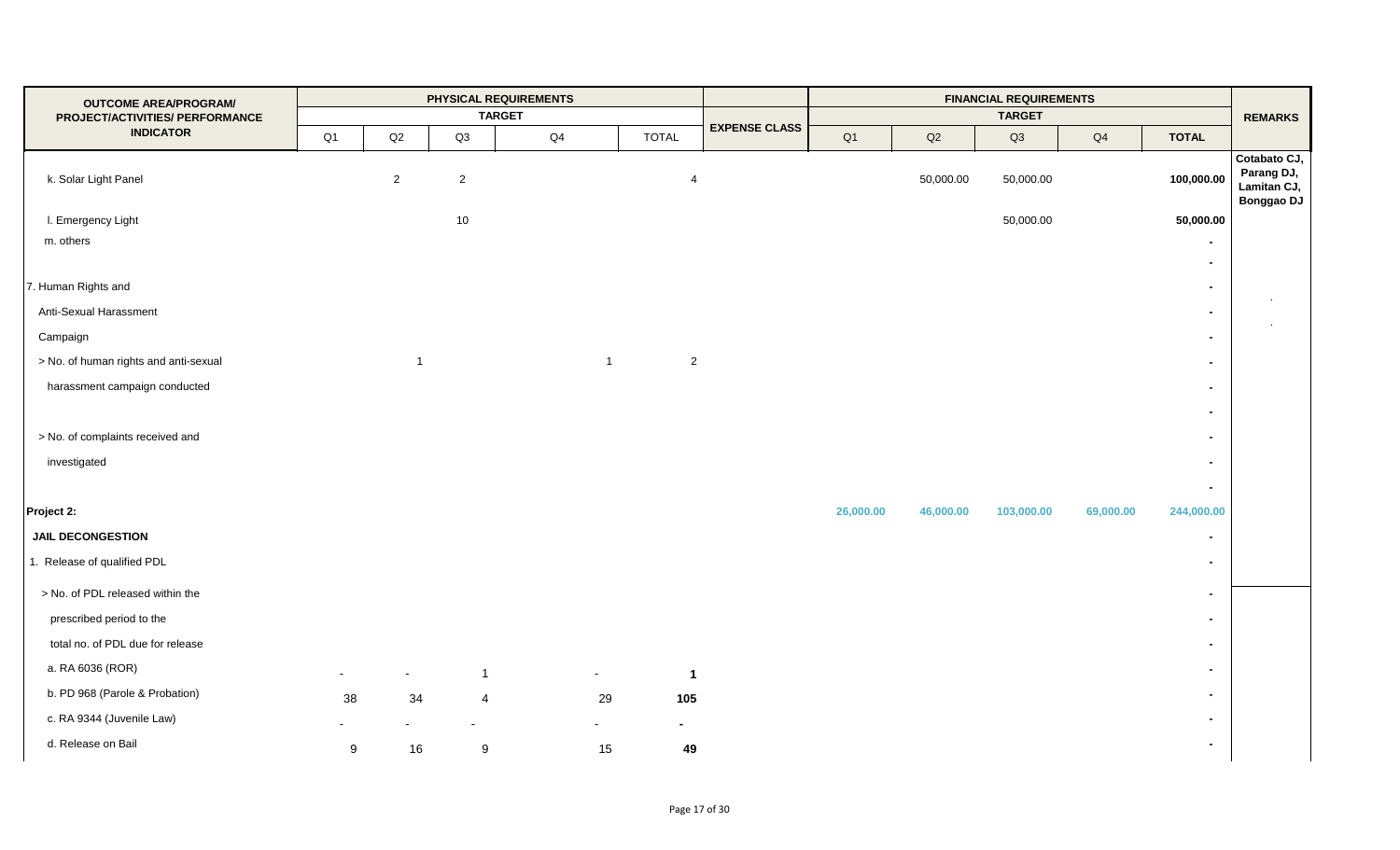| <b>OUTCOME AREA/PROGRAM/</b><br>PROJECT/ACTIVITIES/ PERFORMANCE |                |                |                  | PHYSICAL REQUIREMENTS<br><b>TARGET</b> |                                  |                      |           |               | <b>FINANCIAL REQUIREMENTS</b><br><b>TARGET</b> |           |                | <b>REMARKS</b>                                                 |
|-----------------------------------------------------------------|----------------|----------------|------------------|----------------------------------------|----------------------------------|----------------------|-----------|---------------|------------------------------------------------|-----------|----------------|----------------------------------------------------------------|
| <b>INDICATOR</b>                                                | Q <sub>1</sub> | $\mathsf{Q2}$  | Q3               | $\mathsf{Q4}$                          | <b>TOTAL</b>                     | <b>EXPENSE CLASS</b> | Q1        | $\mathsf{Q2}$ | Q3                                             | Q4        | <b>TOTAL</b>   |                                                                |
| k. Solar Light Panel                                            |                | $\overline{2}$ | $\sqrt{2}$       |                                        | 4                                |                      |           | 50,000.00     | 50,000.00                                      |           | 100,000.00     | Cotabato CJ,<br>Parang DJ,<br>Lamitan CJ,<br><b>Bonggao DJ</b> |
| I. Emergency Light                                              |                |                | 10               |                                        |                                  |                      |           |               | 50,000.00                                      |           | 50,000.00      |                                                                |
| m. others                                                       |                |                |                  |                                        |                                  |                      |           |               |                                                |           | $\blacksquare$ |                                                                |
|                                                                 |                |                |                  |                                        |                                  |                      |           |               |                                                |           | $\blacksquare$ |                                                                |
| 7. Human Rights and                                             |                |                |                  |                                        |                                  |                      |           |               |                                                |           | $\blacksquare$ |                                                                |
| Anti-Sexual Harassment                                          |                |                |                  |                                        |                                  |                      |           |               |                                                |           | $\blacksquare$ |                                                                |
| Campaign                                                        |                |                |                  |                                        |                                  |                      |           |               |                                                |           | $\blacksquare$ |                                                                |
| > No. of human rights and anti-sexual                           |                | $\overline{1}$ |                  |                                        | $\overline{2}$<br>$\overline{1}$ |                      |           |               |                                                |           | $\blacksquare$ |                                                                |
| harassment campaign conducted                                   |                |                |                  |                                        |                                  |                      |           |               |                                                |           | $\blacksquare$ |                                                                |
|                                                                 |                |                |                  |                                        |                                  |                      |           |               |                                                |           | $\blacksquare$ |                                                                |
| > No. of complaints received and                                |                |                |                  |                                        |                                  |                      |           |               |                                                |           | $\blacksquare$ |                                                                |
| investigated                                                    |                |                |                  |                                        |                                  |                      |           |               |                                                |           | $\sim$         |                                                                |
|                                                                 |                |                |                  |                                        |                                  |                      |           |               |                                                |           | $\sim$         |                                                                |
| Project 2:                                                      |                |                |                  |                                        |                                  |                      | 26,000.00 | 46,000.00     | 103,000.00                                     | 69,000.00 | 244,000.00     |                                                                |
| <b>JAIL DECONGESTION</b>                                        |                |                |                  |                                        |                                  |                      |           |               |                                                |           | $\sim$         |                                                                |
| 1. Release of qualified PDL                                     |                |                |                  |                                        |                                  |                      |           |               |                                                |           | $\blacksquare$ |                                                                |
| > No. of PDL released within the                                |                |                |                  |                                        |                                  |                      |           |               |                                                |           | $\blacksquare$ |                                                                |
| prescribed period to the                                        |                |                |                  |                                        |                                  |                      |           |               |                                                |           | $\blacksquare$ |                                                                |
| total no. of PDL due for release                                |                |                |                  |                                        |                                  |                      |           |               |                                                |           | $\blacksquare$ |                                                                |
| a. RA 6036 (ROR)                                                |                | $\sim$         | $\overline{1}$   | $\sim$                                 | $\mathbf{1}$                     |                      |           |               |                                                |           | $\blacksquare$ |                                                                |
| b. PD 968 (Parole & Probation)                                  | 38             | 34             | $\overline{4}$   | 29                                     | 105                              |                      |           |               |                                                |           | $\blacksquare$ |                                                                |
| c. RA 9344 (Juvenile Law)                                       |                |                |                  | $\sim$                                 | $\blacksquare$                   |                      |           |               |                                                |           | $\sim$         |                                                                |
| d. Release on Bail                                              | 9              | 16             | $\boldsymbol{9}$ | 15                                     | 49                               |                      |           |               |                                                |           | $\blacksquare$ |                                                                |
|                                                                 |                |                |                  |                                        |                                  |                      |           |               |                                                |           |                |                                                                |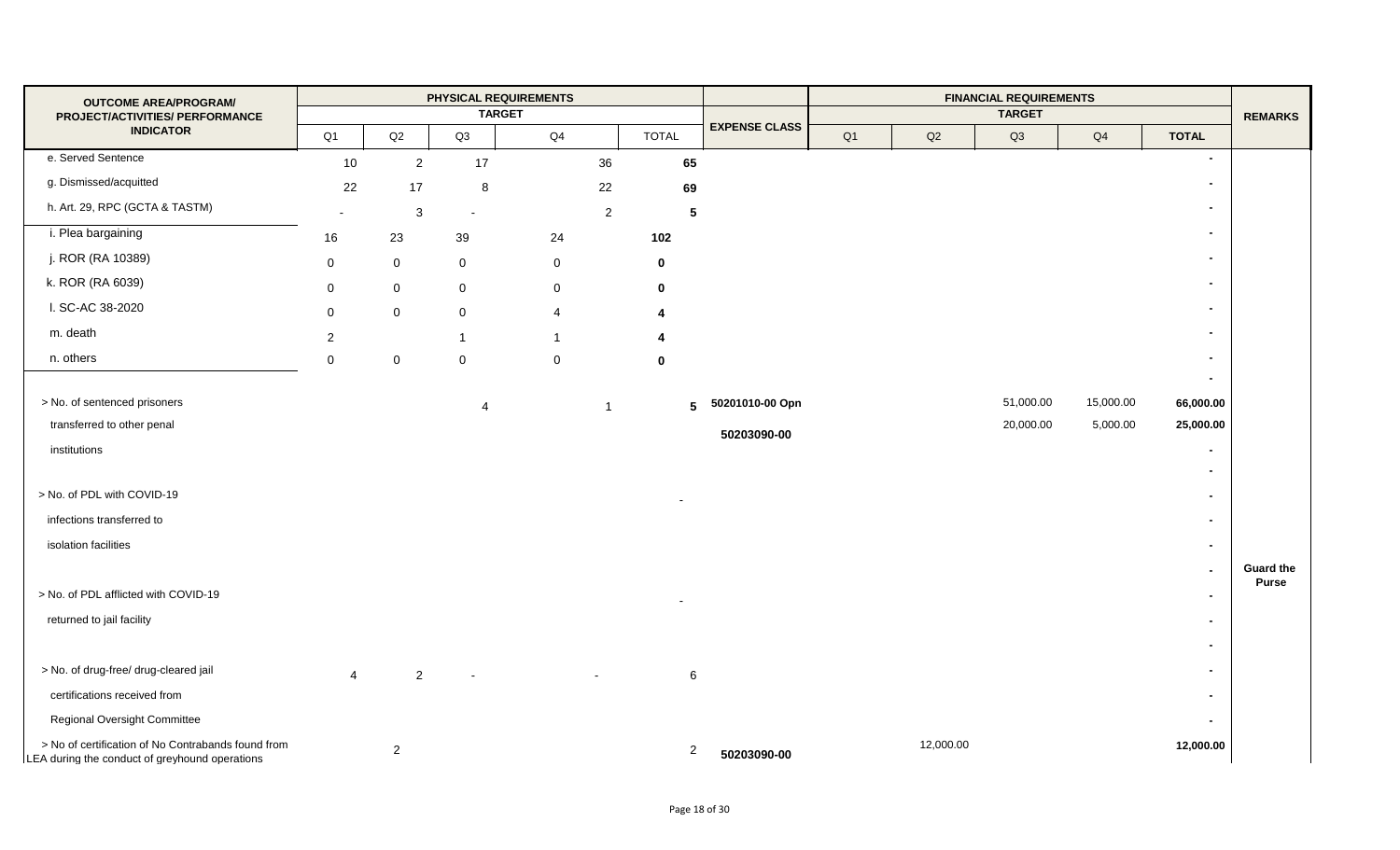| <b>OUTCOME AREA/PROGRAM/</b>                                                                         |                |                | PHYSICAL REQUIREMENTS |                |                |                      |    |           | <b>FINANCIAL REQUIREMENTS</b> |                |                          |                                  |
|------------------------------------------------------------------------------------------------------|----------------|----------------|-----------------------|----------------|----------------|----------------------|----|-----------|-------------------------------|----------------|--------------------------|----------------------------------|
| PROJECT/ACTIVITIES/ PERFORMANCE                                                                      |                |                | <b>TARGET</b>         |                |                |                      |    |           | <b>TARGET</b>                 |                |                          | <b>REMARKS</b>                   |
| <b>INDICATOR</b>                                                                                     | Q1             | Q2             | Q3                    | Q4             | <b>TOTAL</b>   | <b>EXPENSE CLASS</b> | Q1 | Q2        | Q3                            | Q <sub>4</sub> | <b>TOTAL</b>             |                                  |
| e. Served Sentence                                                                                   | 10             | $\overline{2}$ | 17                    | 36             | 65             |                      |    |           |                               |                | $\blacksquare$           |                                  |
| g. Dismissed/acquitted                                                                               | 22             | 17             | 8                     | 22             | 69             |                      |    |           |                               |                | $\blacksquare$           |                                  |
| h. Art. 29, RPC (GCTA & TASTM)                                                                       |                | $\mathbf{3}$   |                       | $\overline{a}$ | $\sqrt{5}$     |                      |    |           |                               |                | $\blacksquare$           |                                  |
| i. Plea bargaining                                                                                   | 16             | 23             | 39                    | 24             | 102            |                      |    |           |                               |                | $\blacksquare$           |                                  |
| j. ROR (RA 10389)                                                                                    | $\mathbf 0$    | $\mathbf 0$    | 0                     | $\mathbf 0$    | $\bf{0}$       |                      |    |           |                               |                |                          |                                  |
| k. ROR (RA 6039)                                                                                     | $\mathbf 0$    | $\overline{0}$ | $\mathbf 0$           | $\mathbf 0$    | $\mathbf 0$    |                      |    |           |                               |                | $\blacksquare$           |                                  |
| I. SC-AC 38-2020                                                                                     | $\mathbf 0$    | $\overline{0}$ | 0                     | 4              | 4              |                      |    |           |                               |                | $\blacksquare$           |                                  |
| m. death                                                                                             | $\overline{2}$ |                | $\mathbf 1$           | 1              |                |                      |    |           |                               |                | $\blacksquare$           |                                  |
| n. others                                                                                            | $\mathbf 0$    | $\mathbf 0$    | 0                     | $\mathbf 0$    | $\mathbf 0$    |                      |    |           |                               |                | $\blacksquare$           |                                  |
|                                                                                                      |                |                |                       |                |                |                      |    |           |                               |                | $\blacksquare$           |                                  |
| > No. of sentenced prisoners                                                                         |                |                | 4                     | -1             | 5              | 50201010-00 Opn      |    |           | 51,000.00                     | 15,000.00      | 66,000.00                |                                  |
| transferred to other penal                                                                           |                |                |                       |                |                | 50203090-00          |    |           | 20,000.00                     | 5,000.00       | 25,000.00                |                                  |
| institutions                                                                                         |                |                |                       |                |                |                      |    |           |                               |                | $\blacksquare$           |                                  |
|                                                                                                      |                |                |                       |                |                |                      |    |           |                               |                | $\overline{\phantom{0}}$ |                                  |
| > No. of PDL with COVID-19                                                                           |                |                |                       |                |                |                      |    |           |                               |                | $\overline{\phantom{0}}$ |                                  |
| infections transferred to                                                                            |                |                |                       |                |                |                      |    |           |                               |                | $\blacksquare$           |                                  |
| isolation facilities                                                                                 |                |                |                       |                |                |                      |    |           |                               |                | $\blacksquare$           |                                  |
|                                                                                                      |                |                |                       |                |                |                      |    |           |                               |                | $\blacksquare$           | <b>Guard the</b><br><b>Purse</b> |
| > No. of PDL afflicted with COVID-19                                                                 |                |                |                       |                |                |                      |    |           |                               |                | $\blacksquare$           |                                  |
| returned to jail facility                                                                            |                |                |                       |                |                |                      |    |           |                               |                | $\overline{\phantom{0}}$ |                                  |
|                                                                                                      |                |                |                       |                |                |                      |    |           |                               |                | $\overline{\phantom{0}}$ |                                  |
| > No. of drug-free/ drug-cleared jail                                                                | $\overline{4}$ | $\mathbf{2}$   |                       |                | 6              |                      |    |           |                               |                | $\overline{\phantom{0}}$ |                                  |
| certifications received from                                                                         |                |                |                       |                |                |                      |    |           |                               |                | $\blacksquare$           |                                  |
| <b>Regional Oversight Committee</b>                                                                  |                |                |                       |                |                |                      |    |           |                               |                | $\overline{\phantom{0}}$ |                                  |
| > No of certification of No Contrabands found from<br>LEA during the conduct of greyhound operations |                | $\overline{2}$ |                       |                | $\overline{a}$ | 50203090-00          |    | 12,000.00 |                               |                | 12,000.00                |                                  |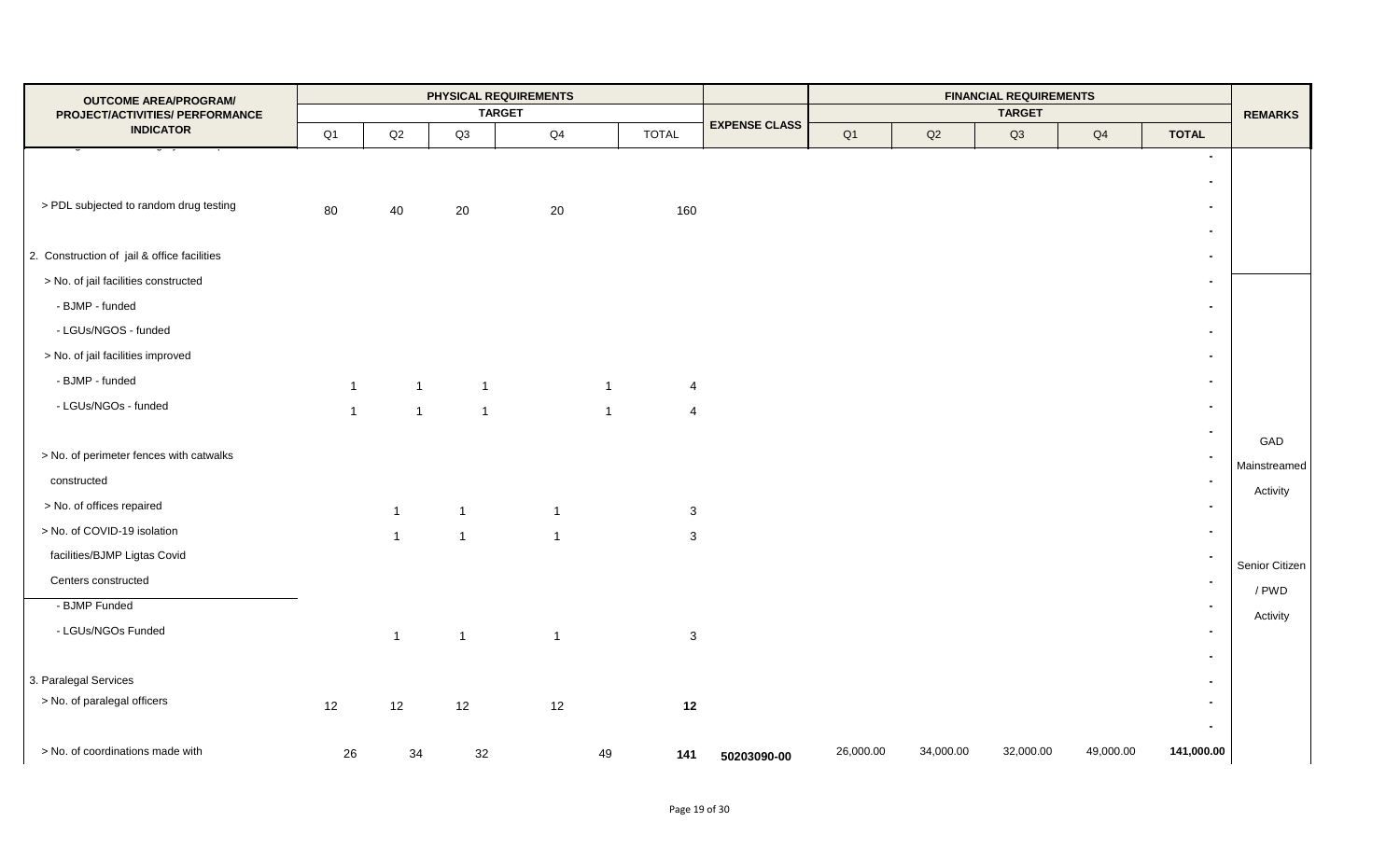| <b>OUTCOME AREA/PROGRAM/</b><br>PROJECT/ACTIVITIES/ PERFORMANCE |              |                |                | PHYSICAL REQUIREMENTS<br><b>TARGET</b> |              |                |                      |           |           | <b>FINANCIAL REQUIREMENTS</b><br><b>TARGET</b> |           |                                            | <b>REMARKS</b> |
|-----------------------------------------------------------------|--------------|----------------|----------------|----------------------------------------|--------------|----------------|----------------------|-----------|-----------|------------------------------------------------|-----------|--------------------------------------------|----------------|
| <b>INDICATOR</b>                                                | Q1           | Q2             | Q3             | Q <sub>4</sub>                         |              | <b>TOTAL</b>   | <b>EXPENSE CLASS</b> | Q1        | Q2        | Q3                                             | Q4        | <b>TOTAL</b>                               |                |
|                                                                 |              |                |                |                                        |              |                |                      |           |           |                                                |           | $\overline{\phantom{a}}$                   |                |
|                                                                 |              |                |                |                                        |              |                |                      |           |           |                                                |           | $\blacksquare$                             |                |
| > PDL subjected to random drug testing                          | 80           | 40             | 20             | 20                                     |              | 160            |                      |           |           |                                                |           | $\blacksquare$                             |                |
| 2. Construction of jail & office facilities                     |              |                |                |                                        |              |                |                      |           |           |                                                |           | $\overline{\phantom{0}}$<br>$\blacksquare$ |                |
| > No. of jail facilities constructed                            |              |                |                |                                        |              |                |                      |           |           |                                                |           | $\blacksquare$                             |                |
| - BJMP - funded                                                 |              |                |                |                                        |              |                |                      |           |           |                                                |           | $\blacksquare$                             |                |
| - LGUs/NGOS - funded                                            |              |                |                |                                        |              |                |                      |           |           |                                                |           | $\overline{\phantom{0}}$                   |                |
| > No. of jail facilities improved                               |              |                |                |                                        |              |                |                      |           |           |                                                |           | $\blacksquare$                             |                |
| - BJMP - funded                                                 |              |                |                |                                        |              |                |                      |           |           |                                                |           | $\blacksquare$                             |                |
| - LGUs/NGOs - funded                                            | $\mathbf{1}$ | $\overline{1}$ |                | $\overline{1}$                         | $\mathbf{1}$ | $\overline{4}$ |                      |           |           |                                                |           | $\blacksquare$                             |                |
|                                                                 | $\mathbf{1}$ | $\overline{1}$ | $\mathbf{1}$   |                                        | $\mathbf{1}$ | $\overline{4}$ |                      |           |           |                                                |           |                                            |                |
| > No. of perimeter fences with catwalks                         |              |                |                |                                        |              |                |                      |           |           |                                                |           |                                            | GAD            |
| constructed                                                     |              |                |                |                                        |              |                |                      |           |           |                                                |           | $\blacksquare$                             | Mainstreamed   |
| > No. of offices repaired                                       |              |                |                |                                        |              |                |                      |           |           |                                                |           | $\overline{\phantom{0}}$                   | Activity       |
| > No. of COVID-19 isolation                                     |              | $\mathbf{1}$   | $\overline{1}$ | $\mathbf{1}$                           |              | $\mathbf{3}$   |                      |           |           |                                                |           |                                            |                |
| facilities/BJMP Ligtas Covid                                    |              | $\mathbf{1}$   | $\overline{1}$ | $\overline{1}$                         |              | $\mathbf{3}$   |                      |           |           |                                                |           |                                            |                |
| Centers constructed                                             |              |                |                |                                        |              |                |                      |           |           |                                                |           | $\sim$                                     | Senior Citizen |
| - BJMP Funded                                                   |              |                |                |                                        |              |                |                      |           |           |                                                |           | $\blacksquare$                             | / PWD          |
| - LGUs/NGOs Funded                                              |              |                |                |                                        |              |                |                      |           |           |                                                |           | $\blacksquare$                             | Activity       |
|                                                                 |              | $\mathbf{1}$   | $\overline{1}$ | $\mathbf{1}$                           |              | $\mathbf{3}$   |                      |           |           |                                                |           | $\overline{\phantom{0}}$                   |                |
| 3. Paralegal Services                                           |              |                |                |                                        |              |                |                      |           |           |                                                |           |                                            |                |
| > No. of paralegal officers                                     | 12           | 12             | 12             | 12                                     |              | 12             |                      |           |           |                                                |           | $\blacksquare$                             |                |
|                                                                 |              |                |                |                                        |              |                |                      |           |           |                                                |           | $\overline{\phantom{a}}$                   |                |
| > No. of coordinations made with                                | 26           | 34             | 32             |                                        | 49           | 141            | 50203090-00          | 26,000.00 | 34,000.00 | 32,000.00                                      | 49,000.00 | 141,000.00                                 |                |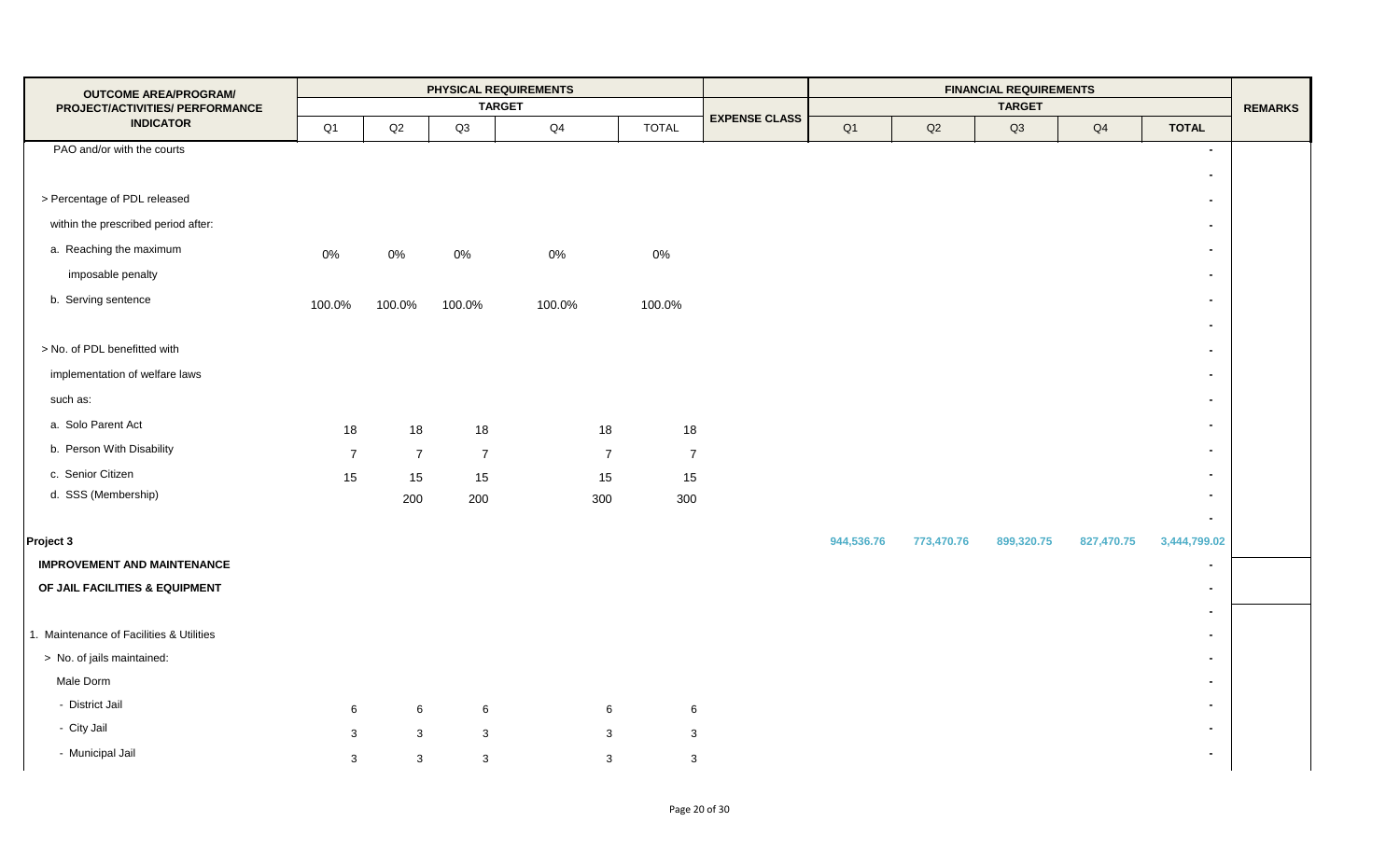| <b>OUTCOME AREA/PROGRAM/</b>                        |                |                |                | PHYSICAL REQUIREMENTS |                |                      |            |            | <b>FINANCIAL REQUIREMENTS</b> |               |                          |                |
|-----------------------------------------------------|----------------|----------------|----------------|-----------------------|----------------|----------------------|------------|------------|-------------------------------|---------------|--------------------------|----------------|
| PROJECT/ACTIVITIES/ PERFORMANCE<br><b>INDICATOR</b> |                |                |                | <b>TARGET</b>         |                | <b>EXPENSE CLASS</b> |            |            | <b>TARGET</b>                 |               |                          | <b>REMARKS</b> |
|                                                     | Q1             | Q2             | Q3             | $\mathsf{Q}4$         | <b>TOTAL</b>   |                      | Q1         | Q2         | Q3                            | $\mathsf{Q4}$ | <b>TOTAL</b>             |                |
| PAO and/or with the courts                          |                |                |                |                       |                |                      |            |            |                               |               | $\blacksquare$           |                |
|                                                     |                |                |                |                       |                |                      |            |            |                               |               | $\overline{\phantom{a}}$ |                |
| > Percentage of PDL released                        |                |                |                |                       |                |                      |            |            |                               |               | $\blacksquare$           |                |
| within the prescribed period after:                 |                |                |                |                       |                |                      |            |            |                               |               |                          |                |
| a. Reaching the maximum                             | 0%             | $0\%$          | $0\%$          | $0\%$                 | 0%             |                      |            |            |                               |               | $\overline{\phantom{a}}$ |                |
| imposable penalty                                   |                |                |                |                       |                |                      |            |            |                               |               | $\blacksquare$           |                |
| b. Serving sentence                                 | 100.0%         | 100.0%         | 100.0%         | 100.0%                | 100.0%         |                      |            |            |                               |               | $\blacksquare$           |                |
|                                                     |                |                |                |                       |                |                      |            |            |                               |               |                          |                |
| > No. of PDL benefitted with                        |                |                |                |                       |                |                      |            |            |                               |               | $\blacksquare$           |                |
| implementation of welfare laws                      |                |                |                |                       |                |                      |            |            |                               |               |                          |                |
| such as:                                            |                |                |                |                       |                |                      |            |            |                               |               | $\overline{\phantom{0}}$ |                |
| a. Solo Parent Act                                  | 18             | 18             | 18             | 18                    | 18             |                      |            |            |                               |               | $\blacksquare$           |                |
| b. Person With Disability                           | $\overline{7}$ | $\overline{7}$ | $\overline{7}$ | $\overline{7}$        | $\overline{7}$ |                      |            |            |                               |               |                          |                |
| c. Senior Citizen                                   | 15             | 15             | 15             | 15                    | 15             |                      |            |            |                               |               |                          |                |
| d. SSS (Membership)                                 |                | 200            | 200            | 300                   | 300            |                      |            |            |                               |               | $\blacksquare$           |                |
|                                                     |                |                |                |                       |                |                      |            |            |                               |               | $\blacksquare$           |                |
| Project 3                                           |                |                |                |                       |                |                      | 944,536.76 | 773,470.76 | 899,320.75                    | 827,470.75    | 3,444,799.02             |                |
| <b>IMPROVEMENT AND MAINTENANCE</b>                  |                |                |                |                       |                |                      |            |            |                               |               | $\overline{\phantom{a}}$ |                |
| OF JAIL FACILITIES & EQUIPMENT                      |                |                |                |                       |                |                      |            |            |                               |               |                          |                |
|                                                     |                |                |                |                       |                |                      |            |            |                               |               | $\blacksquare$           |                |
| 1. Maintenance of Facilities & Utilities            |                |                |                |                       |                |                      |            |            |                               |               |                          |                |
| > No. of jails maintained:                          |                |                |                |                       |                |                      |            |            |                               |               |                          |                |
| Male Dorm                                           |                |                |                |                       |                |                      |            |            |                               |               |                          |                |
| - District Jail                                     | 6              | 6              | 6              | 6                     | 6              |                      |            |            |                               |               |                          |                |
| - City Jail                                         | 3              | $\mathbf{3}$   | $\mathbf{3}$   | $\mathbf{3}$          | $\mathbf{3}$   |                      |            |            |                               |               |                          |                |
| - Municipal Jail                                    | 3              | $\mathbf{3}$   | $\mathbf{3}$   | $\mathbf{3}$          | 3              |                      |            |            |                               |               |                          |                |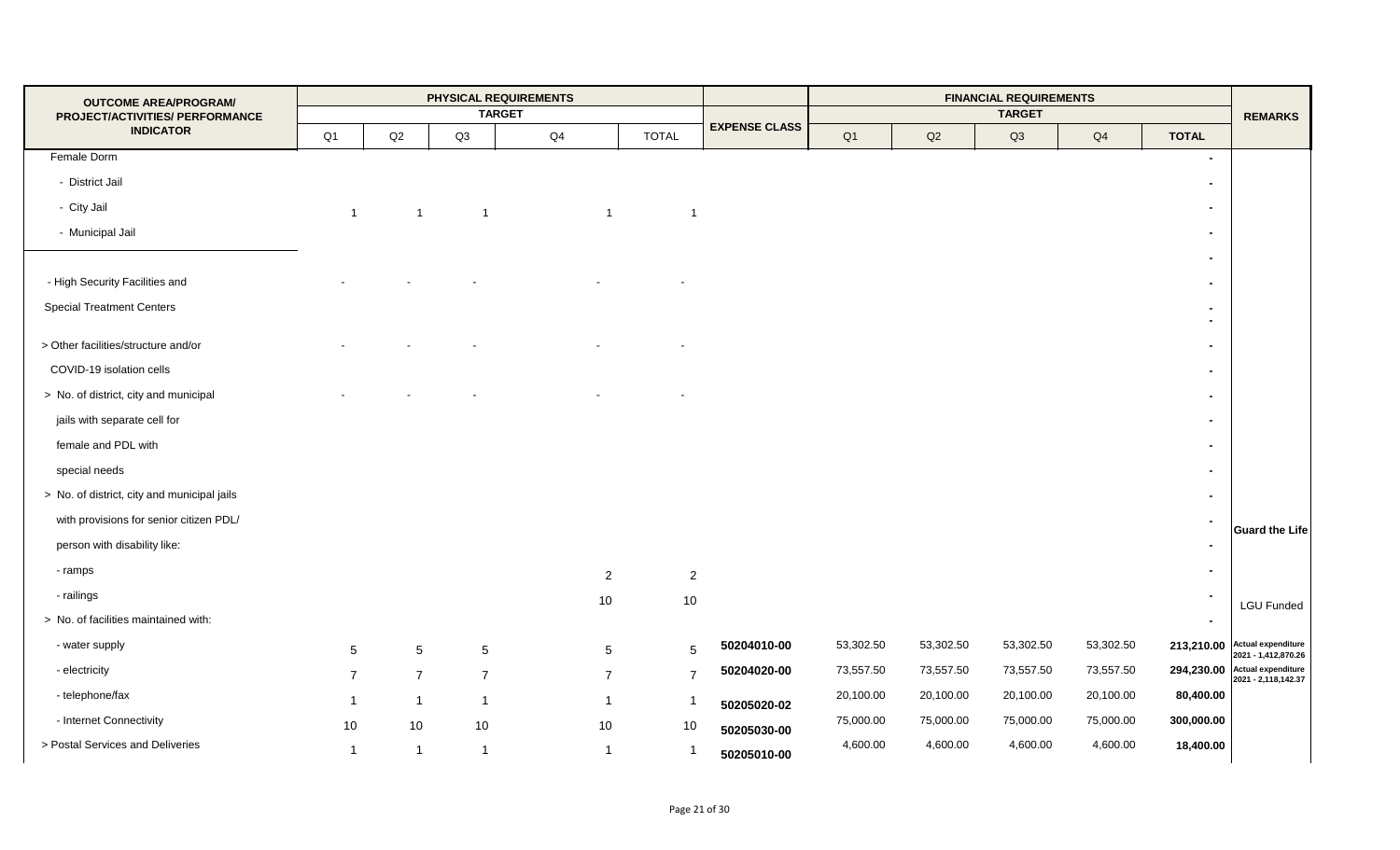| <b>OUTCOME AREA/PROGRAM/</b>                        |                 |                 |                | PHYSICAL REQUIREMENTS |                |                      |           |           | <b>FINANCIAL REQUIREMENTS</b> |           |                          |                                           |
|-----------------------------------------------------|-----------------|-----------------|----------------|-----------------------|----------------|----------------------|-----------|-----------|-------------------------------|-----------|--------------------------|-------------------------------------------|
| PROJECT/ACTIVITIES/ PERFORMANCE<br><b>INDICATOR</b> |                 |                 |                | <b>TARGET</b>         |                | <b>EXPENSE CLASS</b> |           |           | <b>TARGET</b>                 |           |                          | <b>REMARKS</b>                            |
|                                                     | Q1              | $\mathsf{Q2}$   | Q3             | Q4                    | <b>TOTAL</b>   |                      | Q1        | Q2        | Q3                            | Q4        | <b>TOTAL</b>             |                                           |
| Female Dorm                                         |                 |                 |                |                       |                |                      |           |           |                               |           | $\blacksquare$           |                                           |
| - District Jail                                     |                 |                 |                |                       |                |                      |           |           |                               |           |                          |                                           |
| - City Jail                                         | $\mathbf{1}$    | $\mathbf{1}$    | $\overline{1}$ | $\overline{1}$        | $\overline{1}$ |                      |           |           |                               |           | $\overline{\phantom{0}}$ |                                           |
| - Municipal Jail                                    |                 |                 |                |                       |                |                      |           |           |                               |           |                          |                                           |
|                                                     |                 |                 |                |                       |                |                      |           |           |                               |           |                          |                                           |
| - High Security Facilities and                      |                 |                 |                |                       |                |                      |           |           |                               |           |                          |                                           |
| <b>Special Treatment Centers</b>                    |                 |                 |                |                       |                |                      |           |           |                               |           |                          |                                           |
|                                                     |                 |                 |                |                       |                |                      |           |           |                               |           |                          |                                           |
| > Other facilities/structure and/or                 |                 |                 |                |                       |                |                      |           |           |                               |           |                          |                                           |
| COVID-19 isolation cells                            |                 |                 |                |                       |                |                      |           |           |                               |           |                          |                                           |
| > No. of district, city and municipal               |                 |                 |                |                       |                |                      |           |           |                               |           |                          |                                           |
| jails with separate cell for                        |                 |                 |                |                       |                |                      |           |           |                               |           |                          |                                           |
| female and PDL with                                 |                 |                 |                |                       |                |                      |           |           |                               |           |                          |                                           |
| special needs                                       |                 |                 |                |                       |                |                      |           |           |                               |           |                          |                                           |
| > No. of district, city and municipal jails         |                 |                 |                |                       |                |                      |           |           |                               |           |                          |                                           |
| with provisions for senior citizen PDL/             |                 |                 |                |                       |                |                      |           |           |                               |           |                          |                                           |
| person with disability like:                        |                 |                 |                |                       |                |                      |           |           |                               |           |                          | <b>Guard the Life</b>                     |
| - ramps                                             |                 |                 |                | $\overline{2}$        | $\overline{2}$ |                      |           |           |                               |           |                          |                                           |
| - railings                                          |                 |                 |                | 10                    | 10             |                      |           |           |                               |           |                          |                                           |
| > No. of facilities maintained with:                |                 |                 |                |                       |                |                      |           |           |                               |           |                          | <b>LGU Funded</b>                         |
| - water supply                                      | $5\overline{)}$ | $5\phantom{.0}$ | $\sqrt{5}$     | $5\phantom{.0}$       | 5              | 50204010-00          | 53,302.50 | 53,302.50 | 53,302.50                     | 53,302.50 | 213,210.00               | <b>Actual expenditure</b>                 |
| - electricity                                       | $\overline{7}$  | $\overline{7}$  | $\overline{7}$ | $\overline{7}$        | $\overline{7}$ | 50204020-00          | 73,557.50 | 73,557.50 | 73,557.50                     | 73,557.50 | 294,230.00               | 2021 - 1,412,870.26<br>Actual expenditure |
| - telephone/fax                                     |                 |                 |                | $\overline{1}$        |                |                      | 20,100.00 | 20,100.00 | 20,100.00                     | 20,100.00 | 80,400.00                | 2021 - 2,118,142.37                       |
| - Internet Connectivity                             |                 | $\overline{1}$  | $\mathbf{1}$   |                       | -1             | 50205020-02          | 75,000.00 | 75,000.00 | 75,000.00                     | 75,000.00 | 300,000.00               |                                           |
| > Postal Services and Deliveries                    | 10              | 10              | 10             | 10                    | 10             | 50205030-00          | 4,600.00  | 4,600.00  | 4,600.00                      | 4,600.00  | 18,400.00                |                                           |
|                                                     | $\mathbf 1$     | $\overline{1}$  | $\overline{1}$ | $\mathbf{1}$          | $\mathbf{1}$   | 50205010-00          |           |           |                               |           |                          |                                           |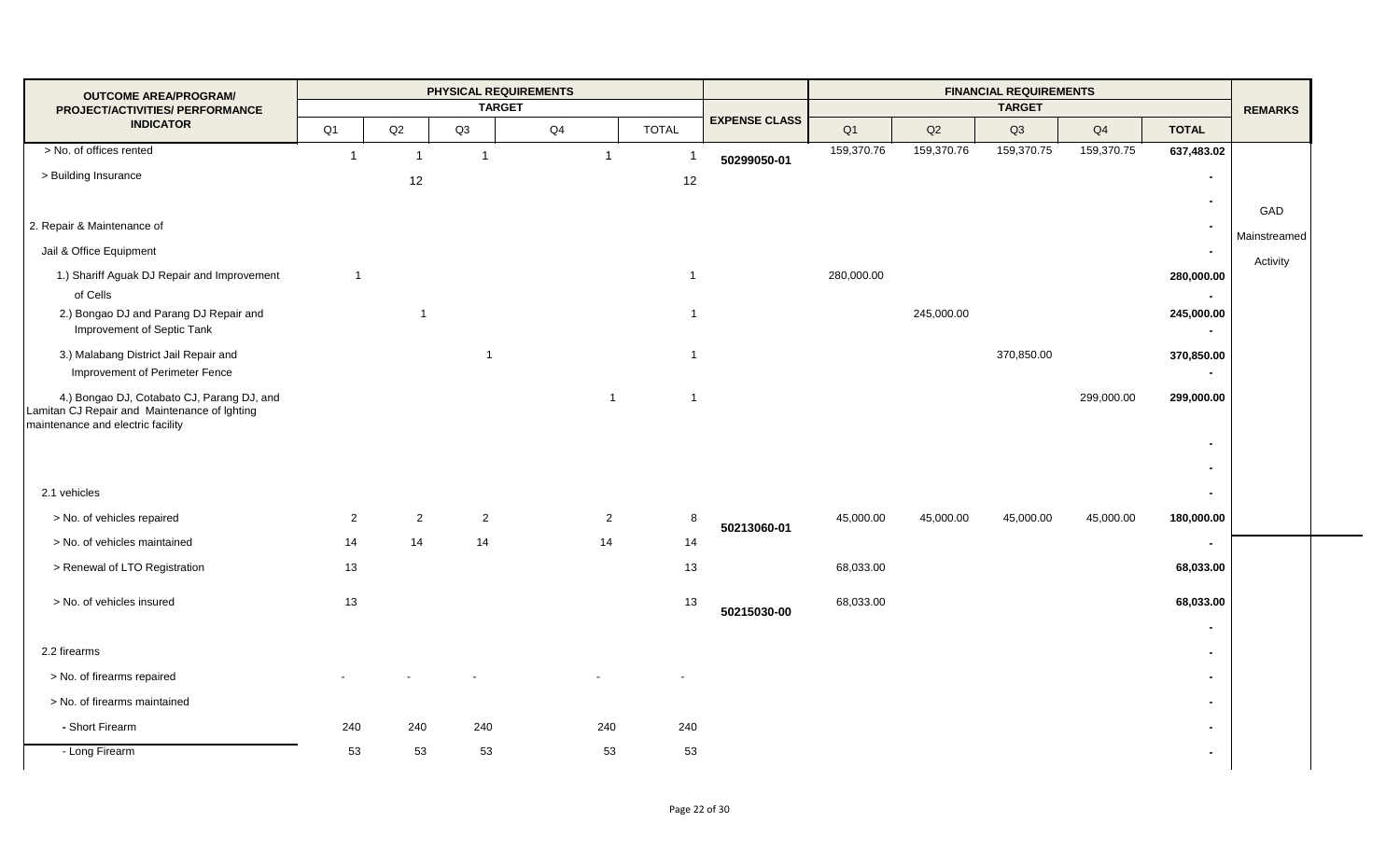| <b>OUTCOME AREA/PROGRAM/</b>                                                                                                    |                |                |                | PHYSICAL REQUIREMENTS |                |                |                      |            |            | <b>FINANCIAL REQUIREMENTS</b> |            |                              |                |
|---------------------------------------------------------------------------------------------------------------------------------|----------------|----------------|----------------|-----------------------|----------------|----------------|----------------------|------------|------------|-------------------------------|------------|------------------------------|----------------|
| PROJECT/ACTIVITIES/ PERFORMANCE                                                                                                 |                |                |                | <b>TARGET</b>         |                |                | <b>EXPENSE CLASS</b> |            |            | <b>TARGET</b>                 |            |                              | <b>REMARKS</b> |
| <b>INDICATOR</b>                                                                                                                | Q <sub>1</sub> | Q2             | Q3             | Q4                    |                | <b>TOTAL</b>   |                      | Q1         | Q2         | Q3                            | Q4         | <b>TOTAL</b>                 |                |
| > No. of offices rented                                                                                                         |                | $\overline{1}$ |                |                       | $\mathbf 1$    |                | 50299050-01          | 159,370.76 | 159,370.76 | 159,370.75                    | 159,370.75 | 637,483.02                   |                |
| > Building Insurance                                                                                                            |                | 12             |                |                       |                | 12             |                      |            |            |                               |            | $\blacksquare$               |                |
|                                                                                                                                 |                |                |                |                       |                |                |                      |            |            |                               |            | $\blacksquare$               | GAD            |
| 2. Repair & Maintenance of                                                                                                      |                |                |                |                       |                |                |                      |            |            |                               |            | $\blacksquare$               |                |
| Jail & Office Equipment                                                                                                         |                |                |                |                       |                |                |                      |            |            |                               |            | $\sim$                       | Mainstreamed   |
| 1.) Shariff Aguak DJ Repair and Improvement                                                                                     | $\overline{1}$ |                |                |                       |                | $\overline{1}$ |                      | 280,000.00 |            |                               |            | 280,000.00                   | Activity       |
| of Cells                                                                                                                        |                |                |                |                       |                |                |                      |            |            |                               |            | $\blacksquare$               |                |
| 2.) Bongao DJ and Parang DJ Repair and<br>Improvement of Septic Tank                                                            |                | $\overline{1}$ |                |                       |                | $\overline{1}$ |                      |            | 245,000.00 |                               |            | 245,000.00                   |                |
| 3.) Malabang District Jail Repair and<br>Improvement of Perimeter Fence                                                         |                |                | $\overline{1}$ |                       |                | $\overline{1}$ |                      |            |            | 370,850.00                    |            | 370,850.00<br>$\blacksquare$ |                |
| 4.) Bongao DJ, Cotabato CJ, Parang DJ, and<br>Lamitan CJ Repair and Maintenance of Ighting<br>maintenance and electric facility |                |                |                |                       | $\overline{1}$ | $\overline{1}$ |                      |            |            |                               | 299,000.00 | 299,000.00                   |                |
|                                                                                                                                 |                |                |                |                       |                |                |                      |            |            |                               |            | $\blacksquare$               |                |
|                                                                                                                                 |                |                |                |                       |                |                |                      |            |            |                               |            | $\overline{\phantom{0}}$     |                |
| 2.1 vehicles                                                                                                                    |                |                |                |                       |                |                |                      |            |            |                               |            | $\blacksquare$               |                |
| > No. of vehicles repaired                                                                                                      | $\overline{2}$ | $\overline{2}$ | $\overline{2}$ |                       | 2              | 8              | 50213060-01          | 45,000.00  | 45,000.00  | 45,000.00                     | 45,000.00  | 180,000.00                   |                |
| > No. of vehicles maintained                                                                                                    | 14             | 14             | 14             |                       | 14             | $14$           |                      |            |            |                               |            | $\blacksquare$               |                |
| > Renewal of LTO Registration                                                                                                   | 13             |                |                |                       |                | 13             |                      | 68,033.00  |            |                               |            | 68,033.00                    |                |
| > No. of vehicles insured                                                                                                       | 13             |                |                |                       |                | 13             | 50215030-00          | 68,033.00  |            |                               |            | 68,033.00                    |                |
|                                                                                                                                 |                |                |                |                       |                |                |                      |            |            |                               |            | $\blacksquare$               |                |
| 2.2 firearms                                                                                                                    |                |                |                |                       |                |                |                      |            |            |                               |            | $\blacksquare$               |                |
| > No. of firearms repaired                                                                                                      |                |                |                |                       |                |                |                      |            |            |                               |            | $\blacksquare$               |                |
| > No. of firearms maintained                                                                                                    |                |                |                |                       |                |                |                      |            |            |                               |            | $\blacksquare$               |                |
| - Short Firearm                                                                                                                 | 240            | 240            | 240            |                       | 240            | 240            |                      |            |            |                               |            | $\blacksquare$               |                |
| - Long Firearm                                                                                                                  | 53             | 53             | 53             |                       | 53             | 53             |                      |            |            |                               |            | $\blacksquare$               |                |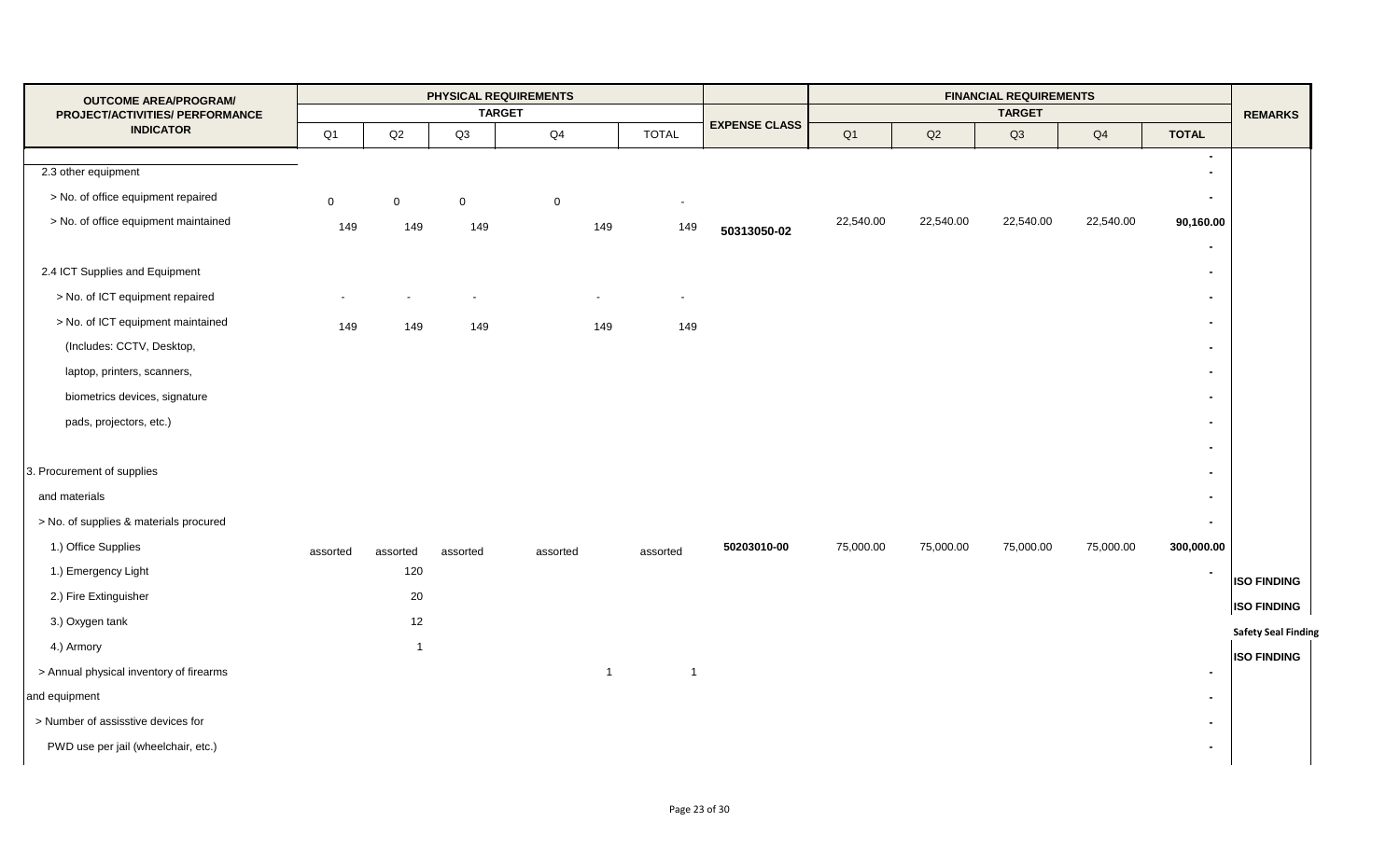| <b>OUTCOME AREA/PROGRAM/</b>            |             |                |             | PHYSICAL REQUIREMENTS |                |                          |                      |                |           | <b>FINANCIAL REQUIREMENTS</b> |           |                          |                            |
|-----------------------------------------|-------------|----------------|-------------|-----------------------|----------------|--------------------------|----------------------|----------------|-----------|-------------------------------|-----------|--------------------------|----------------------------|
| PROJECT/ACTIVITIES/ PERFORMANCE         |             |                |             | <b>TARGET</b>         |                |                          | <b>EXPENSE CLASS</b> |                |           | <b>TARGET</b>                 |           |                          | <b>REMARKS</b>             |
| <b>INDICATOR</b>                        | Q1          | Q2             | Q3          | Q4                    |                | <b>TOTAL</b>             |                      | Q <sub>1</sub> | Q2        | Q3                            | Q4        | <b>TOTAL</b>             |                            |
|                                         |             |                |             |                       |                |                          |                      |                |           |                               |           | $\blacksquare$           |                            |
| 2.3 other equipment                     |             |                |             |                       |                |                          |                      |                |           |                               |           | $\blacksquare$           |                            |
| > No. of office equipment repaired      | $\mathbf 0$ | $\mathbf 0$    | $\mathbf 0$ | $\mathbf 0$           |                | $\overline{\phantom{a}}$ |                      |                |           |                               |           | $\overline{\phantom{0}}$ |                            |
| > No. of office equipment maintained    | 149         | 149            | 149         |                       | 149            | 149                      | 50313050-02          | 22,540.00      | 22,540.00 | 22,540.00                     | 22,540.00 | 90,160.00                |                            |
|                                         |             |                |             |                       |                |                          |                      |                |           |                               |           | $\blacksquare$           |                            |
| 2.4 ICT Supplies and Equipment          |             |                |             |                       |                |                          |                      |                |           |                               |           | $\blacksquare$           |                            |
| > No. of ICT equipment repaired         |             |                |             |                       |                |                          |                      |                |           |                               |           | $\blacksquare$           |                            |
| > No. of ICT equipment maintained       | 149         | 149            | 149         |                       | 149            | 149                      |                      |                |           |                               |           | $\blacksquare$           |                            |
| (Includes: CCTV, Desktop,               |             |                |             |                       |                |                          |                      |                |           |                               |           | $\blacksquare$           |                            |
| laptop, printers, scanners,             |             |                |             |                       |                |                          |                      |                |           |                               |           | $\blacksquare$           |                            |
| biometrics devices, signature           |             |                |             |                       |                |                          |                      |                |           |                               |           | $\blacksquare$           |                            |
| pads, projectors, etc.)                 |             |                |             |                       |                |                          |                      |                |           |                               |           | $\blacksquare$           |                            |
|                                         |             |                |             |                       |                |                          |                      |                |           |                               |           |                          |                            |
|                                         |             |                |             |                       |                |                          |                      |                |           |                               |           | $\blacksquare$           |                            |
| 3. Procurement of supplies              |             |                |             |                       |                |                          |                      |                |           |                               |           | $\blacksquare$           |                            |
| and materials                           |             |                |             |                       |                |                          |                      |                |           |                               |           | $\blacksquare$           |                            |
| > No. of supplies & materials procured  |             |                |             |                       |                |                          |                      |                |           |                               |           | $\overline{\phantom{0}}$ |                            |
| 1.) Office Supplies                     | assorted    | assorted       | assorted    | assorted              |                | assorted                 | 50203010-00          | 75,000.00      | 75,000.00 | 75,000.00                     | 75,000.00 | 300,000.00               |                            |
| 1.) Emergency Light                     |             | 120            |             |                       |                |                          |                      |                |           |                               |           | $\sim$                   | <b>ISO FINDING</b>         |
| 2.) Fire Extinguisher                   |             | 20             |             |                       |                |                          |                      |                |           |                               |           |                          | <b>ISO FINDING</b>         |
| 3.) Oxygen tank                         |             | 12             |             |                       |                |                          |                      |                |           |                               |           |                          | <b>Safety Seal Finding</b> |
| 4.) Armory                              |             | $\overline{1}$ |             |                       |                |                          |                      |                |           |                               |           |                          |                            |
| > Annual physical inventory of firearms |             |                |             |                       | $\overline{1}$ | $\overline{1}$           |                      |                |           |                               |           | $\blacksquare$           | <b>ISO FINDING</b>         |
| and equipment                           |             |                |             |                       |                |                          |                      |                |           |                               |           | $\blacksquare$           |                            |
| > Number of assisstive devices for      |             |                |             |                       |                |                          |                      |                |           |                               |           | $\blacksquare$           |                            |
| PWD use per jail (wheelchair, etc.)     |             |                |             |                       |                |                          |                      |                |           |                               |           | $\blacksquare$           |                            |
|                                         |             |                |             |                       |                |                          |                      |                |           |                               |           |                          |                            |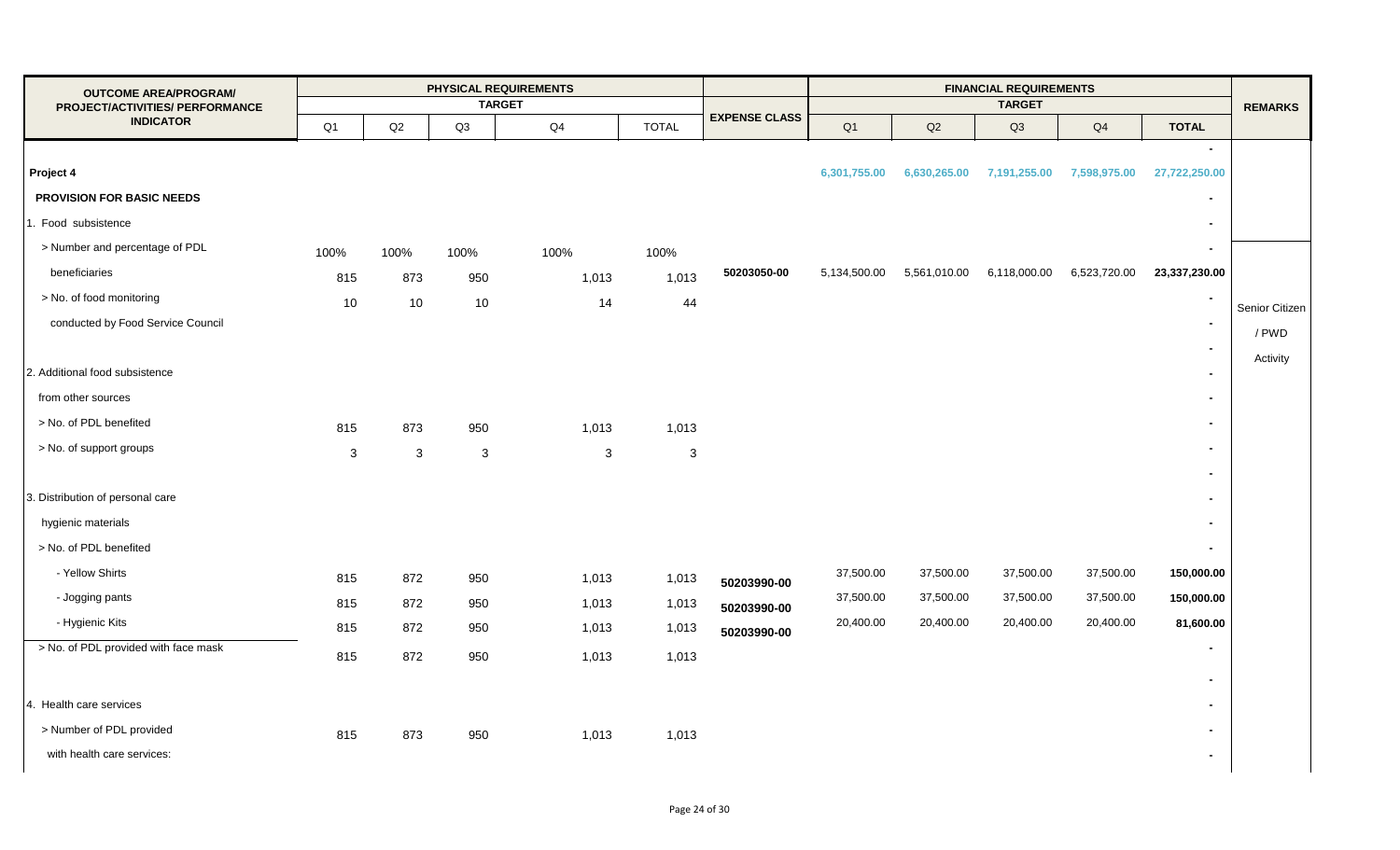| <b>OUTCOME AREA/PROGRAM/</b>         |              |                 |                | <b>PHYSICAL REQUIREMENTS</b> |              |                      | <b>FINANCIAL REQUIREMENTS</b> |              |               |              |                          |                |
|--------------------------------------|--------------|-----------------|----------------|------------------------------|--------------|----------------------|-------------------------------|--------------|---------------|--------------|--------------------------|----------------|
| PROJECT/ACTIVITIES/ PERFORMANCE      |              |                 |                | <b>TARGET</b>                |              | <b>EXPENSE CLASS</b> |                               |              | <b>TARGET</b> |              |                          | <b>REMARKS</b> |
| <b>INDICATOR</b>                     | Q1           | Q2              | Q3             | Q4                           | <b>TOTAL</b> |                      | Q1                            | Q2           | Q3            | Q4           | <b>TOTAL</b>             |                |
|                                      |              |                 |                |                              |              |                      |                               |              |               |              | $\sim$                   |                |
| Project 4                            |              |                 |                |                              |              |                      | 6,301,755.00                  | 6,630,265.00 | 7,191,255.00  | 7,598,975.00 | 27,722,250.00            |                |
| <b>PROVISION FOR BASIC NEEDS</b>     |              |                 |                |                              |              |                      |                               |              |               |              | $\blacksquare$           |                |
| 1. Food subsistence                  |              |                 |                |                              |              |                      |                               |              |               |              | $\blacksquare$           |                |
| > Number and percentage of PDL       | 100%         | 100%            | 100%           | 100%                         | 100%         |                      |                               |              |               |              | $\sim$                   |                |
| beneficiaries                        | 815          | 873             | 950            | 1,013                        | 1,013        | 50203050-00          | 5,134,500.00                  | 5,561,010.00 | 6,118,000.00  | 6,523,720.00 | 23,337,230.00            |                |
| > No. of food monitoring             | 10           | 10 <sup>1</sup> | 10             | 14                           | 44           |                      |                               |              |               |              | $\overline{\phantom{a}}$ | Senior Citizen |
| conducted by Food Service Council    |              |                 |                |                              |              |                      |                               |              |               |              | $\sim$                   | / PWD          |
|                                      |              |                 |                |                              |              |                      |                               |              |               |              | $\sim$                   | Activity       |
| 2. Additional food subsistence       |              |                 |                |                              |              |                      |                               |              |               |              | $\sim$                   |                |
| from other sources                   |              |                 |                |                              |              |                      |                               |              |               |              | $\blacksquare$           |                |
| > No. of PDL benefited               | 815          | 873             | 950            | 1,013                        | 1,013        |                      |                               |              |               |              | $\sim$                   |                |
| > No. of support groups              | $\mathbf{3}$ | 3               | $\mathfrak{3}$ | $\ensuremath{\mathsf{3}}$    | $\mathbf{3}$ |                      |                               |              |               |              | $\blacksquare$           |                |
|                                      |              |                 |                |                              |              |                      |                               |              |               |              | $\blacksquare$           |                |
| 3. Distribution of personal care     |              |                 |                |                              |              |                      |                               |              |               |              | $\sim$                   |                |
| hygienic materials                   |              |                 |                |                              |              |                      |                               |              |               |              | $\blacksquare$           |                |
| > No. of PDL benefited               |              |                 |                |                              |              |                      |                               |              |               |              | $\sim$                   |                |
| - Yellow Shirts                      | 815          | 872             | 950            | 1,013                        | 1,013        | 50203990-00          | 37,500.00                     | 37,500.00    | 37,500.00     | 37,500.00    | 150,000.00               |                |
| - Jogging pants                      | 815          | 872             | 950            | 1,013                        | 1,013        | 50203990-00          | 37,500.00                     | 37,500.00    | 37,500.00     | 37,500.00    | 150,000.00               |                |
| - Hygienic Kits                      | 815          | 872             | 950            | 1,013                        | 1,013        | 50203990-00          | 20,400.00                     | 20,400.00    | 20,400.00     | 20,400.00    | 81,600.00                |                |
| > No. of PDL provided with face mask | 815          | 872             | 950            | 1,013                        | 1,013        |                      |                               |              |               |              | $\sim$                   |                |
|                                      |              |                 |                |                              |              |                      |                               |              |               |              | $\sim$                   |                |
| 4. Health care services              |              |                 |                |                              |              |                      |                               |              |               |              | $\blacksquare$           |                |
| > Number of PDL provided             | 815          | 873             | 950            | 1,013                        | 1,013        |                      |                               |              |               |              | $\blacksquare$           |                |
| with health care services:           |              |                 |                |                              |              |                      |                               |              |               |              | $\sim$                   |                |
|                                      |              |                 |                |                              |              |                      |                               |              |               |              |                          |                |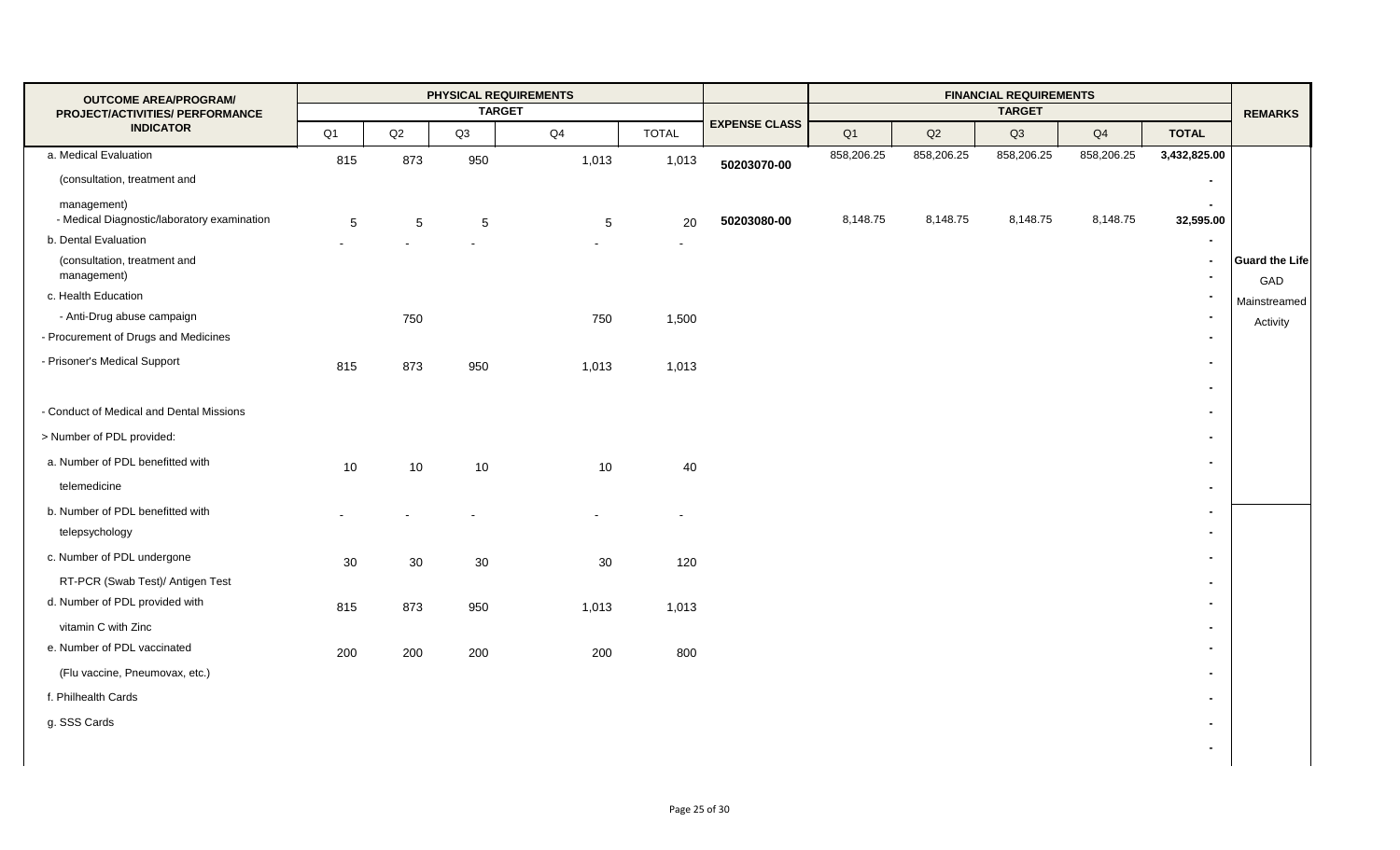| <b>OUTCOME AREA/PROGRAM/</b>                               |                |     |     | PHYSICAL REQUIREMENTS |                |                      |                |            | <b>FINANCIAL REQUIREMENTS</b> |                |                          |                              |
|------------------------------------------------------------|----------------|-----|-----|-----------------------|----------------|----------------------|----------------|------------|-------------------------------|----------------|--------------------------|------------------------------|
| PROJECT/ACTIVITIES/ PERFORMANCE                            |                |     |     | <b>TARGET</b>         |                | <b>EXPENSE CLASS</b> |                |            | <b>TARGET</b>                 |                |                          | <b>REMARKS</b>               |
| <b>INDICATOR</b>                                           | Q <sub>1</sub> | Q2  | Q3  | Q4                    | <b>TOTAL</b>   |                      | Q <sub>1</sub> | Q2         | Q3                            | Q <sub>4</sub> | <b>TOTAL</b>             |                              |
| a. Medical Evaluation                                      | 815            | 873 | 950 | 1,013                 | 1,013          | 50203070-00          | 858,206.25     | 858,206.25 | 858,206.25                    | 858,206.25     | 3,432,825.00             |                              |
| (consultation, treatment and                               |                |     |     |                       |                |                      |                |            |                               |                | $\blacksquare$           |                              |
| management)<br>- Medical Diagnostic/laboratory examination | 5              | 5   | 5   | 5                     | 20             | 50203080-00          | 8,148.75       | 8,148.75   | 8,148.75                      | 8,148.75       | $\sim$<br>32,595.00      |                              |
| b. Dental Evaluation                                       |                |     |     |                       | $\blacksquare$ |                      |                |            |                               |                |                          |                              |
| (consultation, treatment and<br>management)                |                |     |     |                       |                |                      |                |            |                               |                | $\overline{\phantom{0}}$ | <b>Guard the Life</b><br>GAD |
| c. Health Education                                        |                |     |     |                       |                |                      |                |            |                               |                |                          | Mainstreamed                 |
| - Anti-Drug abuse campaign                                 |                | 750 |     | 750                   | 1,500          |                      |                |            |                               |                | $\overline{\phantom{0}}$ |                              |
| - Procurement of Drugs and Medicines                       |                |     |     |                       |                |                      |                |            |                               |                | $\blacksquare$           |                              |
| - Prisoner's Medical Support                               | 815            | 873 | 950 | 1,013                 | 1,013          |                      |                |            |                               |                |                          |                              |
| - Conduct of Medical and Dental Missions                   |                |     |     |                       |                |                      |                |            |                               |                |                          |                              |
| > Number of PDL provided:                                  |                |     |     |                       |                |                      |                |            |                               |                | $\overline{\phantom{0}}$ |                              |
| a. Number of PDL benefitted with                           | 10             | 10  | 10  | 10                    | 40             |                      |                |            |                               |                | $\blacksquare$           |                              |
| telemedicine                                               |                |     |     |                       |                |                      |                |            |                               |                | $\overline{\phantom{0}}$ |                              |
| b. Number of PDL benefitted with                           |                |     |     |                       |                |                      |                |            |                               |                | $\overline{\phantom{0}}$ |                              |
|                                                            |                |     |     |                       |                |                      |                |            |                               |                | $\sim$                   |                              |
| c. Number of PDL undergone                                 | 30             | 30  | 30  | 30                    | 120            |                      |                |            |                               |                | $\overline{a}$           |                              |
| RT-PCR (Swab Test)/ Antigen Test                           |                |     |     |                       |                |                      |                |            |                               |                |                          |                              |
| d. Number of PDL provided with                             | 815            | 873 | 950 | 1,013                 | 1,013          |                      |                |            |                               |                |                          |                              |
| vitamin C with Zinc                                        |                |     |     |                       |                |                      |                |            |                               |                | $\blacksquare$           |                              |
| e. Number of PDL vaccinated                                | 200            | 200 | 200 | 200                   | 800            |                      |                |            |                               |                | $\sim$                   |                              |
| (Flu vaccine, Pneumovax, etc.)                             |                |     |     |                       |                |                      |                |            |                               |                | $\sim$                   |                              |
| f. Philhealth Cards                                        |                |     |     |                       |                |                      |                |            |                               |                | $\overline{\phantom{0}}$ |                              |
| g. SSS Cards                                               |                |     |     |                       |                |                      |                |            |                               |                |                          |                              |
|                                                            |                |     |     |                       |                |                      |                |            |                               |                | $\blacksquare$           |                              |
| telepsychology                                             |                |     |     |                       |                |                      |                |            |                               |                | $\blacksquare$           | Activity                     |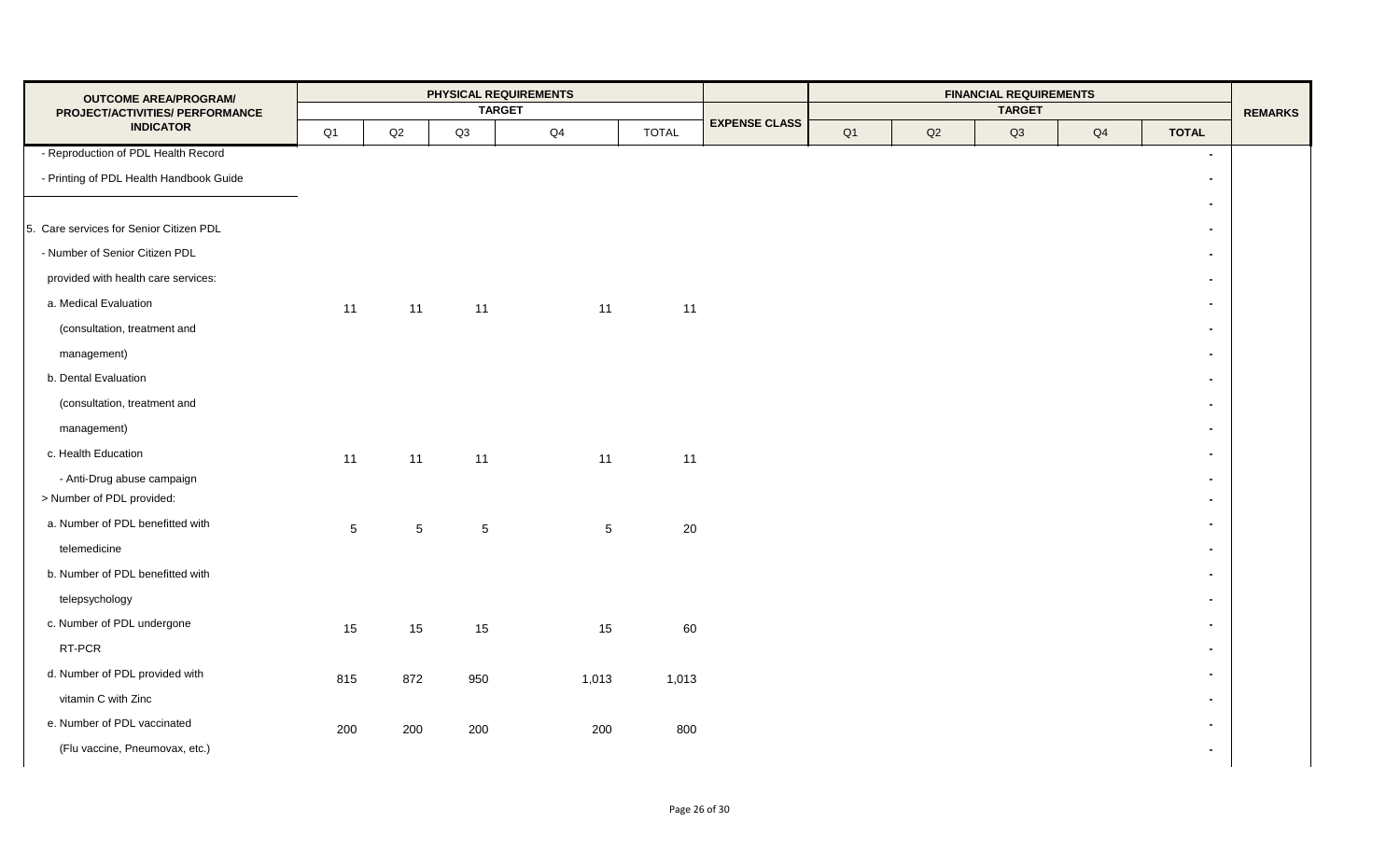| <b>OUTCOME AREA/PROGRAM/</b>                        |                 |                 |     | <b>PHYSICAL REQUIREMENTS</b> |              |                      |    |    |               |    |                |                |
|-----------------------------------------------------|-----------------|-----------------|-----|------------------------------|--------------|----------------------|----|----|---------------|----|----------------|----------------|
| PROJECT/ACTIVITIES/ PERFORMANCE<br><b>INDICATOR</b> |                 |                 |     | <b>TARGET</b>                |              | <b>EXPENSE CLASS</b> |    |    | <b>TARGET</b> |    |                | <b>REMARKS</b> |
|                                                     | Q1              | Q2              | Q3  | Q4                           | <b>TOTAL</b> |                      | Q1 | Q2 | Q3            | Q4 | <b>TOTAL</b>   |                |
| - Reproduction of PDL Health Record                 |                 |                 |     |                              |              |                      |    |    |               |    | $\blacksquare$ |                |
| - Printing of PDL Health Handbook Guide             |                 |                 |     |                              |              |                      |    |    |               |    | $\blacksquare$ |                |
|                                                     |                 |                 |     |                              |              |                      |    |    |               |    | $\blacksquare$ |                |
| 5. Care services for Senior Citizen PDL             |                 |                 |     |                              |              |                      |    |    |               |    | $\blacksquare$ |                |
| - Number of Senior Citizen PDL                      |                 |                 |     |                              |              |                      |    |    |               |    | $\blacksquare$ |                |
| provided with health care services:                 |                 |                 |     |                              |              |                      |    |    |               |    | $\sim$         |                |
| a. Medical Evaluation                               | 11              | 11              | 11  | 11                           | 11           |                      |    |    |               |    | $\blacksquare$ |                |
| (consultation, treatment and                        |                 |                 |     |                              |              |                      |    |    |               |    | $\blacksquare$ |                |
| management)                                         |                 |                 |     |                              |              |                      |    |    |               |    | $\blacksquare$ |                |
| b. Dental Evaluation                                |                 |                 |     |                              |              |                      |    |    |               |    | $\blacksquare$ |                |
| (consultation, treatment and                        |                 |                 |     |                              |              |                      |    |    |               |    | $\blacksquare$ |                |
| management)                                         |                 |                 |     |                              |              |                      |    |    |               |    | $\blacksquare$ |                |
| c. Health Education                                 | 11              | 11              | 11  | 11                           | 11           |                      |    |    |               |    | $\blacksquare$ |                |
| - Anti-Drug abuse campaign                          |                 |                 |     |                              |              |                      |    |    |               |    | $\blacksquare$ |                |
| > Number of PDL provided:                           |                 |                 |     |                              |              |                      |    |    |               |    | $\blacksquare$ |                |
| a. Number of PDL benefitted with                    | $5\overline{)}$ | $5\phantom{.0}$ | 5   | $5\phantom{.0}$              | 20           |                      |    |    |               |    | $\blacksquare$ |                |
| telemedicine                                        |                 |                 |     |                              |              |                      |    |    |               |    | $\blacksquare$ |                |
| b. Number of PDL benefitted with                    |                 |                 |     |                              |              |                      |    |    |               |    | $\blacksquare$ |                |
| telepsychology                                      |                 |                 |     |                              |              |                      |    |    |               |    | $\blacksquare$ |                |
| c. Number of PDL undergone                          | 15              | 15              | 15  | 15                           | 60           |                      |    |    |               |    | $\blacksquare$ |                |
| RT-PCR                                              |                 |                 |     |                              |              |                      |    |    |               |    | $\blacksquare$ |                |
| d. Number of PDL provided with                      | 815             | 872             | 950 | 1,013                        | 1,013        |                      |    |    |               |    | $\blacksquare$ |                |
| vitamin C with Zinc                                 |                 |                 |     |                              |              |                      |    |    |               |    | $\blacksquare$ |                |
| e. Number of PDL vaccinated                         | 200             | 200             | 200 | 200                          | 800          |                      |    |    |               |    | $\blacksquare$ |                |
| (Flu vaccine, Pneumovax, etc.)                      |                 |                 |     |                              |              |                      |    |    |               |    | $\blacksquare$ |                |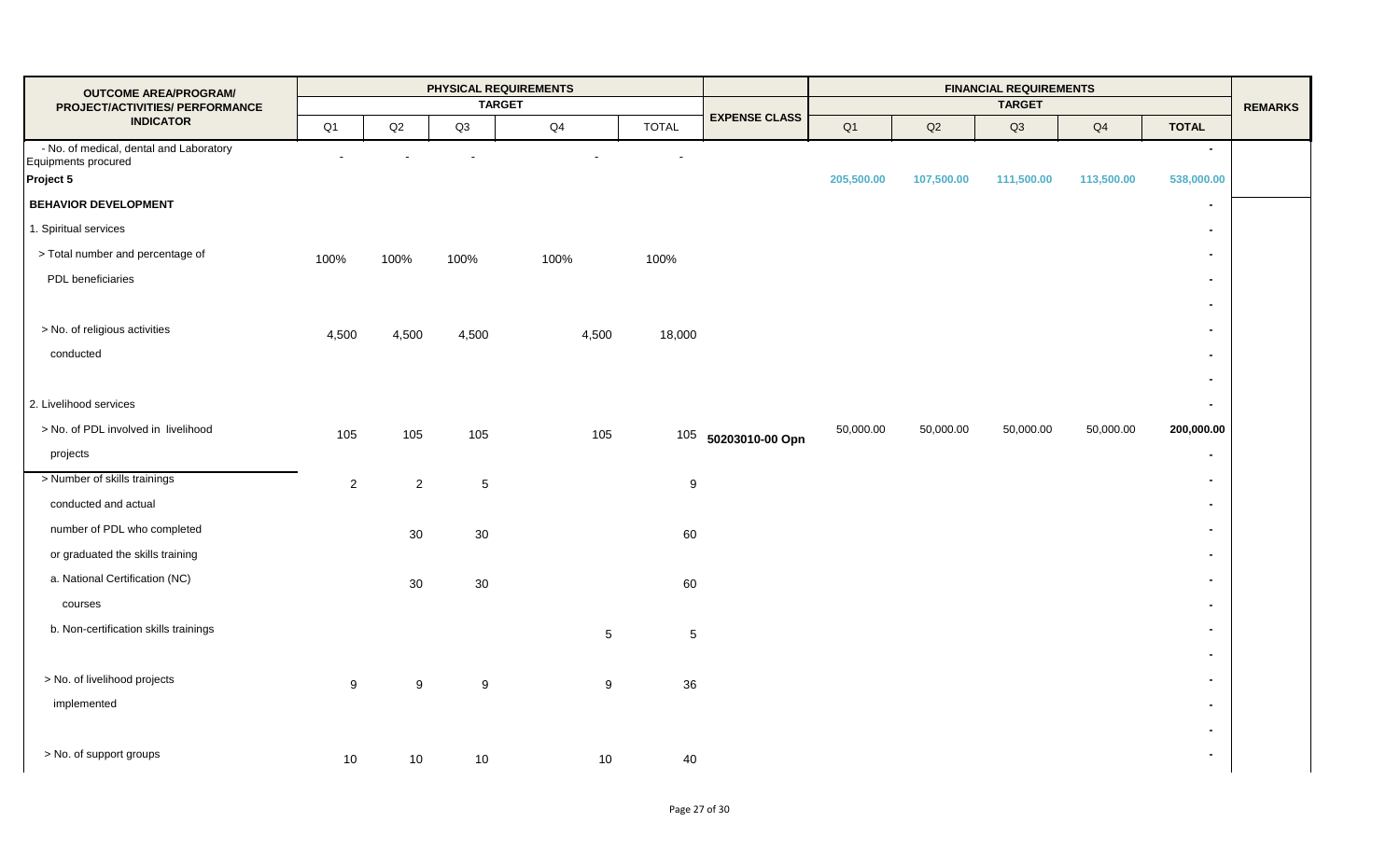| <b>OUTCOME AREA/PROGRAM/</b>                                                |                |                | <b>TARGET</b>  | PHYSICAL REQUIREMENTS |              |                      |            |            | <b>FINANCIAL REQUIREMENTS</b><br><b>TARGET</b> |            |                      | <b>REMARKS</b> |
|-----------------------------------------------------------------------------|----------------|----------------|----------------|-----------------------|--------------|----------------------|------------|------------|------------------------------------------------|------------|----------------------|----------------|
| PROJECT/ACTIVITIES/ PERFORMANCE<br><b>INDICATOR</b>                         | Q1             | Q2             | Q3             | Q <sub>4</sub>        | <b>TOTAL</b> | <b>EXPENSE CLASS</b> | Q1         | Q2         | Q3                                             | Q4         | <b>TOTAL</b>         |                |
| - No. of medical, dental and Laboratory<br>Equipments procured<br>Project 5 | $\blacksquare$ |                |                |                       | ä,           |                      | 205,500.00 | 107,500.00 | 111,500.00                                     | 113,500.00 | $\sim$<br>538,000.00 |                |
| <b>BEHAVIOR DEVELOPMENT</b>                                                 |                |                |                |                       |              |                      |            |            |                                                |            | $\blacksquare$       |                |
| 1. Spiritual services                                                       |                |                |                |                       |              |                      |            |            |                                                |            | $\blacksquare$       |                |
| > Total number and percentage of                                            | 100%           | 100%           | 100%           | 100%                  | 100%         |                      |            |            |                                                |            | $\blacksquare$       |                |
| PDL beneficiaries                                                           |                |                |                |                       |              |                      |            |            |                                                |            | $\blacksquare$       |                |
|                                                                             |                |                |                |                       |              |                      |            |            |                                                |            | $\blacksquare$       |                |
| > No. of religious activities                                               | 4,500          | 4,500          | 4,500          | 4,500                 | 18,000       |                      |            |            |                                                |            | $\blacksquare$       |                |
| conducted                                                                   |                |                |                |                       |              |                      |            |            |                                                |            | $\blacksquare$       |                |
|                                                                             |                |                |                |                       |              |                      |            |            |                                                |            | $\blacksquare$       |                |
| 2. Livelihood services                                                      |                |                |                |                       |              |                      |            |            |                                                |            | $\blacksquare$       |                |
| > No. of PDL involved in livelihood                                         | 105            | 105            | 105            | 105                   |              | 105 50203010-00 Opn  | 50,000.00  | 50,000.00  | 50,000.00                                      | 50,000.00  | 200,000.00           |                |
| projects                                                                    |                |                |                |                       |              |                      |            |            |                                                |            | $\blacksquare$       |                |
| > Number of skills trainings                                                | $\overline{2}$ | $\overline{2}$ | $\overline{5}$ |                       | 9            |                      |            |            |                                                |            | $\blacksquare$       |                |
| conducted and actual                                                        |                |                |                |                       |              |                      |            |            |                                                |            | $\blacksquare$       |                |
| number of PDL who completed                                                 |                | 30             | 30             |                       | 60           |                      |            |            |                                                |            | $\blacksquare$       |                |
| or graduated the skills training                                            |                |                |                |                       |              |                      |            |            |                                                |            | $\blacksquare$       |                |
| a. National Certification (NC)                                              |                | 30             | 30             |                       | 60           |                      |            |            |                                                |            | $\blacksquare$       |                |
| courses                                                                     |                |                |                |                       |              |                      |            |            |                                                |            | $\blacksquare$       |                |
| b. Non-certification skills trainings                                       |                |                |                | $5\phantom{.0}$       | $\sqrt{5}$   |                      |            |            |                                                |            | $\blacksquare$       |                |
|                                                                             |                |                |                |                       |              |                      |            |            |                                                |            | $\blacksquare$       |                |
| > No. of livelihood projects                                                | 9              | 9              | 9              | 9                     | 36           |                      |            |            |                                                |            | $\blacksquare$       |                |
| implemented                                                                 |                |                |                |                       |              |                      |            |            |                                                |            | $\blacksquare$       |                |
|                                                                             |                |                |                |                       |              |                      |            |            |                                                |            | $\blacksquare$       |                |
| > No. of support groups                                                     | 10             | 10             | 10             | 10                    | 40           |                      |            |            |                                                |            | $\blacksquare$       |                |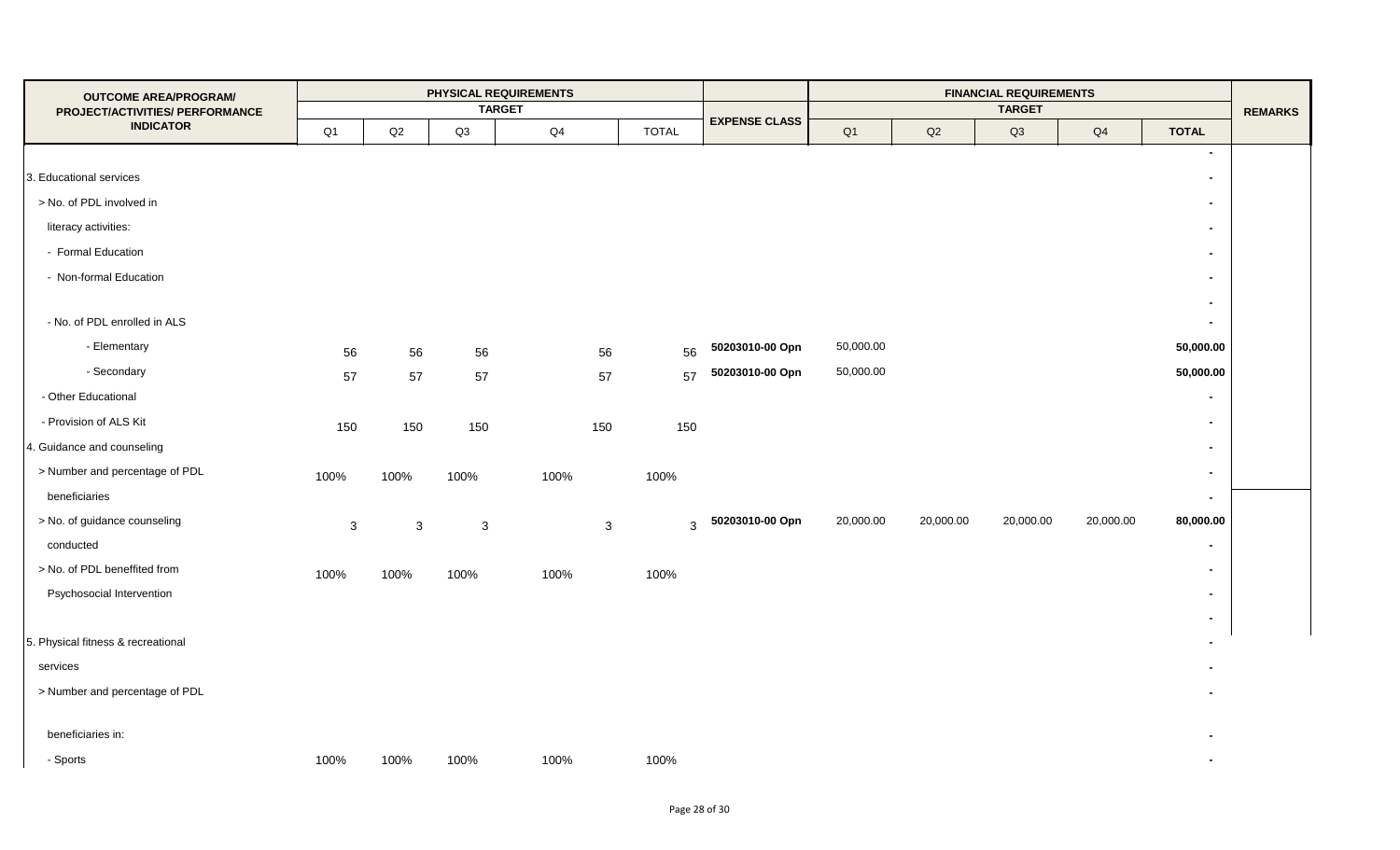| <b>OUTCOME AREA/PROGRAM/</b>                        |              |               |              | PHYSICAL REQUIREMENTS<br><b>TARGET</b> |              |              | <b>FINANCIAL REQUIREMENTS</b><br><b>TARGET</b> |                |               |           |           |                          | <b>REMARKS</b> |
|-----------------------------------------------------|--------------|---------------|--------------|----------------------------------------|--------------|--------------|------------------------------------------------|----------------|---------------|-----------|-----------|--------------------------|----------------|
| PROJECT/ACTIVITIES/ PERFORMANCE<br><b>INDICATOR</b> | Q1           | $\mathsf{Q2}$ | Q3           | Q <sub>4</sub>                         |              | <b>TOTAL</b> | <b>EXPENSE CLASS</b>                           | Q <sub>1</sub> | $\mathsf{Q2}$ | Q3        | Q4        | <b>TOTAL</b>             |                |
|                                                     |              |               |              |                                        |              |              |                                                |                |               |           |           | $\blacksquare$           |                |
| 3. Educational services                             |              |               |              |                                        |              |              |                                                |                |               |           |           | $\blacksquare$           |                |
| > No. of PDL involved in                            |              |               |              |                                        |              |              |                                                |                |               |           |           | $\blacksquare$           |                |
| literacy activities:                                |              |               |              |                                        |              |              |                                                |                |               |           |           | $\blacksquare$           |                |
| - Formal Education                                  |              |               |              |                                        |              |              |                                                |                |               |           |           | $\sim$                   |                |
| - Non-formal Education                              |              |               |              |                                        |              |              |                                                |                |               |           |           | $\blacksquare$           |                |
|                                                     |              |               |              |                                        |              |              |                                                |                |               |           |           | $\blacksquare$           |                |
| - No. of PDL enrolled in ALS                        |              |               |              |                                        |              |              |                                                |                |               |           |           | $\blacksquare$           |                |
| - Elementary                                        | 56           | 56            | 56           |                                        | 56           | 56           | 50203010-00 Opn                                | 50,000.00      |               |           |           | 50,000.00                |                |
| - Secondary                                         | 57           | 57            | 57           |                                        | 57           | 57           | 50203010-00 Opn                                | 50,000.00      |               |           |           | 50,000.00                |                |
| - Other Educational                                 |              |               |              |                                        |              |              |                                                |                |               |           |           | $\blacksquare$           |                |
| - Provision of ALS Kit                              | 150          | 150           | 150          |                                        | 150          | 150          |                                                |                |               |           |           | $\blacksquare$           |                |
| 4. Guidance and counseling                          |              |               |              |                                        |              |              |                                                |                |               |           |           | $\sim$                   |                |
| > Number and percentage of PDL                      | 100%         | 100%          | 100%         | 100%                                   |              | 100%         |                                                |                |               |           |           | $\blacksquare$           |                |
| beneficiaries                                       |              |               |              |                                        |              |              |                                                |                |               |           |           | $\blacksquare$           |                |
| > No. of guidance counseling                        | $\mathbf{3}$ | $\mathbf{3}$  | $\mathbf{3}$ |                                        | $\mathbf{3}$ | 3            | 50203010-00 Opn                                | 20,000.00      | 20,000.00     | 20,000.00 | 20,000.00 | 80,000.00                |                |
| conducted                                           |              |               |              |                                        |              |              |                                                |                |               |           |           | $\blacksquare$           |                |
| > No. of PDL beneffited from                        | 100%         | 100%          | 100%         | 100%                                   |              | 100%         |                                                |                |               |           |           | $\blacksquare$           |                |
| Psychosocial Intervention                           |              |               |              |                                        |              |              |                                                |                |               |           |           | $\blacksquare$           |                |
|                                                     |              |               |              |                                        |              |              |                                                |                |               |           |           | $\sim$                   |                |
| 5. Physical fitness & recreational                  |              |               |              |                                        |              |              |                                                |                |               |           |           |                          |                |
| services                                            |              |               |              |                                        |              |              |                                                |                |               |           |           |                          |                |
| > Number and percentage of PDL                      |              |               |              |                                        |              |              |                                                |                |               |           |           |                          |                |
|                                                     |              |               |              |                                        |              |              |                                                |                |               |           |           |                          |                |
| beneficiaries in:                                   |              |               |              |                                        |              |              |                                                |                |               |           |           |                          |                |
| - Sports                                            | 100%         | 100%          | 100%         | 100%                                   |              | 100%         |                                                |                |               |           |           | $\overline{\phantom{a}}$ |                |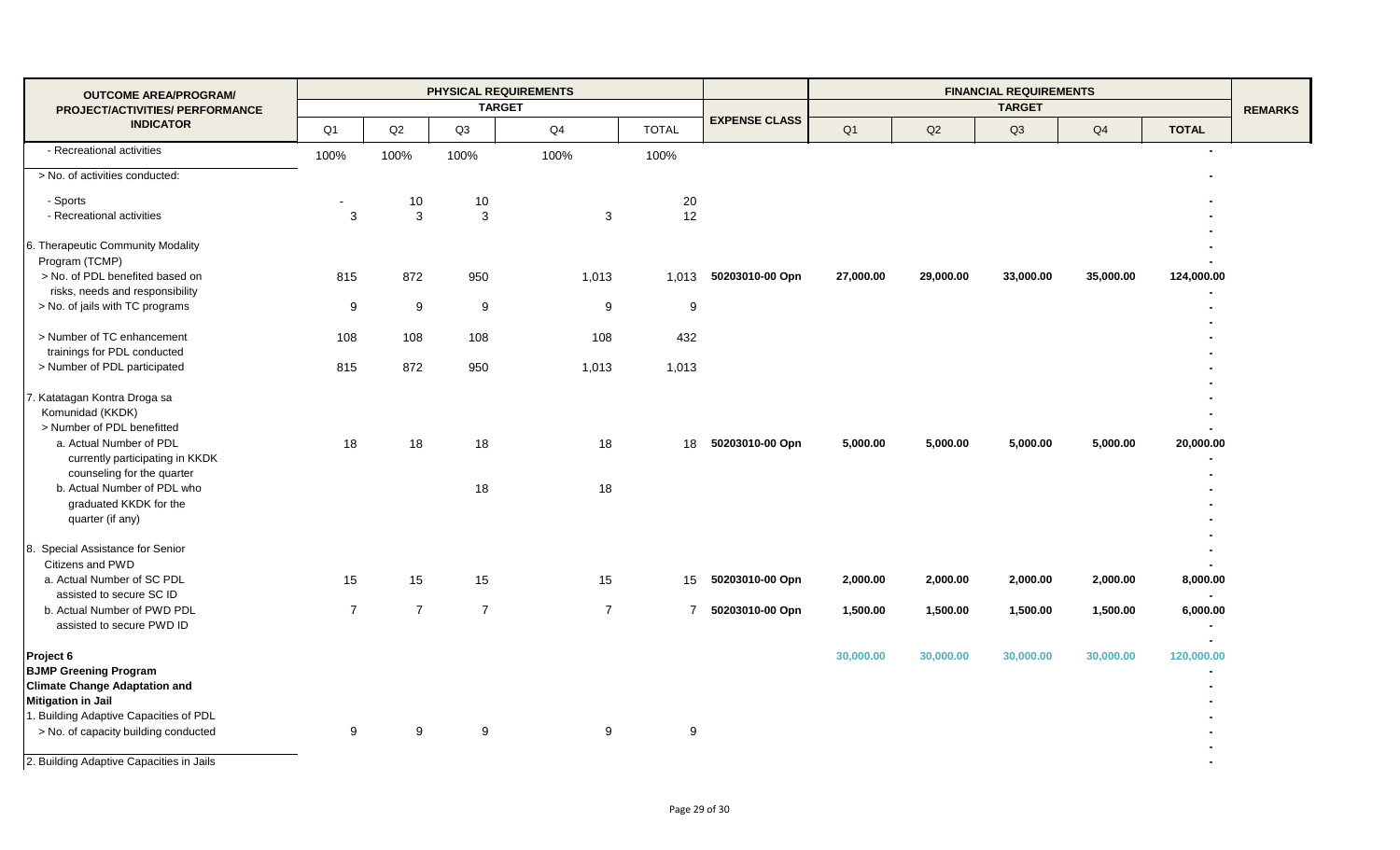| <b>OUTCOME AREA/PROGRAM/</b>                                                                                   |                |                |                | <b>PHYSICAL REQUIREMENTS</b> |                |                      |                |           | <b>FINANCIAL REQUIREMENTS</b> |           |                                        |                |
|----------------------------------------------------------------------------------------------------------------|----------------|----------------|----------------|------------------------------|----------------|----------------------|----------------|-----------|-------------------------------|-----------|----------------------------------------|----------------|
| PROJECT/ACTIVITIES/ PERFORMANCE                                                                                |                |                |                | <b>TARGET</b>                |                |                      |                |           | <b>TARGET</b>                 |           |                                        | <b>REMARKS</b> |
| <b>INDICATOR</b>                                                                                               | Q1             | Q2             | Q3             | Q4                           | <b>TOTAL</b>   | <b>EXPENSE CLASS</b> | Q <sub>1</sub> | Q2        | Q3                            | Q4        | <b>TOTAL</b>                           |                |
| - Recreational activities                                                                                      | 100%           | 100%           | 100%           | 100%                         | 100%           |                      |                |           |                               |           | $\blacksquare$                         |                |
| > No. of activities conducted:                                                                                 |                |                |                |                              |                |                      |                |           |                               |           |                                        |                |
| - Sports                                                                                                       |                | 10             | 10             |                              | 20             |                      |                |           |                               |           |                                        |                |
| - Recreational activities                                                                                      | 3              | 3              | 3              | 3                            | 12             |                      |                |           |                               |           |                                        |                |
| 6. Therapeutic Community Modality<br>Program (TCMP)                                                            |                |                |                |                              |                |                      |                |           |                               |           |                                        |                |
| > No. of PDL benefited based on<br>risks, needs and responsibility                                             | 815            | 872            | 950            | 1,013                        | 1,013          | 50203010-00 Opn      | 27,000.00      | 29,000.00 | 33,000.00                     | 35,000.00 | 124,000.00                             |                |
| > No. of jails with TC programs                                                                                | 9              | 9              | 9              | 9                            | 9              |                      |                |           |                               |           |                                        |                |
| > Number of TC enhancement<br>trainings for PDL conducted                                                      | 108            | 108            | 108            | 108                          | 432            |                      |                |           |                               |           |                                        |                |
| > Number of PDL participated                                                                                   | 815            | 872            | 950            | 1,013                        | 1,013          |                      |                |           |                               |           |                                        |                |
| 7. Katatagan Kontra Droga sa<br>Komunidad (KKDK)<br>> Number of PDL benefitted                                 |                |                |                |                              |                |                      |                |           |                               |           |                                        |                |
| a. Actual Number of PDL<br>currently participating in KKDK<br>counseling for the quarter                       | 18             | 18             | 18             | 18                           | 18             | 50203010-00 Opn      | 5,000.00       | 5,000.00  | 5,000.00                      | 5,000.00  | 20,000.00                              |                |
| b. Actual Number of PDL who<br>graduated KKDK for the<br>quarter (if any)                                      |                |                | 18             | 18                           |                |                      |                |           |                               |           |                                        |                |
| 8. Special Assistance for Senior<br>Citizens and PWD                                                           |                |                |                |                              |                |                      |                |           |                               |           |                                        |                |
| a. Actual Number of SC PDL<br>assisted to secure SC ID                                                         | 15             | 15             | 15             | 15                           | 15             | 50203010-00 Opn      | 2,000.00       | 2,000.00  | 2,000.00                      | 2,000.00  | 8,000.00<br>$\overline{\phantom{a}}$   |                |
| b. Actual Number of PWD PDL<br>assisted to secure PWD ID                                                       | $\overline{7}$ | $\overline{7}$ | $\overline{7}$ | $\overline{7}$               | $\overline{7}$ | 50203010-00 Opn      | 1,500.00       | 1,500.00  | 1,500.00                      | 1,500.00  | 6,000.00                               |                |
| Project 6<br><b>BJMP Greening Program</b><br><b>Climate Change Adaptation and</b><br><b>Mitigation in Jail</b> |                |                |                |                              |                |                      | 30,000.00      | 30,000.00 | 30,000.00                     | 30,000.00 | $\overline{\phantom{0}}$<br>120,000.00 |                |
| 1. Building Adaptive Capacities of PDL<br>> No. of capacity building conducted                                 | 9              | 9              | 9              | 9                            | $9\,$          |                      |                |           |                               |           |                                        |                |
| 2. Building Adaptive Capacities in Jails                                                                       |                |                |                |                              |                |                      |                |           |                               |           |                                        |                |